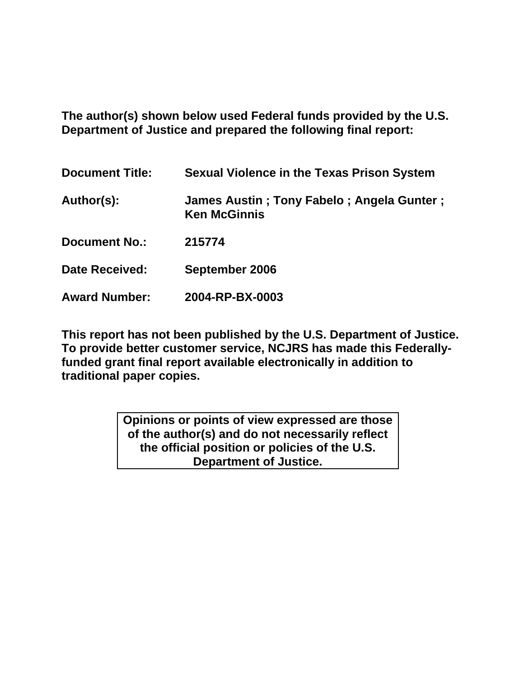**The author(s) shown below used Federal funds provided by the U.S. Department of Justice and prepared the following final report:** 

| <b>Document Title:</b> | <b>Sexual Violence in the Texas Prison System</b>                |
|------------------------|------------------------------------------------------------------|
| Author(s):             | James Austin; Tony Fabelo; Angela Gunter;<br><b>Ken McGinnis</b> |
| <b>Document No.:</b>   | 215774                                                           |
| <b>Date Received:</b>  | September 2006                                                   |
| <b>Award Number:</b>   | 2004-RP-BX-0003                                                  |

**This report has not been published by the U.S. Department of Justice. To provide better customer service, NCJRS has made this Federallyfunded grant final report available electronically in addition to traditional paper copies.**

> **Opinions or points of view expressed are those of the author(s) and do not necessarily reflect the official position or policies of the U.S. Department of Justice.**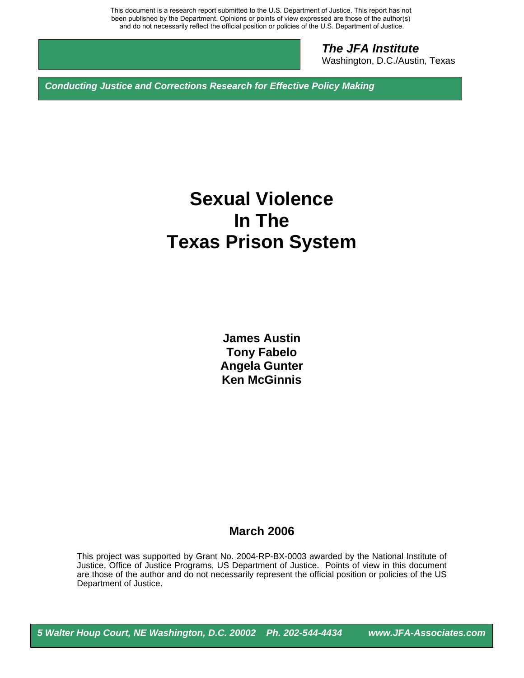This document is a research report submitted to the U.S. Department of Justice. This report has not been published by the Department. Opinions or points of view expressed are those of the author(s) and do not necessarily reflect the official position or policies of the U.S. Department of Justice.

> *The JFA Institute*  Washington, D.C./Austin, Texas

*Conducting Justice and Corrections Research for Effective Policy Making* 

# **Sexual Violence In The Texas Prison System**

**James Austin Tony Fabelo Angela Gunter Ken McGinnis** 

## **March 2006**

This project was supported by Grant No. 2004-RP-BX-0003 awarded by the National Institute of Justice, Office of Justice Programs, US Department of Justice. Points of view in this document are those of the author and do not necessarily represent the official position or policies of the US Department of Justice.

*5 Walter Houp Court, NE Washington, D.C. 20002 Ph. 202-544-4434 www.JFA-Associates.com*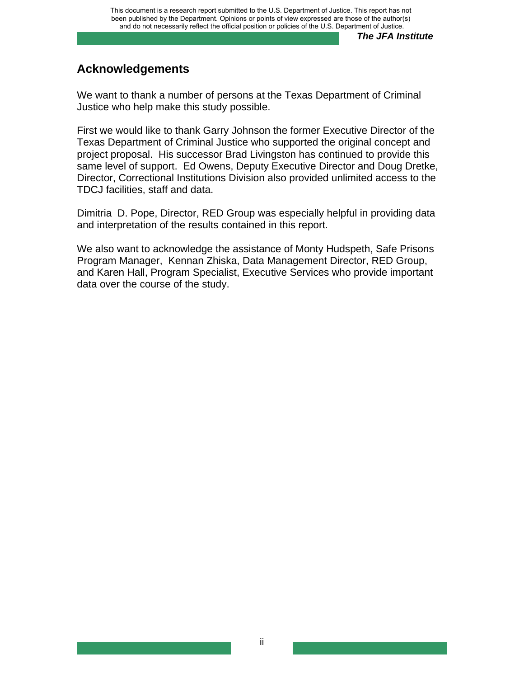# **Acknowledgements**

We want to thank a number of persons at the Texas Department of Criminal Justice who help make this study possible.

First we would like to thank Garry Johnson the former Executive Director of the Texas Department of Criminal Justice who supported the original concept and project proposal. His successor Brad Livingston has continued to provide this same level of support. Ed Owens, Deputy Executive Director and Doug Dretke, Director, Correctional Institutions Division also provided unlimited access to the TDCJ facilities, staff and data.

Dimitria D. Pope, Director, RED Group was especially helpful in providing data and interpretation of the results contained in this report.

We also want to acknowledge the assistance of Monty Hudspeth, Safe Prisons Program Manager, Kennan Zhiska, Data Management Director, RED Group, and Karen Hall, Program Specialist, Executive Services who provide important data over the course of the study.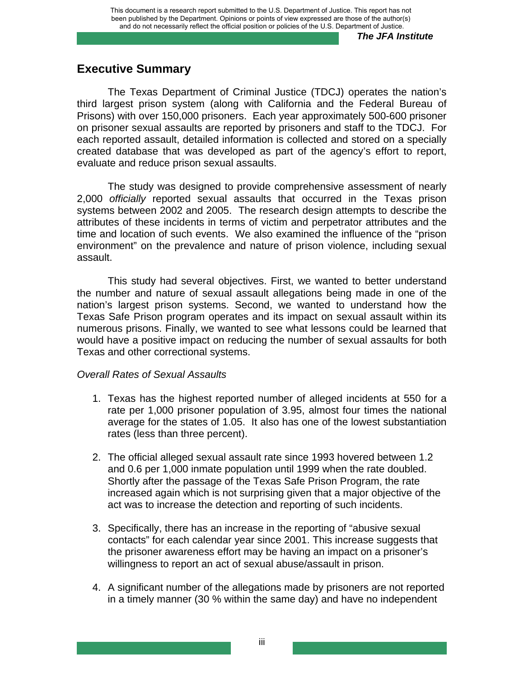# **Executive Summary**

The Texas Department of Criminal Justice (TDCJ) operates the nation's third largest prison system (along with California and the Federal Bureau of Prisons) with over 150,000 prisoners. Each year approximately 500-600 prisoner on prisoner sexual assaults are reported by prisoners and staff to the TDCJ. For each reported assault, detailed information is collected and stored on a specially created database that was developed as part of the agency's effort to report, evaluate and reduce prison sexual assaults.

The study was designed to provide comprehensive assessment of nearly 2,000 *officially* reported sexual assaults that occurred in the Texas prison systems between 2002 and 2005. The research design attempts to describe the attributes of these incidents in terms of victim and perpetrator attributes and the time and location of such events. We also examined the influence of the "prison environment" on the prevalence and nature of prison violence, including sexual assault.

This study had several objectives. First, we wanted to better understand the number and nature of sexual assault allegations being made in one of the nation's largest prison systems. Second, we wanted to understand how the Texas Safe Prison program operates and its impact on sexual assault within its numerous prisons. Finally, we wanted to see what lessons could be learned that would have a positive impact on reducing the number of sexual assaults for both Texas and other correctional systems.

#### *Overall Rates of Sexual Assaults*

- 1. Texas has the highest reported number of alleged incidents at 550 for a rate per 1,000 prisoner population of 3.95, almost four times the national average for the states of 1.05. It also has one of the lowest substantiation rates (less than three percent).
- 2. The official alleged sexual assault rate since 1993 hovered between 1.2 and 0.6 per 1,000 inmate population until 1999 when the rate doubled. Shortly after the passage of the Texas Safe Prison Program, the rate increased again which is not surprising given that a major objective of the act was to increase the detection and reporting of such incidents.
- 3. Specifically, there has an increase in the reporting of "abusive sexual contacts" for each calendar year since 2001. This increase suggests that the prisoner awareness effort may be having an impact on a prisoner's willingness to report an act of sexual abuse/assault in prison.
- 4. A significant number of the allegations made by prisoners are not reported in a timely manner (30 % within the same day) and have no independent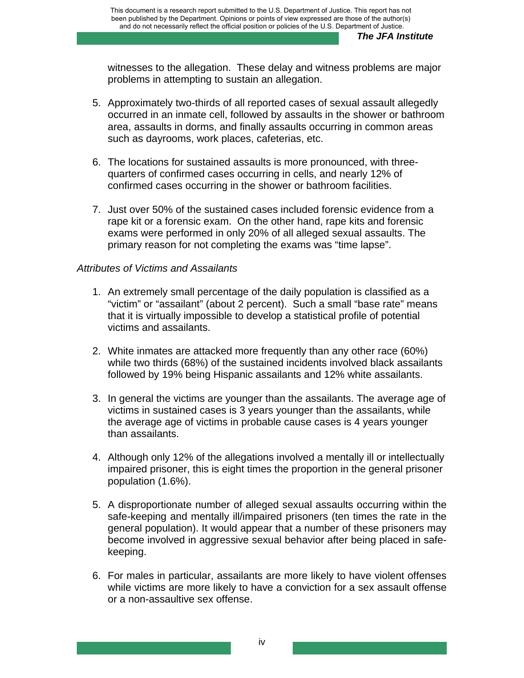witnesses to the allegation. These delay and witness problems are major problems in attempting to sustain an allegation.

- 5. Approximately two-thirds of all reported cases of sexual assault allegedly occurred in an inmate cell, followed by assaults in the shower or bathroom area, assaults in dorms, and finally assaults occurring in common areas such as dayrooms, work places, cafeterias, etc.
- 6. The locations for sustained assaults is more pronounced, with threequarters of confirmed cases occurring in cells, and nearly 12% of confirmed cases occurring in the shower or bathroom facilities.
- 7. Just over 50% of the sustained cases included forensic evidence from a rape kit or a forensic exam. On the other hand, rape kits and forensic exams were performed in only 20% of all alleged sexual assaults. The primary reason for not completing the exams was "time lapse".

## *Attributes of Victims and Assailants*

- 1. An extremely small percentage of the daily population is classified as a "victim" or "assailant" (about 2 percent). Such a small "base rate" means that it is virtually impossible to develop a statistical profile of potential victims and assailants.
- 2. White inmates are attacked more frequently than any other race (60%) while two thirds (68%) of the sustained incidents involved black assailants followed by 19% being Hispanic assailants and 12% white assailants.
- 3. In general the victims are younger than the assailants. The average age of victims in sustained cases is 3 years younger than the assailants, while the average age of victims in probable cause cases is 4 years younger than assailants.
- 4. Although only 12% of the allegations involved a mentally ill or intellectually impaired prisoner, this is eight times the proportion in the general prisoner population (1.6%).
- 5. A disproportionate number of alleged sexual assaults occurring within the safe-keeping and mentally ill/impaired prisoners (ten times the rate in the general population). It would appear that a number of these prisoners may become involved in aggressive sexual behavior after being placed in safekeeping.
- 6. For males in particular, assailants are more likely to have violent offenses while victims are more likely to have a conviction for a sex assault offense or a non-assaultive sex offense.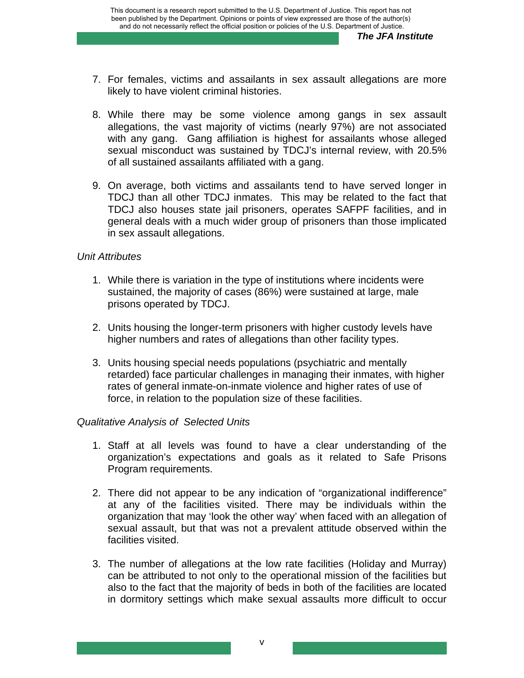- 7. For females, victims and assailants in sex assault allegations are more likely to have violent criminal histories.
- 8. While there may be some violence among gangs in sex assault allegations, the vast majority of victims (nearly 97%) are not associated with any gang. Gang affiliation is highest for assailants whose alleged sexual misconduct was sustained by TDCJ's internal review, with 20.5% of all sustained assailants affiliated with a gang.
- 9. On average, both victims and assailants tend to have served longer in TDCJ than all other TDCJ inmates. This may be related to the fact that TDCJ also houses state jail prisoners, operates SAFPF facilities, and in general deals with a much wider group of prisoners than those implicated in sex assault allegations.

#### *Unit Attributes*

- 1. While there is variation in the type of institutions where incidents were sustained, the majority of cases (86%) were sustained at large, male prisons operated by TDCJ.
- 2. Units housing the longer-term prisoners with higher custody levels have higher numbers and rates of allegations than other facility types.
- 3. Units housing special needs populations (psychiatric and mentally retarded) face particular challenges in managing their inmates, with higher rates of general inmate-on-inmate violence and higher rates of use of force, in relation to the population size of these facilities.

## *Qualitative Analysis of Selected Units*

- 1. Staff at all levels was found to have a clear understanding of the organization's expectations and goals as it related to Safe Prisons Program requirements.
- 2. There did not appear to be any indication of "organizational indifference" at any of the facilities visited. There may be individuals within the organization that may 'look the other way' when faced with an allegation of sexual assault, but that was not a prevalent attitude observed within the facilities visited.
- 3. The number of allegations at the low rate facilities (Holiday and Murray) can be attributed to not only to the operational mission of the facilities but also to the fact that the majority of beds in both of the facilities are located in dormitory settings which make sexual assaults more difficult to occur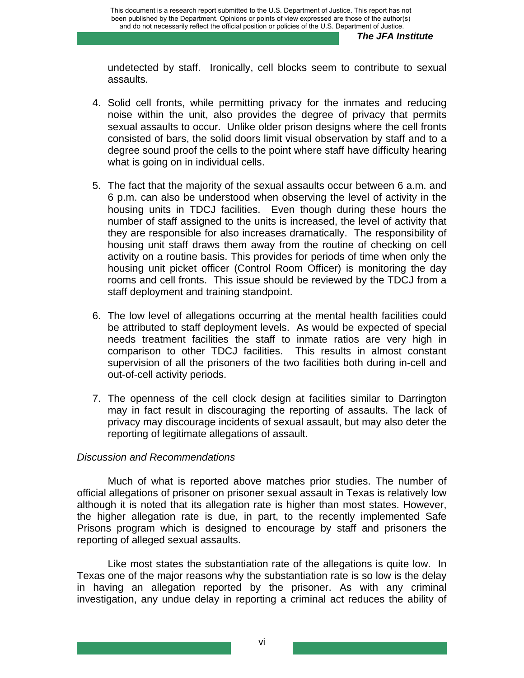undetected by staff. Ironically, cell blocks seem to contribute to sexual assaults.

- 4. Solid cell fronts, while permitting privacy for the inmates and reducing noise within the unit, also provides the degree of privacy that permits sexual assaults to occur. Unlike older prison designs where the cell fronts consisted of bars, the solid doors limit visual observation by staff and to a degree sound proof the cells to the point where staff have difficulty hearing what is going on in individual cells.
- 5. The fact that the majority of the sexual assaults occur between 6 a.m. and 6 p.m. can also be understood when observing the level of activity in the housing units in TDCJ facilities. Even though during these hours the number of staff assigned to the units is increased, the level of activity that they are responsible for also increases dramatically. The responsibility of housing unit staff draws them away from the routine of checking on cell activity on a routine basis. This provides for periods of time when only the housing unit picket officer (Control Room Officer) is monitoring the day rooms and cell fronts. This issue should be reviewed by the TDCJ from a staff deployment and training standpoint.
- 6. The low level of allegations occurring at the mental health facilities could be attributed to staff deployment levels. As would be expected of special needs treatment facilities the staff to inmate ratios are very high in comparison to other TDCJ facilities. This results in almost constant supervision of all the prisoners of the two facilities both during in-cell and out-of-cell activity periods.
- 7. The openness of the cell clock design at facilities similar to Darrington may in fact result in discouraging the reporting of assaults. The lack of privacy may discourage incidents of sexual assault, but may also deter the reporting of legitimate allegations of assault.

## *Discussion and Recommendations*

Much of what is reported above matches prior studies. The number of official allegations of prisoner on prisoner sexual assault in Texas is relatively low although it is noted that its allegation rate is higher than most states. However, the higher allegation rate is due, in part, to the recently implemented Safe Prisons program which is designed to encourage by staff and prisoners the reporting of alleged sexual assaults.

 Like most states the substantiation rate of the allegations is quite low. In Texas one of the major reasons why the substantiation rate is so low is the delay in having an allegation reported by the prisoner. As with any criminal investigation, any undue delay in reporting a criminal act reduces the ability of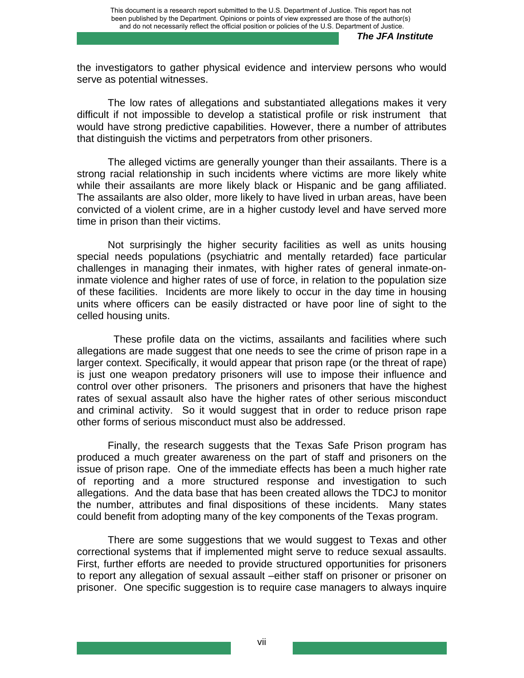the investigators to gather physical evidence and interview persons who would serve as potential witnesses.

The low rates of allegations and substantiated allegations makes it very difficult if not impossible to develop a statistical profile or risk instrument that would have strong predictive capabilities. However, there a number of attributes that distinguish the victims and perpetrators from other prisoners.

The alleged victims are generally younger than their assailants. There is a strong racial relationship in such incidents where victims are more likely white while their assailants are more likely black or Hispanic and be gang affiliated. The assailants are also older, more likely to have lived in urban areas, have been convicted of a violent crime, are in a higher custody level and have served more time in prison than their victims.

 Not surprisingly the higher security facilities as well as units housing special needs populations (psychiatric and mentally retarded) face particular challenges in managing their inmates, with higher rates of general inmate-oninmate violence and higher rates of use of force, in relation to the population size of these facilities. Incidents are more likely to occur in the day time in housing units where officers can be easily distracted or have poor line of sight to the celled housing units.

 These profile data on the victims, assailants and facilities where such allegations are made suggest that one needs to see the crime of prison rape in a larger context. Specifically, it would appear that prison rape (or the threat of rape) is just one weapon predatory prisoners will use to impose their influence and control over other prisoners. The prisoners and prisoners that have the highest rates of sexual assault also have the higher rates of other serious misconduct and criminal activity. So it would suggest that in order to reduce prison rape other forms of serious misconduct must also be addressed.

Finally, the research suggests that the Texas Safe Prison program has produced a much greater awareness on the part of staff and prisoners on the issue of prison rape. One of the immediate effects has been a much higher rate of reporting and a more structured response and investigation to such allegations. And the data base that has been created allows the TDCJ to monitor the number, attributes and final dispositions of these incidents. Many states could benefit from adopting many of the key components of the Texas program.

There are some suggestions that we would suggest to Texas and other correctional systems that if implemented might serve to reduce sexual assaults. First, further efforts are needed to provide structured opportunities for prisoners to report any allegation of sexual assault –either staff on prisoner or prisoner on prisoner. One specific suggestion is to require case managers to always inquire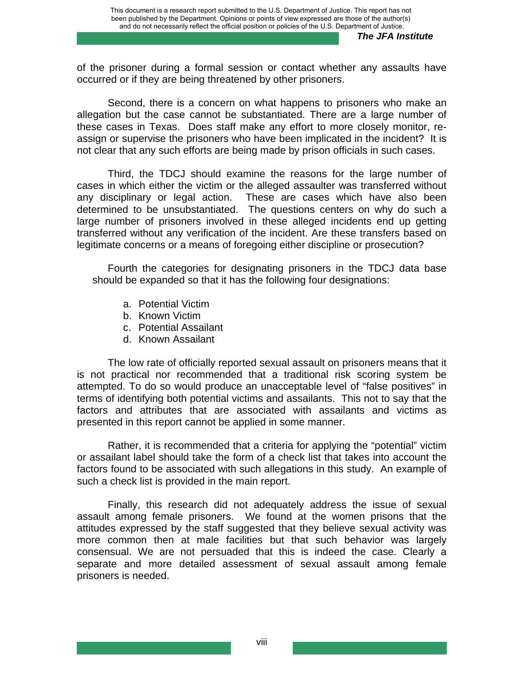of the prisoner during a formal session or contact whether any assaults have occurred or if they are being threatened by other prisoners.

Second, there is a concern on what happens to prisoners who make an allegation but the case cannot be substantiated. There are a large number of these cases in Texas. Does staff make any effort to more closely monitor, reassign or supervise the prisoners who have been implicated in the incident? It is not clear that any such efforts are being made by prison officials in such cases.

Third, the TDCJ should examine the reasons for the large number of cases in which either the victim or the alleged assaulter was transferred without any disciplinary or legal action. These are cases which have also been determined to be unsubstantiated. The questions centers on why do such a large number of prisoners involved in these alleged incidents end up getting transferred without any verification of the incident. Are these transfers based on legitimate concerns or a means of foregoing either discipline or prosecution?

Fourth the categories for designating prisoners in the TDCJ data base should be expanded so that it has the following four designations:

- a. Potential Victim
- b. Known Victim
- c. Potential Assailant
- d. Known Assailant

The low rate of officially reported sexual assault on prisoners means that it is not practical nor recommended that a traditional risk scoring system be attempted. To do so would produce an unacceptable level of "false positives" in terms of identifying both potential victims and assailants. This not to say that the factors and attributes that are associated with assailants and victims as presented in this report cannot be applied in some manner.

Rather, it is recommended that a criteria for applying the "potential" victim or assailant label should take the form of a check list that takes into account the factors found to be associated with such allegations in this study. An example of such a check list is provided in the main report.

Finally, this research did not adequately address the issue of sexual assault among female prisoners. We found at the women prisons that the attitudes expressed by the staff suggested that they believe sexual activity was more common then at male facilities but that such behavior was largely consensual. We are not persuaded that this is indeed the case. Clearly a separate and more detailed assessment of sexual assault among female prisoners is needed.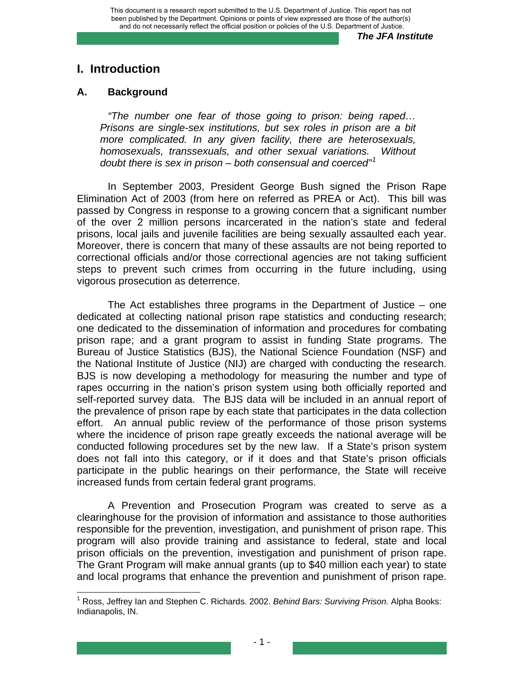# **I. Introduction**

#### **A. Background**

*"The number one fear of those going to prison: being raped… Prisons are single-sex institutions, but sex roles in prison are a bit more complicated. In any given facility, there are heterosexuals, homosexuals, transsexuals, and other sexual variations. Without doubt there is sex in prison – both consensual and coerced"[1](#page-9-0)* 

 In September 2003, President George Bush signed the Prison Rape Elimination Act of 2003 (from here on referred as PREA or Act). This bill was passed by Congress in response to a growing concern that a significant number of the over 2 million persons incarcerated in the nation's state and federal prisons, local jails and juvenile facilities are being sexually assaulted each year. Moreover, there is concern that many of these assaults are not being reported to correctional officials and/or those correctional agencies are not taking sufficient steps to prevent such crimes from occurring in the future including, using vigorous prosecution as deterrence.

 The Act establishes three programs in the Department of Justice – one dedicated at collecting national prison rape statistics and conducting research; one dedicated to the dissemination of information and procedures for combating prison rape; and a grant program to assist in funding State programs. The Bureau of Justice Statistics (BJS), the National Science Foundation (NSF) and the National Institute of Justice (NIJ) are charged with conducting the research. BJS is now developing a methodology for measuring the number and type of rapes occurring in the nation's prison system using both officially reported and self-reported survey data. The BJS data will be included in an annual report of the prevalence of prison rape by each state that participates in the data collection effort. An annual public review of the performance of those prison systems where the incidence of prison rape greatly exceeds the national average will be conducted following procedures set by the new law. If a State's prison system does not fall into this category, or if it does and that State's prison officials participate in the public hearings on their performance, the State will receive increased funds from certain federal grant programs.

A Prevention and Prosecution Program was created to serve as a clearinghouse for the provision of information and assistance to those authorities responsible for the prevention, investigation, and punishment of prison rape. This program will also provide training and assistance to federal, state and local prison officials on the prevention, investigation and punishment of prison rape. The Grant Program will make annual grants (up to \$40 million each year) to state and local programs that enhance the prevention and punishment of prison rape.

<span id="page-9-0"></span><sup>1</sup> Ross, Jeffrey Ian and Stephen C. Richards. 2002. *Behind Bars: Surviving Prison.* Alpha Books: Indianapolis, IN.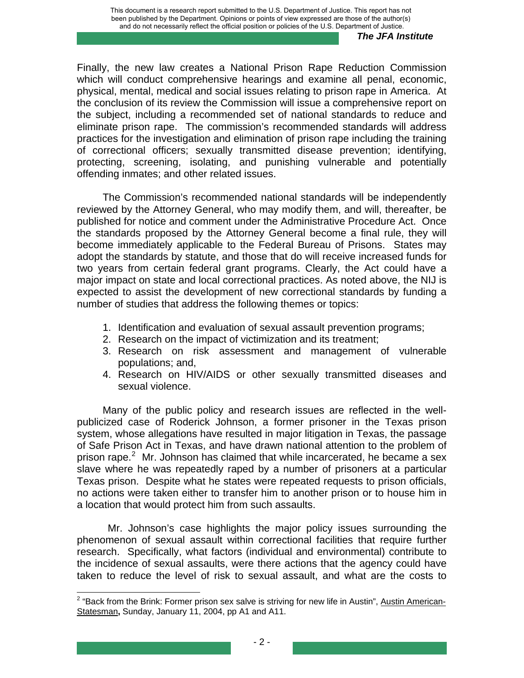Finally, the new law creates a National Prison Rape Reduction Commission which will conduct comprehensive hearings and examine all penal, economic, physical, mental, medical and social issues relating to prison rape in America. At the conclusion of its review the Commission will issue a comprehensive report on the subject, including a recommended set of national standards to reduce and eliminate prison rape. The commission's recommended standards will address practices for the investigation and elimination of prison rape including the training of correctional officers; sexually transmitted disease prevention; identifying, protecting, screening, isolating, and punishing vulnerable and potentially offending inmates; and other related issues.

The Commission's recommended national standards will be independently reviewed by the Attorney General, who may modify them, and will, thereafter, be published for notice and comment under the Administrative Procedure Act. Once the standards proposed by the Attorney General become a final rule, they will become immediately applicable to the Federal Bureau of Prisons. States may adopt the standards by statute, and those that do will receive increased funds for two years from certain federal grant programs. Clearly, the Act could have a major impact on state and local correctional practices. As noted above, the NIJ is expected to assist the development of new correctional standards by funding a number of studies that address the following themes or topics:

- 1. Identification and evaluation of sexual assault prevention programs;
- 2. Research on the impact of victimization and its treatment;
- 3. Research on risk assessment and management of vulnerable populations; and,
- 4. Research on HIV/AIDS or other sexually transmitted diseases and sexual violence.

Many of the public policy and research issues are reflected in the wellpublicized case of Roderick Johnson, a former prisoner in the Texas prison system, whose allegations have resulted in major litigation in Texas, the passage of Safe Prison Act in Texas, and have drawn national attention to the problem of prison rape. $2$  Mr. Johnson has claimed that while incarcerated, he became a sex slave where he was repeatedly raped by a number of prisoners at a particular Texas prison. Despite what he states were repeated requests to prison officials, no actions were taken either to transfer him to another prison or to house him in a location that would protect him from such assaults.

 Mr. Johnson's case highlights the major policy issues surrounding the phenomenon of sexual assault within correctional facilities that require further research. Specifically, what factors (individual and environmental) contribute to the incidence of sexual assaults, were there actions that the agency could have taken to reduce the level of risk to sexual assault, and what are the costs to

<span id="page-10-0"></span><sup>&</sup>lt;u>.</u><br><sup>2</sup> "Back from the Brink: Former prison sex salve is striving for new life in Austin", <u>Austin American-</u> Statesman**,** Sunday, January 11, 2004, pp A1 and A11.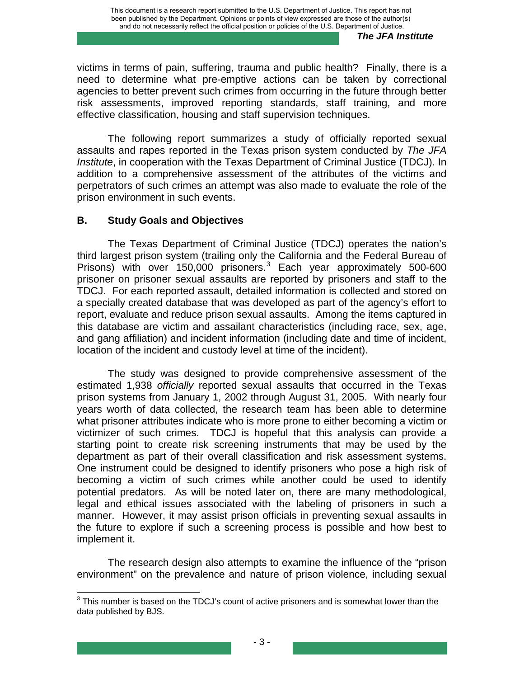victims in terms of pain, suffering, trauma and public health? Finally, there is a need to determine what pre-emptive actions can be taken by correctional agencies to better prevent such crimes from occurring in the future through better risk assessments, improved reporting standards, staff training, and more effective classification, housing and staff supervision techniques.

 The following report summarizes a study of officially reported sexual assaults and rapes reported in the Texas prison system conducted by *The JFA Institute*, in cooperation with the Texas Department of Criminal Justice (TDCJ). In addition to a comprehensive assessment of the attributes of the victims and perpetrators of such crimes an attempt was also made to evaluate the role of the prison environment in such events.

## **B. Study Goals and Objectives**

The Texas Department of Criminal Justice (TDCJ) operates the nation's third largest prison system (trailing only the California and the Federal Bureau of Prisons) with over 150,000 prisoners.<sup>[3](#page-11-0)</sup> Each year approximately 500-600 prisoner on prisoner sexual assaults are reported by prisoners and staff to the TDCJ. For each reported assault, detailed information is collected and stored on a specially created database that was developed as part of the agency's effort to report, evaluate and reduce prison sexual assaults. Among the items captured in this database are victim and assailant characteristics (including race, sex, age, and gang affiliation) and incident information (including date and time of incident, location of the incident and custody level at time of the incident).

The study was designed to provide comprehensive assessment of the estimated 1,938 *officially* reported sexual assaults that occurred in the Texas prison systems from January 1, 2002 through August 31, 2005. With nearly four years worth of data collected, the research team has been able to determine what prisoner attributes indicate who is more prone to either becoming a victim or victimizer of such crimes. TDCJ is hopeful that this analysis can provide a starting point to create risk screening instruments that may be used by the department as part of their overall classification and risk assessment systems. One instrument could be designed to identify prisoners who pose a high risk of becoming a victim of such crimes while another could be used to identify potential predators. As will be noted later on, there are many methodological, legal and ethical issues associated with the labeling of prisoners in such a manner. However, it may assist prison officials in preventing sexual assaults in the future to explore if such a screening process is possible and how best to implement it.

 The research design also attempts to examine the influence of the "prison environment" on the prevalence and nature of prison violence, including sexual

<span id="page-11-0"></span> $3$  This number is based on the TDCJ's count of active prisoners and is somewhat lower than the data published by BJS.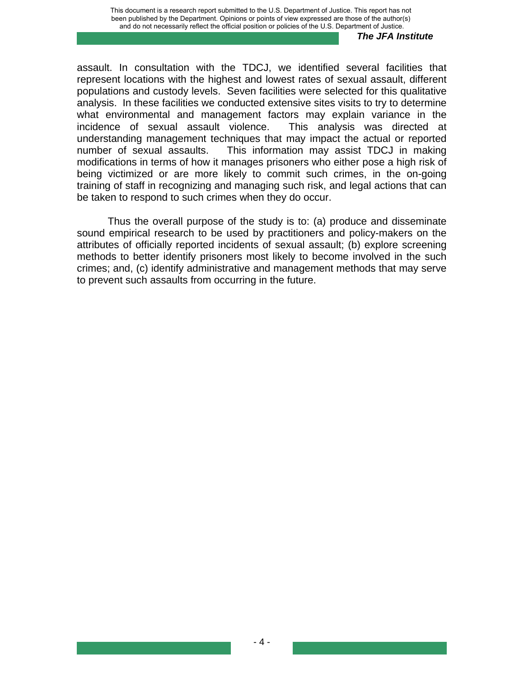assault. In consultation with the TDCJ, we identified several facilities that represent locations with the highest and lowest rates of sexual assault, different populations and custody levels. Seven facilities were selected for this qualitative analysis. In these facilities we conducted extensive sites visits to try to determine what environmental and management factors may explain variance in the incidence of sexual assault violence. This analysis was directed at understanding management techniques that may impact the actual or reported number of sexual assaults. This information may assist TDCJ in making modifications in terms of how it manages prisoners who either pose a high risk of being victimized or are more likely to commit such crimes, in the on-going training of staff in recognizing and managing such risk, and legal actions that can be taken to respond to such crimes when they do occur.

 Thus the overall purpose of the study is to: (a) produce and disseminate sound empirical research to be used by practitioners and policy-makers on the attributes of officially reported incidents of sexual assault; (b) explore screening methods to better identify prisoners most likely to become involved in the such crimes; and, (c) identify administrative and management methods that may serve to prevent such assaults from occurring in the future.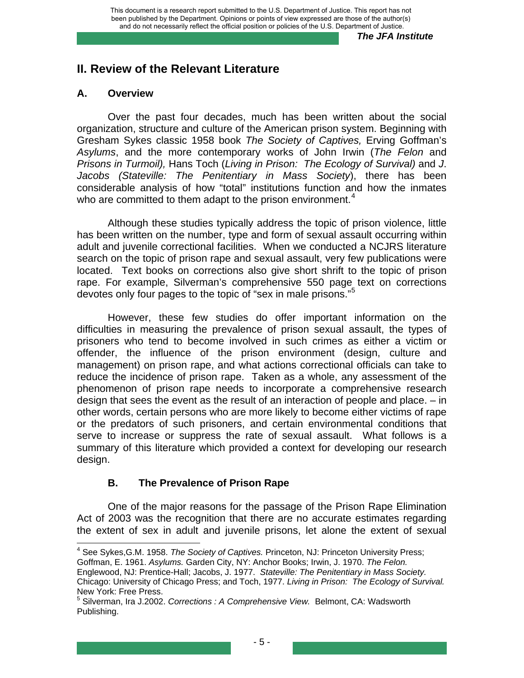# **II. Review of the Relevant Literature**

## **A. Overview**

Over the past four decades, much has been written about the social organization, structure and culture of the American prison system. Beginning with Gresham Sykes classic 1958 book *The Society of Captives,* Erving Goffman's *Asylums*, and the more contemporary works of John Irwin (*The Felon* and *Prisons in Turmoil),* Hans Toch (*Living in Prison: The Ecology of Survival)* and *J*. *Jacobs (Stateville: The Penitentiary in Mass Society*), there has been considerable analysis of how "total" institutions function and how the inmates who are committed to them adapt to the prison environment.<sup>[4](#page-13-0)</sup>

Although these studies typically address the topic of prison violence, little has been written on the number, type and form of sexual assault occurring within adult and juvenile correctional facilities. When we conducted a NCJRS literature search on the topic of prison rape and sexual assault, very few publications were located. Text books on corrections also give short shrift to the topic of prison rape. For example, Silverman's comprehensive 550 page text on corrections devotes only four pages to the topic of "sex in male prisons."<sup>[5](#page-13-1)</sup>

However, these few studies do offer important information on the difficulties in measuring the prevalence of prison sexual assault, the types of prisoners who tend to become involved in such crimes as either a victim or offender, the influence of the prison environment (design, culture and management) on prison rape, and what actions correctional officials can take to reduce the incidence of prison rape. Taken as a whole, any assessment of the phenomenon of prison rape needs to incorporate a comprehensive research design that sees the event as the result of an interaction of people and place. – in other words, certain persons who are more likely to become either victims of rape or the predators of such prisoners, and certain environmental conditions that serve to increase or suppress the rate of sexual assault. What follows is a summary of this literature which provided a context for developing our research design.

## **B. The Prevalence of Prison Rape**

 One of the major reasons for the passage of the Prison Rape Elimination Act of 2003 was the recognition that there are no accurate estimates regarding the extent of sex in adult and juvenile prisons, let alone the extent of sexual

 4 See Sykes,G.M. 1958. *The Society of Captives.* Princeton, NJ: Princeton University Press;

<span id="page-13-0"></span>Goffman, E. 1961. *Asylums.* Garden City, NY: Anchor Books; Irwin, J. 1970. *The Felon.*  Englewood, NJ: Prentice-Hall; Jacobs, J. 1977. *Stateville: The Penitentiary in Mass Society.* Chicago: University of Chicago Press; and Toch, 1977. *Living in Prison: The Ecology of Survival.*

<span id="page-13-1"></span>New York: Free Press.<br><sup>5</sup> Silverman, Ira J.2002. *Corrections : A Comprehensive View.* Belmont, CA: Wadsworth Publishing.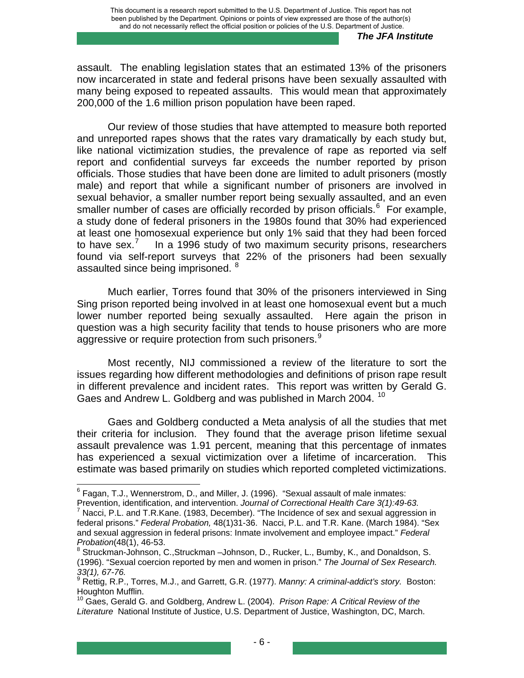assault. The enabling legislation states that an estimated 13% of the prisoners now incarcerated in state and federal prisons have been sexually assaulted with many being exposed to repeated assaults. This would mean that approximately 200,000 of the 1.6 million prison population have been raped.

 Our review of those studies that have attempted to measure both reported and unreported rapes shows that the rates vary dramatically by each study but, like national victimization studies, the prevalence of rape as reported via self report and confidential surveys far exceeds the number reported by prison officials. Those studies that have been done are limited to adult prisoners (mostly male) and report that while a significant number of prisoners are involved in sexual behavior, a smaller number report being sexually assaulted, and an even smaller number of cases are officially recorded by prison officials. $<sup>6</sup>$  $<sup>6</sup>$  $<sup>6</sup>$  For example,</sup> a study done of federal prisoners in the 1980s found that 30% had experienced at least one homosexual experience but only 1% said that they had been forced to have sex. $<sup>7</sup>$  $<sup>7</sup>$  $<sup>7</sup>$ </sup> In a 1996 study of two maximum security prisons, researchers found via self-report surveys that 22% of the prisoners had been sexually assaulted since being imprisoned. <sup>[8](#page-14-2)</sup>

Much earlier, Torres found that 30% of the prisoners interviewed in Sing Sing prison reported being involved in at least one homosexual event but a much lower number reported being sexually assaulted. Here again the prison in question was a high security facility that tends to house prisoners who are more aggressive or require protection from such prisoners.<sup>[9](#page-14-3)</sup>

Most recently, NIJ commissioned a review of the literature to sort the issues regarding how different methodologies and definitions of prison rape result in different prevalence and incident rates. This report was written by Gerald G. Gaes and Andrew L. Goldberg and was published in March 2004.<sup>[10](#page-14-4)</sup>

Gaes and Goldberg conducted a Meta analysis of all the studies that met their criteria for inclusion. They found that the average prison lifetime sexual assault prevalence was 1.91 percent, meaning that this percentage of inmates has experienced a sexual victimization over a lifetime of incarceration. This estimate was based primarily on studies which reported completed victimizations.

<span id="page-14-0"></span> 6 Fagan, T.J., Wennerstrom, D., and Miller, J. (1996). "Sexual assault of male inmates: Prevention, identification, and intervention. *Journal of Correctional Health Care 3(1):49-63.* <sup>7</sup>

<span id="page-14-1"></span> $^7$  Nacci, P.L. and T.R.Kane. (1983, December). "The Incidence of sex and sexual aggression in federal prisons." *Federal Probation,* 48(1)31-36. Nacci, P.L. and T.R. Kane. (March 1984). "Sex and sexual aggression in federal prisons: Inmate involvement and employee impact." *Federal Probation*(48(1), 46-53. 8

<span id="page-14-2"></span>Struckman-Johnson, C.,Struckman –Johnson, D., Rucker, L., Bumby, K., and Donaldson, S. (1996). "Sexual coercion reported by men and women in prison." *The Journal of Sex Research.* 

*<sup>33(1), 67-76.</sup>* 9 Rettig, R.P., Torres, M.J., and Garrett, G.R. (1977). *Manny: A criminal-addict's story.* Boston:

<span id="page-14-4"></span><span id="page-14-3"></span>Houghton Mufflin.<br><sup>10</sup> Gaes, Gerald G. and Goldberg, Andrew L. (2004). *Prison Rape: A Critical Review of the Literature* National Institute of Justice, U.S. Department of Justice, Washington, DC, March.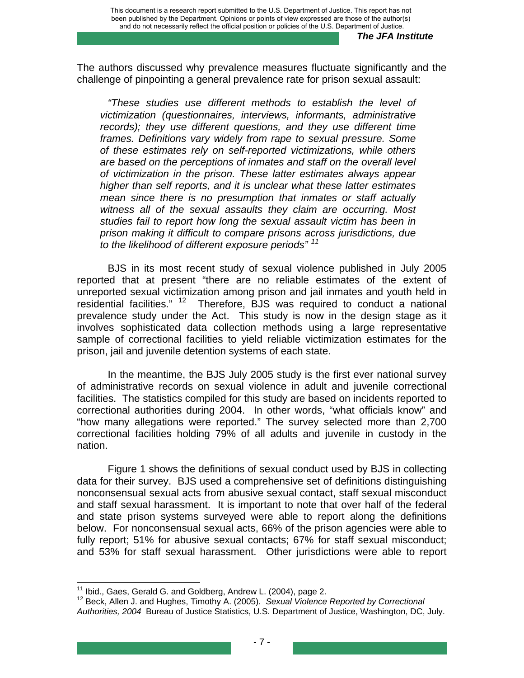The authors discussed why prevalence measures fluctuate significantly and the challenge of pinpointing a general prevalence rate for prison sexual assault:

*"These studies use different methods to establish the level of victimization (questionnaires, interviews, informants, administrative records); they use different questions, and they use different time frames. Definitions vary widely from rape to sexual pressure. Some of these estimates rely on self-reported victimizations, while others are based on the perceptions of inmates and staff on the overall level of victimization in the prison. These latter estimates always appear higher than self reports, and it is unclear what these latter estimates mean since there is no presumption that inmates or staff actually witness all of the sexual assaults they claim are occurring. Most studies fail to report how long the sexual assault victim has been in prison making it difficult to compare prisons across jurisdictions, due to the likelihood of different exposure periods" [11](#page-15-0)*

 BJS in its most recent study of sexual violence published in July 2005 reported that at present "there are no reliable estimates of the extent of unreported sexual victimization among prison and jail inmates and youth held in residential facilities." [12](#page-15-1) Therefore, BJS was required to conduct a national prevalence study under the Act. This study is now in the design stage as it involves sophisticated data collection methods using a large representative sample of correctional facilities to yield reliable victimization estimates for the prison, jail and juvenile detention systems of each state.

In the meantime, the BJS July 2005 study is the first ever national survey of administrative records on sexual violence in adult and juvenile correctional facilities. The statistics compiled for this study are based on incidents reported to correctional authorities during 2004. In other words, "what officials know" and "how many allegations were reported." The survey selected more than 2,700 correctional facilities holding 79% of all adults and juvenile in custody in the nation.

Figure 1 shows the definitions of sexual conduct used by BJS in collecting data for their survey. BJS used a comprehensive set of definitions distinguishing nonconsensual sexual acts from abusive sexual contact, staff sexual misconduct and staff sexual harassment. It is important to note that over half of the federal and state prison systems surveyed were able to report along the definitions below. For nonconsensual sexual acts, 66% of the prison agencies were able to fully report; 51% for abusive sexual contacts; 67% for staff sexual misconduct; and 53% for staff sexual harassment. Other jurisdictions were able to report

<span id="page-15-0"></span><sup>&</sup>lt;sup>11</sup> Ibid., Gaes, Gerald G. and Goldberg, Andrew L. (2004), page 2.

<span id="page-15-1"></span><sup>&</sup>lt;sup>12</sup> Beck, Allen J. and Hughes, Timothy A. (2005). Sexual Violence Reported by Correctional *Authorities, 2004* Bureau of Justice Statistics, U.S. Department of Justice, Washington, DC, July.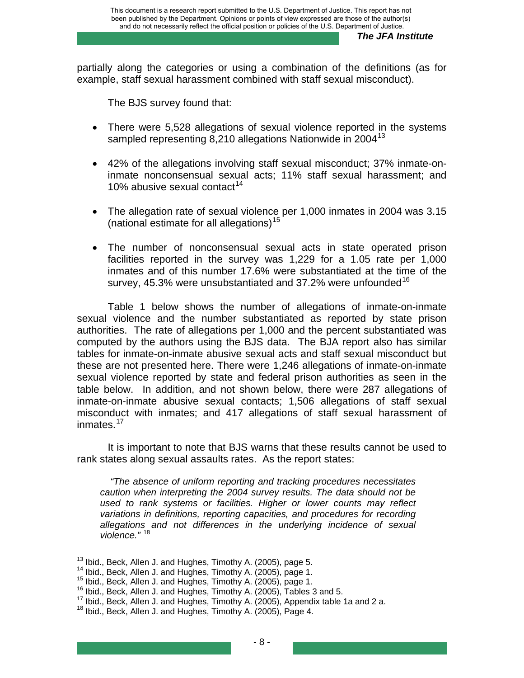partially along the categories or using a combination of the definitions (as for example, staff sexual harassment combined with staff sexual misconduct).

The BJS survey found that:

- There were 5,528 allegations of sexual violence reported in the systems sampled representing 8,210 allegations Nationwide in 2004<sup>[13](#page-16-0)</sup>
- 42% of the allegations involving staff sexual misconduct; 37% inmate-oninmate nonconsensual sexual acts; 11% staff sexual harassment; and 10% abusive sexual contact<sup>[14](#page-16-1)</sup>
- The allegation rate of sexual violence per 1,000 inmates in 2004 was 3.15 (national estimate for all allegations)<sup>[15](#page-16-2)</sup>
- The number of nonconsensual sexual acts in state operated prison facilities reported in the survey was 1,229 for a 1.05 rate per 1,000 inmates and of this number 17.6% were substantiated at the time of the survey, 45.3% were unsubstantiated and 37.2% were unfounded  $16$

Table 1 below shows the number of allegations of inmate-on-inmate sexual violence and the number substantiated as reported by state prison authorities. The rate of allegations per 1,000 and the percent substantiated was computed by the authors using the BJS data. The BJA report also has similar tables for inmate-on-inmate abusive sexual acts and staff sexual misconduct but these are not presented here. There were 1,246 allegations of inmate-on-inmate sexual violence reported by state and federal prison authorities as seen in the table below. In addition, and not shown below, there were 287 allegations of inmate-on-inmate abusive sexual contacts; 1,506 allegations of staff sexual misconduct with inmates; and 417 allegations of staff sexual harassment of inmates.<sup>[17](#page-16-4)</sup>

It is important to note that BJS warns that these results cannot be used to rank states along sexual assaults rates. As the report states:

 *"The absence of uniform reporting and tracking procedures necessitates caution when interpreting the 2004 survey results. The data should not be used to rank systems or facilities. Higher or lower counts may reflect variations in definitions, reporting capacities, and procedures for recording allegations and not differences in the underlying incidence of sexual violence."* [18](#page-16-5)

<span id="page-16-0"></span><sup>&</sup>lt;sup>13</sup> Ibid., Beck, Allen J. and Hughes, Timothy A. (2005), page 5.

<span id="page-16-3"></span>

<span id="page-16-2"></span><span id="page-16-1"></span><sup>&</sup>lt;sup>14</sup> Ibid., Beck, Allen J. and Hughes, Timothy A. (2005), page 1.<br><sup>15</sup> Ibid., Beck, Allen J. and Hughes, Timothy A. (2005), page 1.<br><sup>16</sup> Ibid., Beck, Allen J. and Hughes, Timothy A. (2005), Tables 3 and 5.<br><sup>17</sup> Ibid., Bec

<span id="page-16-5"></span><span id="page-16-4"></span>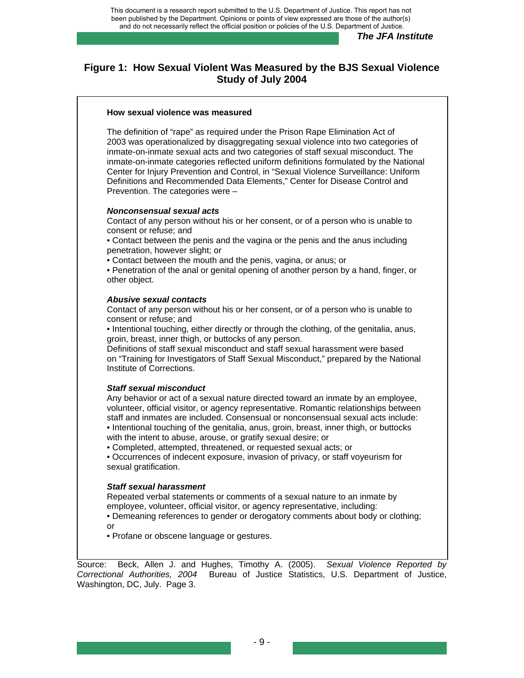## **Figure 1: How Sexual Violent Was Measured by the BJS Sexual Violence Study of July 2004**

#### **How sexual violence was measured**

The definition of "rape" as required under the Prison Rape Elimination Act of 2003 was operationalized by disaggregating sexual violence into two categories of inmate-on-inmate sexual acts and two categories of staff sexual misconduct. The inmate-on-inmate categories reflected uniform definitions formulated by the National Center for Injury Prevention and Control, in "Sexual Violence Surveillance: Uniform Definitions and Recommended Data Elements," Center for Disease Control and Prevention. The categories were –

#### *Nonconsensual sexual acts*

Contact of any person without his or her consent, or of a person who is unable to consent or refuse; and

• Contact between the penis and the vagina or the penis and the anus including penetration, however slight; or

• Contact between the mouth and the penis, vagina, or anus; or

• Penetration of the anal or genital opening of another person by a hand, finger, or other object.

#### *Abusive sexual contacts*

Contact of any person without his or her consent, or of a person who is unable to consent or refuse; and

• Intentional touching, either directly or through the clothing, of the genitalia, anus, groin, breast, inner thigh, or buttocks of any person.

Definitions of staff sexual misconduct and staff sexual harassment were based on "Training for Investigators of Staff Sexual Misconduct," prepared by the National Institute of Corrections.

#### *Staff sexual misconduct*

Any behavior or act of a sexual nature directed toward an inmate by an employee, volunteer, official visitor, or agency representative. Romantic relationships between staff and inmates are included. Consensual or nonconsensual sexual acts include: • Intentional touching of the genitalia, anus, groin, breast, inner thigh, or buttocks with the intent to abuse, arouse, or gratify sexual desire; or

• Completed, attempted, threatened, or requested sexual acts; or

• Occurrences of indecent exposure, invasion of privacy, or staff voyeurism for sexual gratification.

#### *Staff sexual harassment*

Repeated verbal statements or comments of a sexual nature to an inmate by employee, volunteer, official visitor, or agency representative, including:

• Demeaning references to gender or derogatory comments about body or clothing; or

• Profane or obscene language or gestures.

Source: Beck, Allen J. and Hughes, Timothy A. (2005). *Sexual Violence Reported by Correctional Authorities, 2004* Bureau of Justice Statistics, U.S. Department of Justice, Washington, DC, July. Page 3.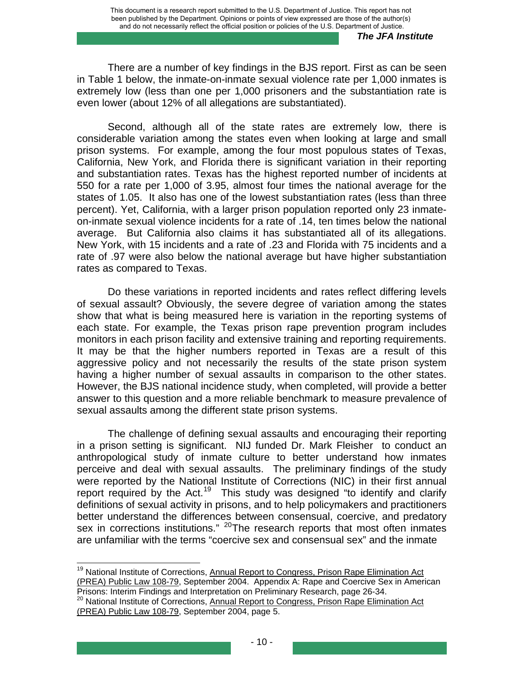There are a number of key findings in the BJS report. First as can be seen in Table 1 below, the inmate-on-inmate sexual violence rate per 1,000 inmates is extremely low (less than one per 1,000 prisoners and the substantiation rate is even lower (about 12% of all allegations are substantiated).

Second, although all of the state rates are extremely low, there is considerable variation among the states even when looking at large and small prison systems. For example, among the four most populous states of Texas, California, New York, and Florida there is significant variation in their reporting and substantiation rates. Texas has the highest reported number of incidents at 550 for a rate per 1,000 of 3.95, almost four times the national average for the states of 1.05. It also has one of the lowest substantiation rates (less than three percent). Yet, California, with a larger prison population reported only 23 inmateon-inmate sexual violence incidents for a rate of .14, ten times below the national average. But California also claims it has substantiated all of its allegations. New York, with 15 incidents and a rate of .23 and Florida with 75 incidents and a rate of .97 were also below the national average but have higher substantiation rates as compared to Texas.

Do these variations in reported incidents and rates reflect differing levels of sexual assault? Obviously, the severe degree of variation among the states show that what is being measured here is variation in the reporting systems of each state. For example, the Texas prison rape prevention program includes monitors in each prison facility and extensive training and reporting requirements. It may be that the higher numbers reported in Texas are a result of this aggressive policy and not necessarily the results of the state prison system having a higher number of sexual assaults in comparison to the other states. However, the BJS national incidence study, when completed, will provide a better answer to this question and a more reliable benchmark to measure prevalence of sexual assaults among the different state prison systems.

The challenge of defining sexual assaults and encouraging their reporting in a prison setting is significant. NIJ funded Dr. Mark Fleisher to conduct an anthropological study of inmate culture to better understand how inmates perceive and deal with sexual assaults. The preliminary findings of the study were reported by the National Institute of Corrections (NIC) in their first annual report required by the Act.<sup>[19](#page-18-0)</sup> This study was designed "to identify and clarify definitions of sexual activity in prisons, and to help policymakers and practitioners better understand the differences between consensual, coercive, and predatory sex in corrections institutions."  $^{20}$  $^{20}$  $^{20}$ The research reports that most often inmates are unfamiliar with the terms "coercive sex and consensual sex" and the inmate

<span id="page-18-0"></span><sup>&</sup>lt;sup>19</sup> National Institute of Corrections, Annual Report to Congress, Prison Rape Elimination Act (PREA) Public Law 108-79, September 2004. Appendix A: Rape and Coercive Sex in American Prisons: Interim Findings and Interpretation on Preliminary Research, page 26-34.

<span id="page-18-1"></span><sup>20</sup> National Institute of Corrections, Annual Report to Congress, Prison Rape Elimination Act (PREA) Public Law 108-79, September 2004, page 5.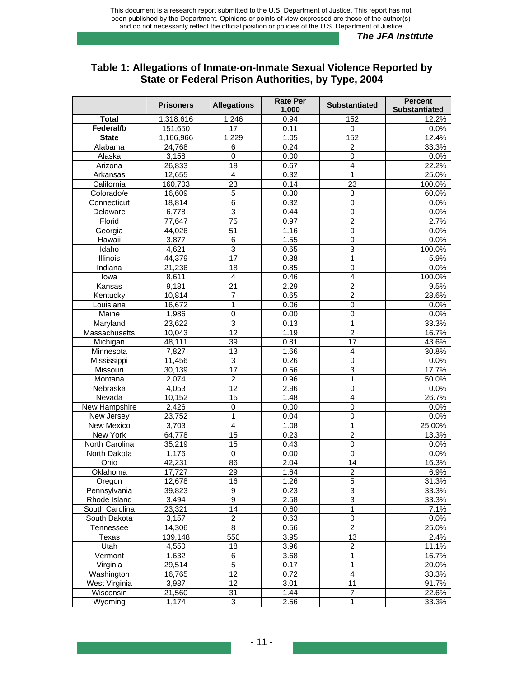## **Table 1: Allegations of Inmate-on-Inmate Sexual Violence Reported by State or Federal Prison Authorities, by Type, 2004**

|                | <b>Prisoners</b> | <b>Allegations</b>      | <b>Rate Per</b><br>1,000 | <b>Substantiated</b> | <b>Percent</b><br><b>Substantiated</b> |
|----------------|------------------|-------------------------|--------------------------|----------------------|----------------------------------------|
| <b>Total</b>   | 1,318,616        | 1,246                   | 0.94                     | 152                  | 12.2%                                  |
| Federal/b      | 151,650          | 17                      | 0.11                     | $\mathbf 0$          | 0.0%                                   |
| <b>State</b>   | 1,166,966        | 1,229                   | 1.05                     | 152                  | 12.4%                                  |
| Alabama        | 24,768           | 6                       | 0.24                     | $\overline{c}$       | 33.3%                                  |
| Alaska         | 3,158            | 0                       | 0.00                     | $\mathbf 0$          | 0.0%                                   |
| Arizona        | 26,833           | 18                      | 0.67                     | $\overline{4}$       | 22.2%                                  |
| Arkansas       | 12,655           | $\overline{4}$          | 0.32                     | $\mathbf{1}$         | 25.0%                                  |
| California     | 160,703          | 23                      | 0.14                     | 23                   | 100.0%                                 |
| Colorado/e     | 16,609           | 5                       | 0.30                     | 3                    | 60.0%                                  |
| Connecticut    | 18,814           | 6                       | 0.32                     | 0                    | 0.0%                                   |
| Delaware       | 6,778            | $\overline{3}$          | 0.44                     | $\overline{0}$       | 0.0%                                   |
| Florid         | 77,647           | 75                      | 0.97                     | $\overline{2}$       | 2.7%                                   |
| Georgia        | 44,026           | 51                      | 1.16                     | $\mathbf 0$          | 0.0%                                   |
| Hawaii         | 3,877            | 6                       | 1.55                     | 0                    | 0.0%                                   |
| Idaho          | 4,621            | $\overline{3}$          | 0.65                     | 3                    | 100.0%                                 |
| Illinois       | 44,379           | $\overline{17}$         | 0.38                     | 1                    | 5.9%                                   |
| Indiana        | 21,236           | 18                      | 0.85                     | $\mathbf 0$          | 0.0%                                   |
| lowa           | 8,611            | $\overline{4}$          | 0.46                     | 4                    | 100.0%                                 |
| Kansas         | 9,181            | 21                      | 2.29                     | $\overline{c}$       | 9.5%                                   |
| Kentucky       | 10,814           | 7                       | 0.65                     | $\overline{2}$       | 28.6%                                  |
| Louisiana      | 16,672           | 1                       | 0.06                     | $\overline{0}$       | 0.0%                                   |
| Maine          | 1,986            | $\overline{0}$          | 0.00                     | $\overline{0}$       | 0.0%                                   |
| Maryland       | 23,622           | $\overline{3}$          | 0.13                     | 1                    | 33.3%                                  |
| Massachusetts  | 10,043           | $\overline{12}$         | 1.19                     | $\overline{2}$       | 16.7%                                  |
| Michigan       | 48,111           | 39                      | 0.81                     | 17                   | 43.6%                                  |
| Minnesota      | 7,827            | 13                      | 1.66                     | $\overline{4}$       | 30.8%                                  |
| Mississippi    | 11,456           | $\mathbf{3}$            | 0.26                     | $\mathbf 0$          | 0.0%                                   |
| Missouri       | 30,139           | 17                      | 0.56                     | $\overline{3}$       | 17.7%                                  |
| Montana        | 2,074            | $\overline{c}$          | 0.96                     | 1                    | 50.0%                                  |
| Nebraska       | 4,053            | 12                      | 2.96                     | $\overline{0}$       | 0.0%                                   |
| Nevada         | 10,152           | $\overline{15}$         | 1.48                     | $\overline{4}$       | 26.7%                                  |
| New Hampshire  | 2,426            | 0                       | 0.00                     | $\mathbf 0$          | 0.0%                                   |
| New Jersey     | 23,752           | 1                       | 0.04                     | $\overline{0}$       | 0.0%                                   |
| New Mexico     | 3,703            | $\overline{\mathbf{4}}$ | 1.08                     | 1                    | 25.00%                                 |
| New York       | 64,778           | $\overline{15}$         | 0.23                     | $\overline{2}$       | 13.3%                                  |
| North Carolina | 35,219           | 15                      | 0.43                     | $\pmb{0}$            | 0.0%                                   |
| North Dakota   | 1,176            | 0                       | 0.00                     | $\overline{0}$       | 0.0%                                   |
| Ohio           | 42,231           | 86                      | 2.04                     | 14                   | 16.3%                                  |
| Oklahoma       | 17,727           | 29                      | 1.64                     | $\overline{2}$       | 6.9%                                   |
| Oregon         | 12,678           | 16                      | 1.26                     | 5                    | 31.3%                                  |
| Pennsylvania   | 39,823           | 9                       | 0.23                     | $\overline{3}$       | 33.3%                                  |
| Rhode Island   | 3,494            | $\overline{9}$          | 2.58                     | $\overline{3}$       | 33.3%                                  |
| South Carolina | 23,321           | 14                      | 0.60                     | 1                    | 7.1%                                   |
| South Dakota   | 3,157            | $\overline{c}$          | 0.63                     | $\mathsf 0$          | 0.0%                                   |
| Tennessee      | 14,306           | 8                       | 0.56                     | $\overline{2}$       | 25.0%                                  |
| Texas          | 139, 148         | 550                     | 3.95                     | 13                   | 2.4%                                   |
| Utah           | 4,550            | 18                      | 3.96                     | $\overline{2}$       | 11.1%                                  |
| Vermont        | 1,632            | $\overline{6}$          | 3.68                     | 1                    | 16.7%                                  |
| Virginia       | 29,514           | $\overline{5}$          | 0.17                     | 1                    | 20.0%                                  |
| Washington     | 16,765           | 12                      | 0.72                     | 4                    | 33.3%                                  |
| West Virginia  | 3,987            | 12                      | 3.01                     | 11                   | 91.7%                                  |
| Wisconsin      | 21,560           | 31                      | 1.44                     | $\overline{7}$       | 22.6%                                  |
| Wyoming        | 1,174            | 3                       | 2.56                     | 1                    | 33.3%                                  |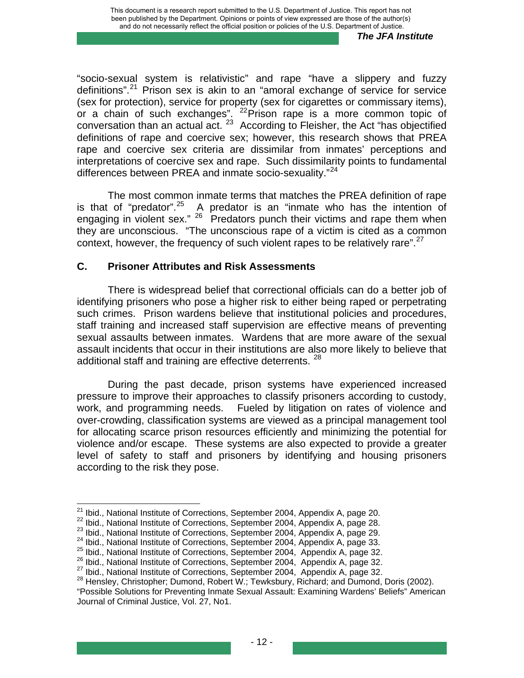"socio-sexual system is relativistic" and rape "have a slippery and fuzzy definitions".<sup>[21](#page-20-0)</sup> Prison sex is akin to an "amoral exchange of service for service (sex for protection), service for property (sex for cigarettes or commissary items), or a chain of such exchanges". <sup>[22](#page-20-1)</sup> Prison rape is a more common topic of conversation than an actual act.<sup>[23](#page-20-2)</sup> According to Fleisher, the Act "has objectified" definitions of rape and coercive sex; however, this research shows that PREA rape and coercive sex criteria are dissimilar from inmates' perceptions and interpretations of coercive sex and rape. Such dissimilarity points to fundamental differences between PREA and inmate socio-sexuality."<sup>[24](#page-20-3)</sup>

The most common inmate terms that matches the PREA definition of rape is that of "predator".<sup>[25](#page-20-4)</sup> A predator is an "inmate who has the intention of engaging in violent sex."  $26$  Predators punch their victims and rape them when they are unconscious. "The unconscious rape of a victim is cited as a common context, however, the frequency of such violent rapes to be relatively rare".<sup>[27](#page-20-6)</sup>

## **C. Prisoner Attributes and Risk Assessments**

There is widespread belief that correctional officials can do a better job of identifying prisoners who pose a higher risk to either being raped or perpetrating such crimes. Prison wardens believe that institutional policies and procedures, staff training and increased staff supervision are effective means of preventing sexual assaults between inmates. Wardens that are more aware of the sexual assault incidents that occur in their institutions are also more likely to believe that additional staff and training are effective deterrents. <sup>[28](#page-20-7)</sup>

During the past decade, prison systems have experienced increased pressure to improve their approaches to classify prisoners according to custody, work, and programming needs. Fueled by litigation on rates of violence and over-crowding, classification systems are viewed as a principal management tool for allocating scarce prison resources efficiently and minimizing the potential for violence and/or escape. These systems are also expected to provide a greater level of safety to staff and prisoners by identifying and housing prisoners according to the risk they pose.

<span id="page-20-0"></span><sup>&</sup>lt;sup>21</sup> Ibid., National Institute of Corrections, September 2004, Appendix A, page 20.

<span id="page-20-3"></span>

<span id="page-20-4"></span>

<span id="page-20-7"></span><span id="page-20-6"></span><span id="page-20-5"></span>

<span id="page-20-2"></span><span id="page-20-1"></span><sup>&</sup>lt;sup>22</sup> Ibid., National Institute of Corrections, September 2004, Appendix A, page 28.<br><sup>23</sup> Ibid., National Institute of Corrections, September 2004, Appendix A, page 29.<br><sup>24</sup> Ibid., National Institute of Corrections, Septem

<sup>&</sup>quot;Possible Solutions for Preventing Inmate Sexual Assault: Examining Wardens' Beliefs" American Journal of Criminal Justice, Vol. 27, No1.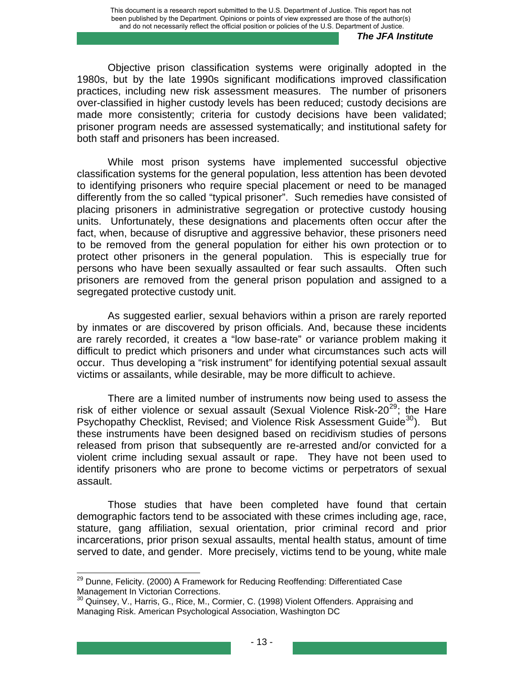Objective prison classification systems were originally adopted in the 1980s, but by the late 1990s significant modifications improved classification practices, including new risk assessment measures. The number of prisoners over-classified in higher custody levels has been reduced; custody decisions are made more consistently; criteria for custody decisions have been validated; prisoner program needs are assessed systematically; and institutional safety for both staff and prisoners has been increased.

While most prison systems have implemented successful objective classification systems for the general population, less attention has been devoted to identifying prisoners who require special placement or need to be managed differently from the so called "typical prisoner". Such remedies have consisted of placing prisoners in administrative segregation or protective custody housing units. Unfortunately, these designations and placements often occur after the fact, when, because of disruptive and aggressive behavior, these prisoners need to be removed from the general population for either his own protection or to protect other prisoners in the general population. This is especially true for persons who have been sexually assaulted or fear such assaults. Often such prisoners are removed from the general prison population and assigned to a segregated protective custody unit.

As suggested earlier, sexual behaviors within a prison are rarely reported by inmates or are discovered by prison officials. And, because these incidents are rarely recorded, it creates a "low base-rate" or variance problem making it difficult to predict which prisoners and under what circumstances such acts will occur. Thus developing a "risk instrument" for identifying potential sexual assault victims or assailants, while desirable, may be more difficult to achieve.

There are a limited number of instruments now being used to assess the risk of either violence or sexual assault (Sexual Violence Risk-20 $^{29}$  $^{29}$  $^{29}$ ; the Hare Psychopathy Checklist, Revised; and Violence Risk Assessment Guide<sup>[30](#page-21-1)</sup>). But these instruments have been designed based on recidivism studies of persons released from prison that subsequently are re-arrested and/or convicted for a violent crime including sexual assault or rape. They have not been used to identify prisoners who are prone to become victims or perpetrators of sexual assault.

Those studies that have been completed have found that certain demographic factors tend to be associated with these crimes including age, race, stature, gang affiliation, sexual orientation, prior criminal record and prior incarcerations, prior prison sexual assaults, mental health status, amount of time served to date, and gender. More precisely, victims tend to be young, white male

<span id="page-21-0"></span> $^{29}$  Dunne, Felicity. (2000) A Framework for Reducing Reoffending: Differentiated Case Management In Victorian Corrections.

<span id="page-21-1"></span><sup>&</sup>lt;sup>30</sup> Quinsey, V., Harris, G., Rice, M., Cormier, C. (1998) Violent Offenders. Appraising and Managing Risk. American Psychological Association, Washington DC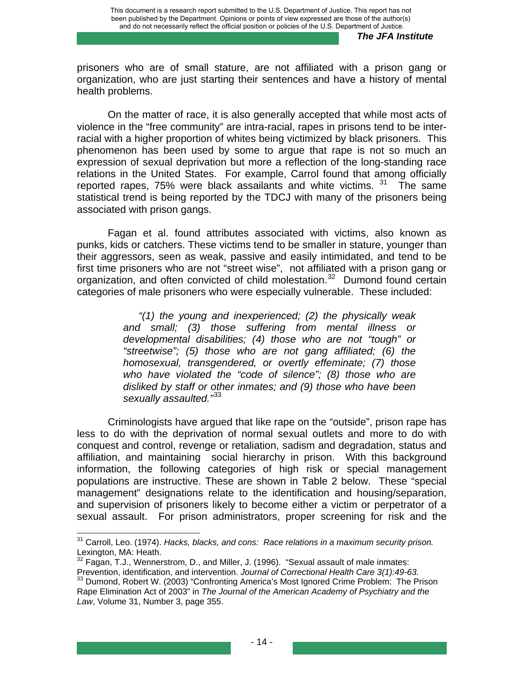prisoners who are of small stature, are not affiliated with a prison gang or organization, who are just starting their sentences and have a history of mental health problems.

On the matter of race, it is also generally accepted that while most acts of violence in the "free community" are intra-racial, rapes in prisons tend to be interracial with a higher proportion of whites being victimized by black prisoners. This phenomenon has been used by some to argue that rape is not so much an expression of sexual deprivation but more a reflection of the long-standing race relations in the United States. For example, Carrol found that among officially reported rapes, 75% were black assailants and white victims.  $31$  The same statistical trend is being reported by the TDCJ with many of the prisoners being associated with prison gangs.

Fagan et al. found attributes associated with victims, also known as punks, kids or catchers. These victims tend to be smaller in stature, younger than their aggressors, seen as weak, passive and easily intimidated, and tend to be first time prisoners who are not "street wise", not affiliated with a prison gang or organization, and often convicted of child molestation.<sup>[32](#page-22-1)</sup> Dumond found certain categories of male prisoners who were especially vulnerable. These included:

> *"(1) the young and inexperienced; (2) the physically weak and small; (3) those suffering from mental illness or developmental disabilities; (4) those who are not "tough" or "streetwise"; (5) those who are not gang affiliated; (6) the homosexual, transgendered, or overtly effeminate; (7) those who have violated the "code of silence"; (8) those who are disliked by staff or other inmates; and (9) those who have been sexually assaulted."*[33](#page-22-2)

Criminologists have argued that like rape on the "outside", prison rape has less to do with the deprivation of normal sexual outlets and more to do with conquest and control, revenge or retaliation, sadism and degradation, status and affiliation, and maintaining social hierarchy in prison. With this background information, the following categories of high risk or special management populations are instructive. These are shown in Table 2 below. These "special management" designations relate to the identification and housing/separation, and supervision of prisoners likely to become either a victim or perpetrator of a sexual assault. For prison administrators, proper screening for risk and the

<span id="page-22-0"></span><sup>&</sup>lt;sup>31</sup> Carroll, Leo. (1974). *Hacks, blacks, and cons: Race relations in a maximum security prison.* Lexington, MA: Heath.

<span id="page-22-1"></span> $32$  Fagan, T.J., Wennerstrom, D., and Miller, J. (1996). "Sexual assault of male inmates:

<span id="page-22-2"></span>Prevention, identification, and intervention. *Journal of Correctional Health Care 3(1):49-63.* 33 Dumond, Robert W. (2003) "Confronting America's Most Ignored Crime Problem: The Prison Rape Elimination Act of 2003" in *The Journal of the American Academy of Psychiatry and the Law*, Volume 31, Number 3, page 355.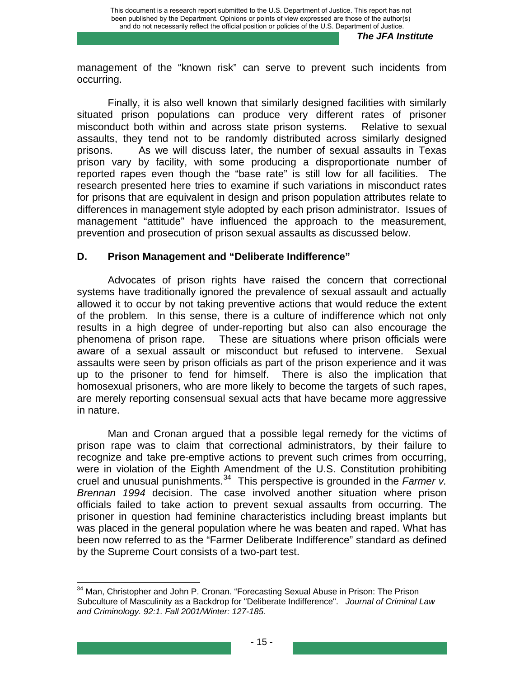management of the "known risk" can serve to prevent such incidents from occurring.

Finally, it is also well known that similarly designed facilities with similarly situated prison populations can produce very different rates of prisoner misconduct both within and across state prison systems. Relative to sexual assaults, they tend not to be randomly distributed across similarly designed prisons. As we will discuss later, the number of sexual assaults in Texas prison vary by facility, with some producing a disproportionate number of reported rapes even though the "base rate" is still low for all facilities. The research presented here tries to examine if such variations in misconduct rates for prisons that are equivalent in design and prison population attributes relate to differences in management style adopted by each prison administrator. Issues of management "attitude" have influenced the approach to the measurement, prevention and prosecution of prison sexual assaults as discussed below.

#### **D. Prison Management and "Deliberate Indifference"**

Advocates of prison rights have raised the concern that correctional systems have traditionally ignored the prevalence of sexual assault and actually allowed it to occur by not taking preventive actions that would reduce the extent of the problem. In this sense, there is a culture of indifference which not only results in a high degree of under-reporting but also can also encourage the phenomena of prison rape. These are situations where prison officials were aware of a sexual assault or misconduct but refused to intervene. Sexual assaults were seen by prison officials as part of the prison experience and it was up to the prisoner to fend for himself. There is also the implication that homosexual prisoners, who are more likely to become the targets of such rapes, are merely reporting consensual sexual acts that have became more aggressive in nature.

Man and Cronan argued that a possible legal remedy for the victims of prison rape was to claim that correctional administrators, by their failure to recognize and take pre-emptive actions to prevent such crimes from occurring, were in violation of the Eighth Amendment of the U.S. Constitution prohibiting cruel and unusual punishments.<sup>[34](#page-23-0)</sup> This perspective is grounded in the *Farmer v. Brennan 1994* decision. The case involved another situation where prison officials failed to take action to prevent sexual assaults from occurring. The prisoner in question had feminine characteristics including breast implants but was placed in the general population where he was beaten and raped. What has been now referred to as the "Farmer Deliberate Indifference" standard as defined by the Supreme Court consists of a two-part test.

<span id="page-23-0"></span>  $34$  Man, Christopher and John P. Cronan. "Forecasting Sexual Abuse in Prison: The Prison Subculture of Masculinity as a Backdrop for "Deliberate Indifference". *Journal of Criminal Law and Criminology. 92:1. Fall 2001/Winter: 127-185.*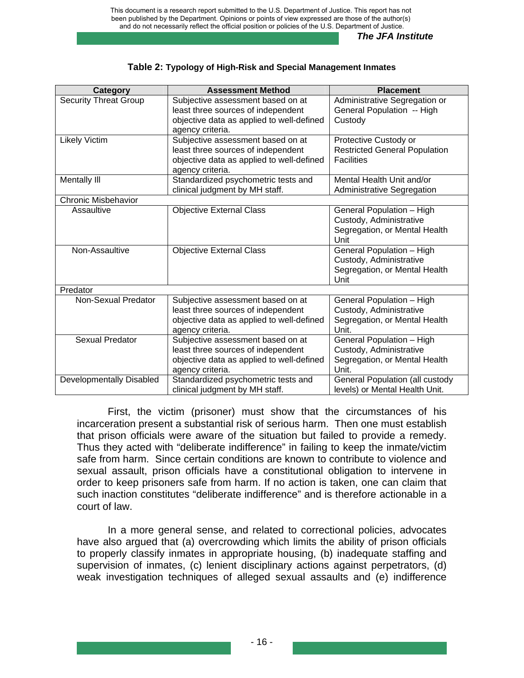| Category                     | <b>Assessment Method</b>                  | <b>Placement</b>                       |
|------------------------------|-------------------------------------------|----------------------------------------|
| <b>Security Threat Group</b> | Subjective assessment based on at         | Administrative Segregation or          |
|                              | least three sources of independent        | General Population -- High             |
|                              | objective data as applied to well-defined | Custody                                |
|                              | agency criteria.                          |                                        |
| <b>Likely Victim</b>         | Subjective assessment based on at         | Protective Custody or                  |
|                              | least three sources of independent        | <b>Restricted General Population</b>   |
|                              | objective data as applied to well-defined | <b>Facilities</b>                      |
|                              | agency criteria.                          |                                        |
| Mentally III                 | Standardized psychometric tests and       | Mental Health Unit and/or              |
|                              | clinical judgment by MH staff.            | Administrative Segregation             |
| <b>Chronic Misbehavior</b>   |                                           |                                        |
| Assaultive                   | <b>Objective External Class</b>           | General Population - High              |
|                              |                                           | Custody, Administrative                |
|                              |                                           | Segregation, or Mental Health          |
|                              |                                           | Unit                                   |
| Non-Assaultive               | <b>Objective External Class</b>           | General Population - High              |
|                              |                                           | Custody, Administrative                |
|                              |                                           | Segregation, or Mental Health          |
|                              |                                           | Unit                                   |
| Predator                     |                                           |                                        |
| Non-Sexual Predator          | Subjective assessment based on at         | General Population - High              |
|                              | least three sources of independent        | Custody, Administrative                |
|                              | objective data as applied to well-defined | Segregation, or Mental Health          |
|                              | agency criteria.                          | Unit.                                  |
| Sexual Predator              | Subjective assessment based on at         | General Population - High              |
|                              | least three sources of independent        | Custody, Administrative                |
|                              | objective data as applied to well-defined | Segregation, or Mental Health          |
|                              | agency criteria.                          | Unit.                                  |
| Developmentally Disabled     | Standardized psychometric tests and       | <b>General Population (all custody</b> |
|                              | clinical judgment by MH staff.            | levels) or Mental Health Unit.         |

#### **Table 2: Typology of High-Risk and Special Management Inmates**

First, the victim (prisoner) must show that the circumstances of his incarceration present a substantial risk of serious harm. Then one must establish that prison officials were aware of the situation but failed to provide a remedy. Thus they acted with "deliberate indifference" in failing to keep the inmate/victim safe from harm. Since certain conditions are known to contribute to violence and sexual assault, prison officials have a constitutional obligation to intervene in order to keep prisoners safe from harm. If no action is taken, one can claim that such inaction constitutes "deliberate indifference" and is therefore actionable in a court of law.

In a more general sense, and related to correctional policies, advocates have also argued that (a) overcrowding which limits the ability of prison officials to properly classify inmates in appropriate housing, (b) inadequate staffing and supervision of inmates, (c) lenient disciplinary actions against perpetrators, (d) weak investigation techniques of alleged sexual assaults and (e) indifference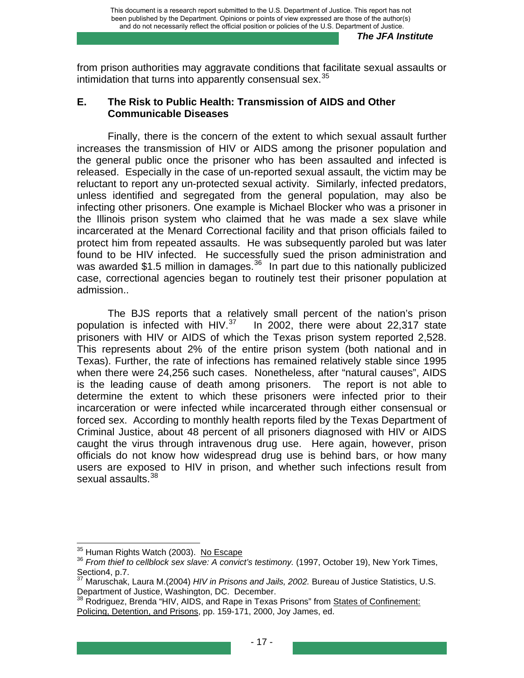from prison authorities may aggravate conditions that facilitate sexual assaults or intimidation that turns into apparently consensual sex. $35$ 

#### **E. The Risk to Public Health: Transmission of AIDS and Other Communicable Diseases**

Finally, there is the concern of the extent to which sexual assault further increases the transmission of HIV or AIDS among the prisoner population and the general public once the prisoner who has been assaulted and infected is released. Especially in the case of un-reported sexual assault, the victim may be reluctant to report any un-protected sexual activity. Similarly, infected predators, unless identified and segregated from the general population, may also be infecting other prisoners. One example is Michael Blocker who was a prisoner in the Illinois prison system who claimed that he was made a sex slave while incarcerated at the Menard Correctional facility and that prison officials failed to protect him from repeated assaults. He was subsequently paroled but was later found to be HIV infected. He successfully sued the prison administration and was awarded \$1.5 million in damages. $36$  In part due to this nationally publicized case, correctional agencies began to routinely test their prisoner population at admission..

The BJS reports that a relatively small percent of the nation's prison population is infected with HIV. $37$  In 2002, there were about 22,317 state prisoners with HIV or AIDS of which the Texas prison system reported 2,528. This represents about 2% of the entire prison system (both national and in Texas). Further, the rate of infections has remained relatively stable since 1995 when there were 24,256 such cases. Nonetheless, after "natural causes", AIDS is the leading cause of death among prisoners. The report is not able to determine the extent to which these prisoners were infected prior to their incarceration or were infected while incarcerated through either consensual or forced sex. According to monthly health reports filed by the Texas Department of Criminal Justice, about 48 percent of all prisoners diagnosed with HIV or AIDS caught the virus through intravenous drug use. Here again, however, prison officials do not know how widespread drug use is behind bars, or how many users are exposed to HIV in prison, and whether such infections result from sexual assaults.<sup>[38](#page-25-3)</sup>

<span id="page-25-0"></span><sup>&</sup>lt;sup>35</sup> Human Rights Watch (2003). No Escape

<span id="page-25-1"></span><sup>&</sup>lt;sup>36</sup> From thief to cellblock sex slave: A convict's testimony. (1997, October 19), New York Times, Section4, p.7.<br><sup>37</sup> Maruschak, Laura M.(2004) *HIV in Prisons and Jails, 2002.* Bureau of Justice Statistics, U.S.

<span id="page-25-2"></span>Department of Justice, Washington, DC. December.

<span id="page-25-3"></span>Beparament of Secrec, Hedrington, 2012 2003.<br><sup>38</sup> Rodriguez, Brenda "HIV, AIDS, and Rape in Texas Prisons" from <u>States of Confinement:</u> Policing, Detention, and Prisons, pp. 159-171, 2000, Joy James, ed.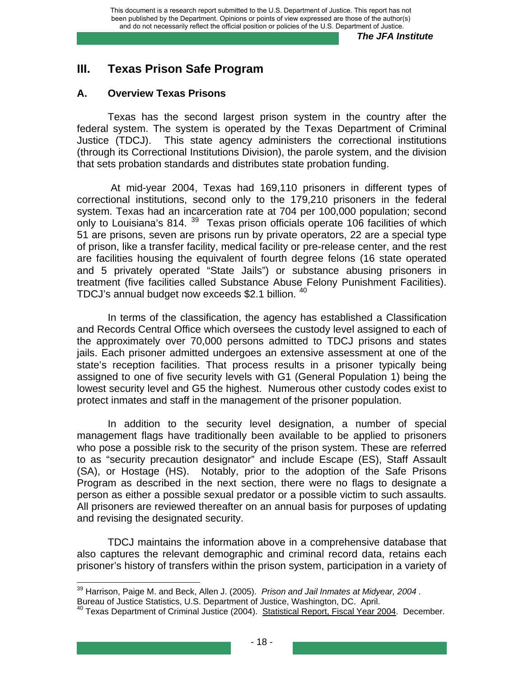# **III. Texas Prison Safe Program**

## **A. Overview Texas Prisons**

Texas has the second largest prison system in the country after the federal system. The system is operated by the Texas Department of Criminal Justice (TDCJ). This state agency administers the correctional institutions (through its Correctional Institutions Division), the parole system, and the division that sets probation standards and distributes state probation funding.

 At mid-year 2004, Texas had 169,110 prisoners in different types of correctional institutions, second only to the 179,210 prisoners in the federal system. Texas had an incarceration rate at 704 per 100,000 population; second only to Louisiana's 814.<sup>[39](#page-26-0)</sup> Texas prison officials operate 106 facilities of which 51 are prisons, seven are prisons run by private operators, 22 are a special type of prison, like a transfer facility, medical facility or pre-release center, and the rest are facilities housing the equivalent of fourth degree felons (16 state operated and 5 privately operated "State Jails") or substance abusing prisoners in treatment (five facilities called Substance Abuse Felony Punishment Facilities). TDCJ's annual budget now exceeds \$2.1 billion. <sup>[40](#page-26-1)</sup>

In terms of the classification, the agency has established a Classification and Records Central Office which oversees the custody level assigned to each of the approximately over 70,000 persons admitted to TDCJ prisons and states jails. Each prisoner admitted undergoes an extensive assessment at one of the state's reception facilities. That process results in a prisoner typically being assigned to one of five security levels with G1 (General Population 1) being the lowest security level and G5 the highest. Numerous other custody codes exist to protect inmates and staff in the management of the prisoner population.

In addition to the security level designation, a number of special management flags have traditionally been available to be applied to prisoners who pose a possible risk to the security of the prison system. These are referred to as "security precaution designator" and include Escape (ES), Staff Assault (SA), or Hostage (HS). Notably, prior to the adoption of the Safe Prisons Program as described in the next section, there were no flags to designate a person as either a possible sexual predator or a possible victim to such assaults. All prisoners are reviewed thereafter on an annual basis for purposes of updating and revising the designated security.

TDCJ maintains the information above in a comprehensive database that also captures the relevant demographic and criminal record data, retains each prisoner's history of transfers within the prison system, participation in a variety of

<span id="page-26-0"></span> <sup>39</sup> Harrison, Paige M. and Beck, Allen J. (2005). *Prison and Jail Inmates at Midyear, 2004.* Bureau of Justice Statistics, U.S. Department of Justice, Washington, DC. April.<br><sup>40</sup> Texas Department of Criminal Justice (2004). Statistical Report, Fiscal Year 2004. December.

<span id="page-26-1"></span>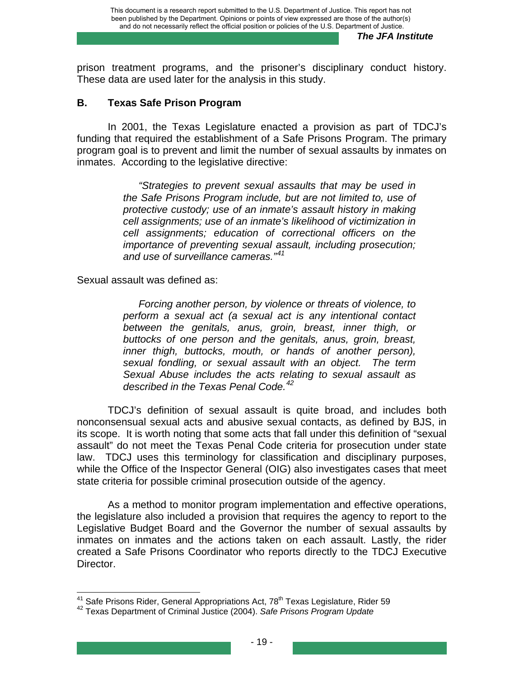prison treatment programs, and the prisoner's disciplinary conduct history. These data are used later for the analysis in this study.

## **B. Texas Safe Prison Program**

In 2001, the Texas Legislature enacted a provision as part of TDCJ's funding that required the establishment of a Safe Prisons Program. The primary program goal is to prevent and limit the number of sexual assaults by inmates on inmates. According to the legislative directive:

> *"Strategies to prevent sexual assaults that may be used in the Safe Prisons Program include, but are not limited to, use of protective custody; use of an inmate's assault history in making cell assignments; use of an inmate's likelihood of victimization in cell assignments; education of correctional officers on the importance of preventing sexual assault, including prosecution; and use of surveillance cameras."[41](#page-27-0)*

Sexual assault was defined as:

*Forcing another person, by violence or threats of violence, to perform a sexual act (a sexual act is any intentional contact between the genitals, anus, groin, breast, inner thigh, or buttocks of one person and the genitals, anus, groin, breast, inner thigh, buttocks, mouth, or hands of another person), sexual fondling, or sexual assault with an object. The term Sexual Abuse includes the acts relating to sexual assault as described in the Texas Penal Code.[42](#page-27-1)*

TDCJ's definition of sexual assault is quite broad, and includes both nonconsensual sexual acts and abusive sexual contacts, as defined by BJS, in its scope. It is worth noting that some acts that fall under this definition of "sexual assault" do not meet the Texas Penal Code criteria for prosecution under state law. TDCJ uses this terminology for classification and disciplinary purposes, while the Office of the Inspector General (OIG) also investigates cases that meet state criteria for possible criminal prosecution outside of the agency.

As a method to monitor program implementation and effective operations, the legislature also included a provision that requires the agency to report to the Legislative Budget Board and the Governor the number of sexual assaults by inmates on inmates and the actions taken on each assault. Lastly, the rider created a Safe Prisons Coordinator who reports directly to the TDCJ Executive Director.

<span id="page-27-0"></span><sup>&</sup>lt;sup>41</sup> Safe Prisons Rider, General Appropriations Act, 78<sup>th</sup> Texas Legislature, Rider 59<br><sup>42</sup> Texas Department of Criminal Justice (2004). *Safe Prisons Program Update* 

<span id="page-27-1"></span>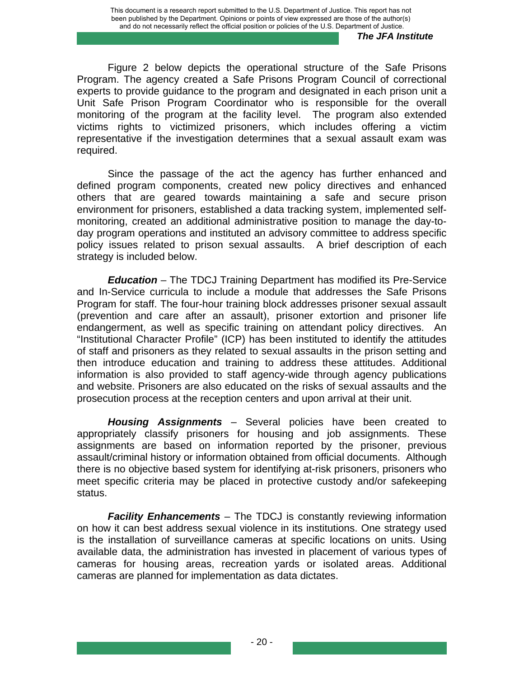Figure 2 below depicts the operational structure of the Safe Prisons Program. The agency created a Safe Prisons Program Council of correctional experts to provide guidance to the program and designated in each prison unit a Unit Safe Prison Program Coordinator who is responsible for the overall monitoring of the program at the facility level. The program also extended victims rights to victimized prisoners, which includes offering a victim representative if the investigation determines that a sexual assault exam was required.

Since the passage of the act the agency has further enhanced and defined program components, created new policy directives and enhanced others that are geared towards maintaining a safe and secure prison environment for prisoners, established a data tracking system, implemented selfmonitoring, created an additional administrative position to manage the day-today program operations and instituted an advisory committee to address specific policy issues related to prison sexual assaults. A brief description of each strategy is included below.

*Education* – The TDCJ Training Department has modified its Pre-Service and In-Service curricula to include a module that addresses the Safe Prisons Program for staff. The four-hour training block addresses prisoner sexual assault (prevention and care after an assault), prisoner extortion and prisoner life endangerment, as well as specific training on attendant policy directives. An "Institutional Character Profile" (ICP) has been instituted to identify the attitudes of staff and prisoners as they related to sexual assaults in the prison setting and then introduce education and training to address these attitudes. Additional information is also provided to staff agency-wide through agency publications and website. Prisoners are also educated on the risks of sexual assaults and the prosecution process at the reception centers and upon arrival at their unit.

*Housing Assignments* – Several policies have been created to appropriately classify prisoners for housing and job assignments. These assignments are based on information reported by the prisoner, previous assault/criminal history or information obtained from official documents. Although there is no objective based system for identifying at-risk prisoners, prisoners who meet specific criteria may be placed in protective custody and/or safekeeping status.

*Facility Enhancements* – The TDCJ is constantly reviewing information on how it can best address sexual violence in its institutions. One strategy used is the installation of surveillance cameras at specific locations on units. Using available data, the administration has invested in placement of various types of cameras for housing areas, recreation yards or isolated areas. Additional cameras are planned for implementation as data dictates.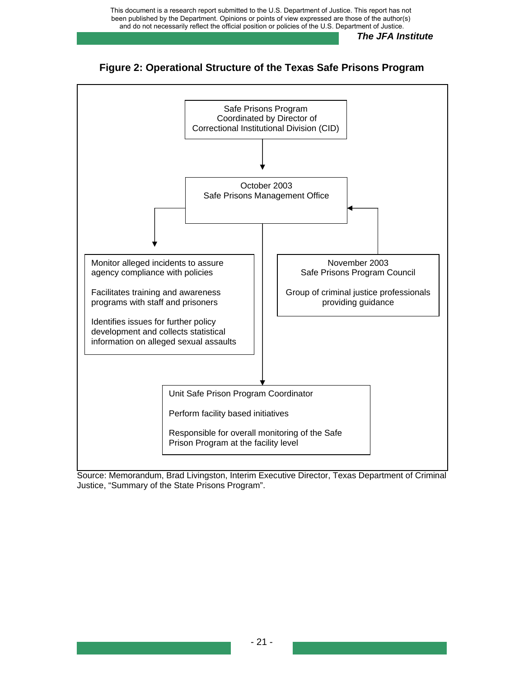





Source: Memorandum, Brad Livingston, Interim Executive Director, Texas Department of Criminal Justice, "Summary of the State Prisons Program".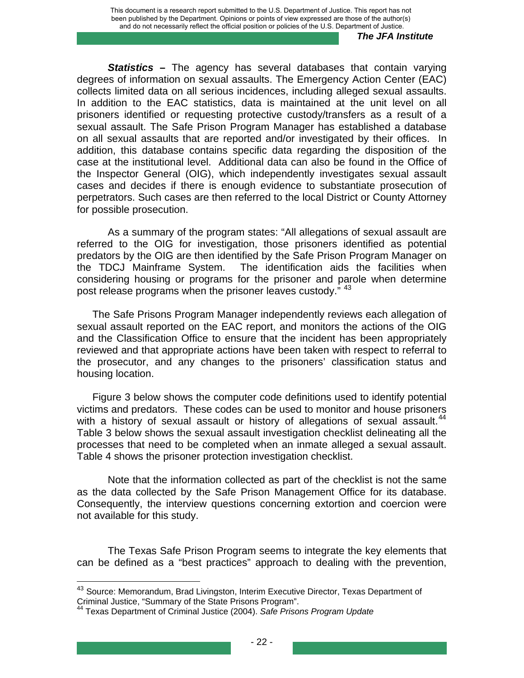*Statistics* **–** The agency has several databases that contain varying degrees of information on sexual assaults. The Emergency Action Center (EAC) collects limited data on all serious incidences, including alleged sexual assaults. In addition to the EAC statistics, data is maintained at the unit level on all prisoners identified or requesting protective custody/transfers as a result of a sexual assault. The Safe Prison Program Manager has established a database on all sexual assaults that are reported and/or investigated by their offices. In addition, this database contains specific data regarding the disposition of the case at the institutional level. Additional data can also be found in the Office of the Inspector General (OIG), which independently investigates sexual assault cases and decides if there is enough evidence to substantiate prosecution of perpetrators. Such cases are then referred to the local District or County Attorney for possible prosecution.

As a summary of the program states: "All allegations of sexual assault are referred to the OIG for investigation, those prisoners identified as potential predators by the OIG are then identified by the Safe Prison Program Manager on the TDCJ Mainframe System. The identification aids the facilities when considering housing or programs for the prisoner and parole when determine post release programs when the prisoner leaves custody." <sup>[43](#page-30-0)</sup>

The Safe Prisons Program Manager independently reviews each allegation of sexual assault reported on the EAC report, and monitors the actions of the OIG and the Classification Office to ensure that the incident has been appropriately reviewed and that appropriate actions have been taken with respect to referral to the prosecutor, and any changes to the prisoners' classification status and housing location.

Figure 3 below shows the computer code definitions used to identify potential victims and predators. These codes can be used to monitor and house prisoners with a history of sexual assault or history of allegations of sexual assault.<sup>[44](#page-30-1)</sup> Table 3 below shows the sexual assault investigation checklist delineating all the processes that need to be completed when an inmate alleged a sexual assault. Table 4 shows the prisoner protection investigation checklist.

Note that the information collected as part of the checklist is not the same as the data collected by the Safe Prison Management Office for its database. Consequently, the interview questions concerning extortion and coercion were not available for this study.

The Texas Safe Prison Program seems to integrate the key elements that can be defined as a "best practices" approach to dealing with the prevention,

<span id="page-30-0"></span><sup>&</sup>lt;sup>43</sup> Source: Memorandum, Brad Livingston, Interim Executive Director, Texas Department of Criminal Justice, "Summary of the State Prisons Program". 44 Texas Department of Criminal Justice (2004). *Safe Prisons Program Update*

<span id="page-30-1"></span>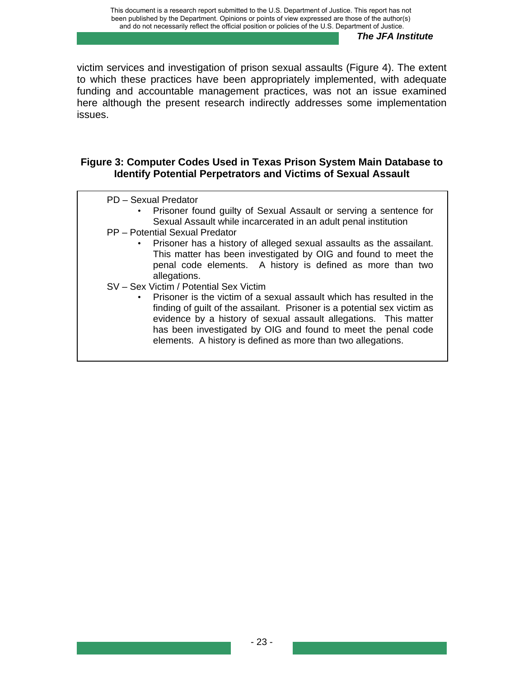victim services and investigation of prison sexual assaults (Figure 4). The extent to which these practices have been appropriately implemented, with adequate funding and accountable management practices, was not an issue examined here although the present research indirectly addresses some implementation issues.

## **Figure 3: Computer Codes Used in Texas Prison System Main Database to Identify Potential Perpetrators and Victims of Sexual Assault**

- PD Sexual Predator
	- Prisoner found guilty of Sexual Assault or serving a sentence for Sexual Assault while incarcerated in an adult penal institution
- PP Potential Sexual Predator
	- Prisoner has a history of alleged sexual assaults as the assailant. This matter has been investigated by OIG and found to meet the penal code elements. A history is defined as more than two allegations.
- SV Sex Victim / Potential Sex Victim
	- Prisoner is the victim of a sexual assault which has resulted in the finding of guilt of the assailant. Prisoner is a potential sex victim as evidence by a history of sexual assault allegations. This matter has been investigated by OIG and found to meet the penal code elements. A history is defined as more than two allegations.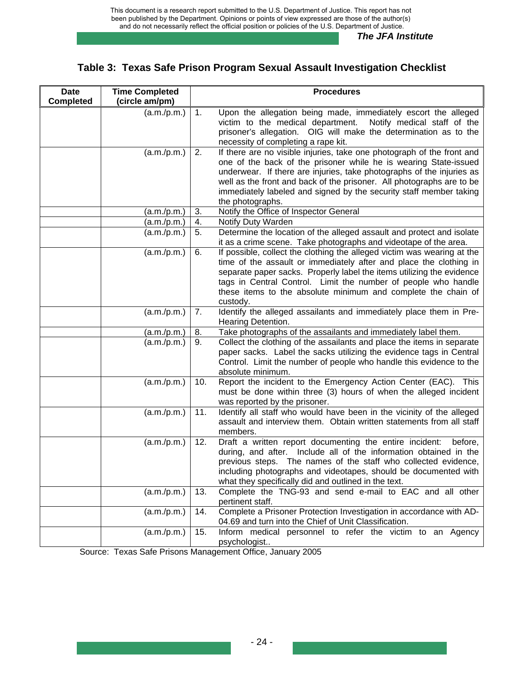# **Table 3: Texas Safe Prison Program Sexual Assault Investigation Checklist**

| <b>Date</b><br><b>Completed</b> | <b>Time Completed</b><br>(circle am/pm) |     | <b>Procedures</b>                                                                                                                                                                                                                                                                                                                                                                      |
|---------------------------------|-----------------------------------------|-----|----------------------------------------------------------------------------------------------------------------------------------------------------------------------------------------------------------------------------------------------------------------------------------------------------------------------------------------------------------------------------------------|
|                                 | (a.m./p.m.)                             | 1.  | Upon the allegation being made, immediately escort the alleged<br>victim to the medical department.<br>Notify medical staff of the<br>prisoner's allegation. OIG will make the determination as to the<br>necessity of completing a rape kit.                                                                                                                                          |
|                                 | (a.m./p.m.)                             | 2.  | If there are no visible injuries, take one photograph of the front and<br>one of the back of the prisoner while he is wearing State-issued<br>underwear. If there are injuries, take photographs of the injuries as<br>well as the front and back of the prisoner. All photographs are to be<br>immediately labeled and signed by the security staff member taking<br>the photographs. |
|                                 | (a.m./p.m.)                             | 3.  | Notify the Office of Inspector General                                                                                                                                                                                                                                                                                                                                                 |
|                                 | (a.m./p.m.)                             | 4.  | Notify Duty Warden                                                                                                                                                                                                                                                                                                                                                                     |
|                                 | (a.m./p.m.)                             | 5.  | Determine the location of the alleged assault and protect and isolate<br>it as a crime scene. Take photographs and videotape of the area.                                                                                                                                                                                                                                              |
|                                 | (a.m./p.m.)                             | 6.  | If possible, collect the clothing the alleged victim was wearing at the<br>time of the assault or immediately after and place the clothing in<br>separate paper sacks. Properly label the items utilizing the evidence<br>tags in Central Control. Limit the number of people who handle<br>these items to the absolute minimum and complete the chain of<br>custody.                  |
|                                 | (a.m./p.m.)                             | 7.  | Identify the alleged assailants and immediately place them in Pre-<br>Hearing Detention.                                                                                                                                                                                                                                                                                               |
|                                 | (a.m./p.m.)                             | 8.  | Take photographs of the assailants and immediately label them.                                                                                                                                                                                                                                                                                                                         |
|                                 | (a.m./p.m.)                             | 9.  | Collect the clothing of the assailants and place the items in separate<br>paper sacks. Label the sacks utilizing the evidence tags in Central<br>Control. Limit the number of people who handle this evidence to the<br>absolute minimum.                                                                                                                                              |
|                                 | (a.m./p.m.)                             | 10. | Report the incident to the Emergency Action Center (EAC). This<br>must be done within three (3) hours of when the alleged incident<br>was reported by the prisoner.                                                                                                                                                                                                                    |
|                                 | (a.m./p.m.)                             | 11. | Identify all staff who would have been in the vicinity of the alleged<br>assault and interview them. Obtain written statements from all staff<br>members.                                                                                                                                                                                                                              |
|                                 | (a.m./p.m.)                             | 12. | Draft a written report documenting the entire incident:<br>before,<br>during, and after. Include all of the information obtained in the<br>previous steps. The names of the staff who collected evidence,<br>including photographs and videotapes, should be documented with<br>what they specifically did and outlined in the text.                                                   |
|                                 | (a.m./p.m.)                             | 13. | Complete the TNG-93 and send e-mail to EAC and all other<br>pertinent staff.                                                                                                                                                                                                                                                                                                           |
|                                 | (a.m./p.m.)                             | 14. | Complete a Prisoner Protection Investigation in accordance with AD-<br>04.69 and turn into the Chief of Unit Classification.                                                                                                                                                                                                                                                           |
|                                 | (a.m./p.m.)                             | 15. | Inform medical personnel to refer the victim to an Agency<br>psychologist                                                                                                                                                                                                                                                                                                              |

Source: Texas Safe Prisons Management Office, January 2005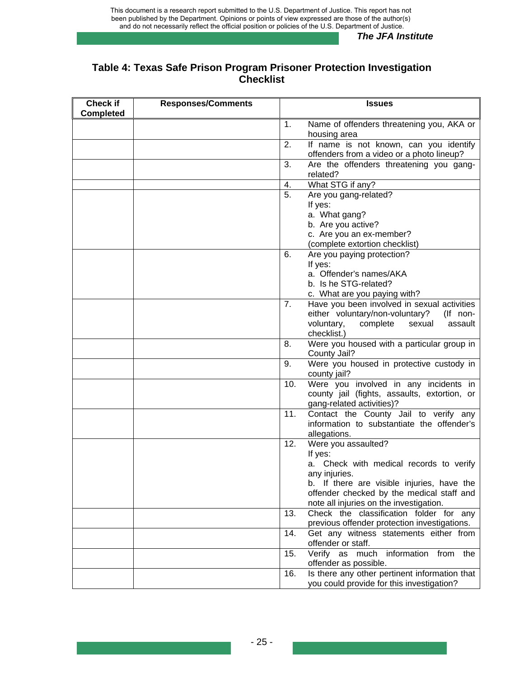## **Table 4: Texas Safe Prison Program Prisoner Protection Investigation Checklist**

| <b>Check if</b><br><b>Completed</b> | <b>Responses/Comments</b> |     | <b>Issues</b>                                                                           |
|-------------------------------------|---------------------------|-----|-----------------------------------------------------------------------------------------|
|                                     |                           | 1.  | Name of offenders threatening you, AKA or<br>housing area                               |
|                                     |                           | 2.  | If name is not known, can you identify<br>offenders from a video or a photo lineup?     |
|                                     |                           | 3.  | Are the offenders threatening you gang-<br>related?                                     |
|                                     |                           | 4.  | What STG if any?                                                                        |
|                                     |                           | 5.  | Are you gang-related?                                                                   |
|                                     |                           |     | If yes:                                                                                 |
|                                     |                           |     | a. What gang?                                                                           |
|                                     |                           |     | b. Are you active?                                                                      |
|                                     |                           |     | c. Are you an ex-member?                                                                |
|                                     |                           |     | (complete extortion checklist)                                                          |
|                                     |                           | 6.  | Are you paying protection?                                                              |
|                                     |                           |     | If yes:                                                                                 |
|                                     |                           |     | a. Offender's names/AKA                                                                 |
|                                     |                           |     | b. Is he STG-related?                                                                   |
|                                     |                           |     | c. What are you paying with?<br>Have you been involved in sexual activities             |
|                                     |                           | 7.  | either voluntary/non-voluntary?<br>(If non-                                             |
|                                     |                           |     | voluntary,<br>complete<br>sexual<br>assault                                             |
|                                     |                           |     | checklist.)                                                                             |
|                                     |                           | 8.  | Were you housed with a particular group in<br>County Jail?                              |
|                                     |                           | 9.  | Were you housed in protective custody in<br>county jail?                                |
|                                     |                           | 10. | Were you involved in any incidents in<br>county jail (fights, assaults, extortion, or   |
|                                     |                           |     | gang-related activities)?                                                               |
|                                     |                           | 11. | Contact the County Jail to verify any<br>information to substantiate the offender's     |
|                                     |                           |     | allegations.                                                                            |
|                                     |                           | 12. | Were you assaulted?                                                                     |
|                                     |                           |     | If yes:                                                                                 |
|                                     |                           |     | a. Check with medical records to verify                                                 |
|                                     |                           |     | any injuries.                                                                           |
|                                     |                           |     | b. If there are visible injuries, have the                                              |
|                                     |                           |     | offender checked by the medical staff and                                               |
|                                     |                           |     | note all injuries on the investigation.                                                 |
|                                     |                           | 13. | Check the classification folder for any<br>previous offender protection investigations. |
|                                     |                           | 14. | Get any witness statements either from                                                  |
|                                     |                           |     | offender or staff.                                                                      |
|                                     |                           | 15. | Verify as much information<br>from<br>the<br>offender as possible.                      |
|                                     |                           | 16. | Is there any other pertinent information that                                           |
|                                     |                           |     | you could provide for this investigation?                                               |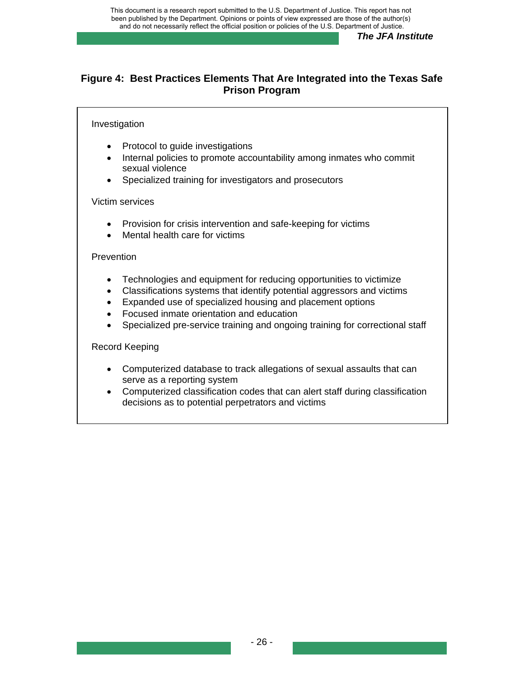## **Figure 4: Best Practices Elements That Are Integrated into the Texas Safe Prison Program**

#### Investigation

- Protocol to guide investigations
- Internal policies to promote accountability among inmates who commit sexual violence
- Specialized training for investigators and prosecutors

#### Victim services

- Provision for crisis intervention and safe-keeping for victims
- Mental health care for victims

#### **Prevention**

- Technologies and equipment for reducing opportunities to victimize
- Classifications systems that identify potential aggressors and victims
- Expanded use of specialized housing and placement options
- Focused inmate orientation and education
- Specialized pre-service training and ongoing training for correctional staff

#### Record Keeping

- Computerized database to track allegations of sexual assaults that can serve as a reporting system
- Computerized classification codes that can alert staff during classification decisions as to potential perpetrators and victims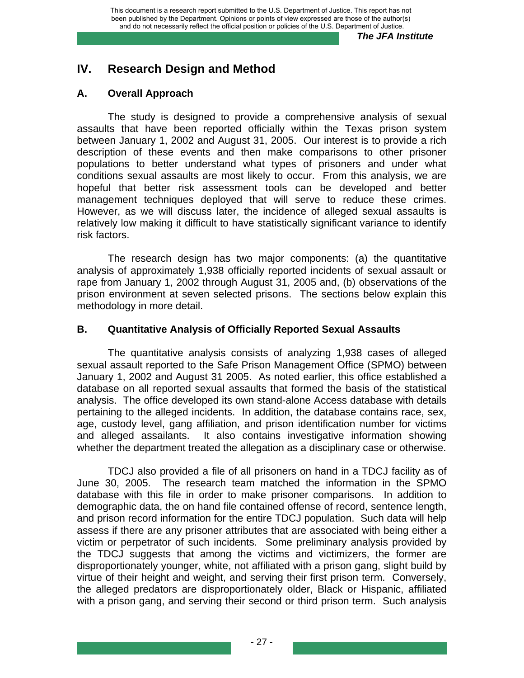# **IV. Research Design and Method**

## **A. Overall Approach**

The study is designed to provide a comprehensive analysis of sexual assaults that have been reported officially within the Texas prison system between January 1, 2002 and August 31, 2005. Our interest is to provide a rich description of these events and then make comparisons to other prisoner populations to better understand what types of prisoners and under what conditions sexual assaults are most likely to occur. From this analysis, we are hopeful that better risk assessment tools can be developed and better management techniques deployed that will serve to reduce these crimes. However, as we will discuss later, the incidence of alleged sexual assaults is relatively low making it difficult to have statistically significant variance to identify risk factors.

The research design has two major components: (a) the quantitative analysis of approximately 1,938 officially reported incidents of sexual assault or rape from January 1, 2002 through August 31, 2005 and, (b) observations of the prison environment at seven selected prisons. The sections below explain this methodology in more detail.

## **B. Quantitative Analysis of Officially Reported Sexual Assaults**

The quantitative analysis consists of analyzing 1,938 cases of alleged sexual assault reported to the Safe Prison Management Office (SPMO) between January 1, 2002 and August 31 2005. As noted earlier, this office established a database on all reported sexual assaults that formed the basis of the statistical analysis. The office developed its own stand-alone Access database with details pertaining to the alleged incidents. In addition, the database contains race, sex, age, custody level, gang affiliation, and prison identification number for victims and alleged assailants. It also contains investigative information showing whether the department treated the allegation as a disciplinary case or otherwise.

TDCJ also provided a file of all prisoners on hand in a TDCJ facility as of June 30, 2005. The research team matched the information in the SPMO database with this file in order to make prisoner comparisons. In addition to demographic data, the on hand file contained offense of record, sentence length, and prison record information for the entire TDCJ population. Such data will help assess if there are any prisoner attributes that are associated with being either a victim or perpetrator of such incidents. Some preliminary analysis provided by the TDCJ suggests that among the victims and victimizers, the former are disproportionately younger, white, not affiliated with a prison gang, slight build by virtue of their height and weight, and serving their first prison term. Conversely, the alleged predators are disproportionately older, Black or Hispanic, affiliated with a prison gang, and serving their second or third prison term. Such analysis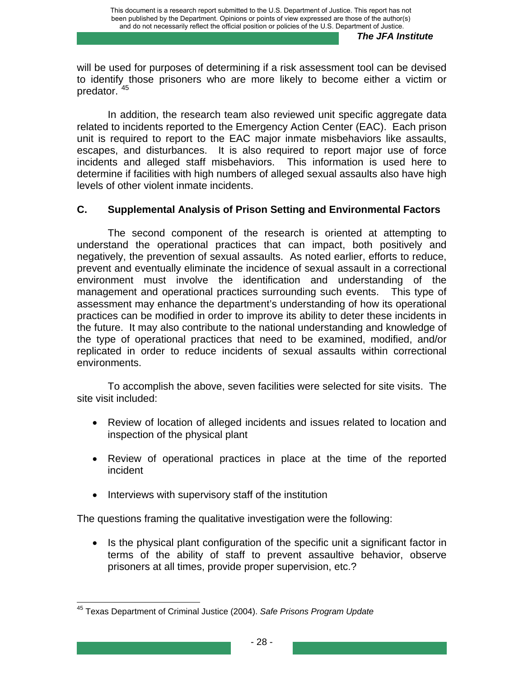will be used for purposes of determining if a risk assessment tool can be devised to identify those prisoners who are more likely to become either a victim or predator. [45](#page-36-0)

In addition, the research team also reviewed unit specific aggregate data related to incidents reported to the Emergency Action Center (EAC). Each prison unit is required to report to the EAC major inmate misbehaviors like assaults, escapes, and disturbances. It is also required to report major use of force incidents and alleged staff misbehaviors. This information is used here to determine if facilities with high numbers of alleged sexual assaults also have high levels of other violent inmate incidents.

# **C. Supplemental Analysis of Prison Setting and Environmental Factors**

The second component of the research is oriented at attempting to understand the operational practices that can impact, both positively and negatively, the prevention of sexual assaults. As noted earlier, efforts to reduce, prevent and eventually eliminate the incidence of sexual assault in a correctional environment must involve the identification and understanding of the management and operational practices surrounding such events. This type of assessment may enhance the department's understanding of how its operational practices can be modified in order to improve its ability to deter these incidents in the future. It may also contribute to the national understanding and knowledge of the type of operational practices that need to be examined, modified, and/or replicated in order to reduce incidents of sexual assaults within correctional environments.

To accomplish the above, seven facilities were selected for site visits. The site visit included:

- Review of location of alleged incidents and issues related to location and inspection of the physical plant
- Review of operational practices in place at the time of the reported incident
- Interviews with supervisory staff of the institution

The questions framing the qualitative investigation were the following:

• Is the physical plant configuration of the specific unit a significant factor in terms of the ability of staff to prevent assaultive behavior, observe prisoners at all times, provide proper supervision, etc.?

<span id="page-36-0"></span> 45 Texas Department of Criminal Justice (2004). *Safe Prisons Program Update*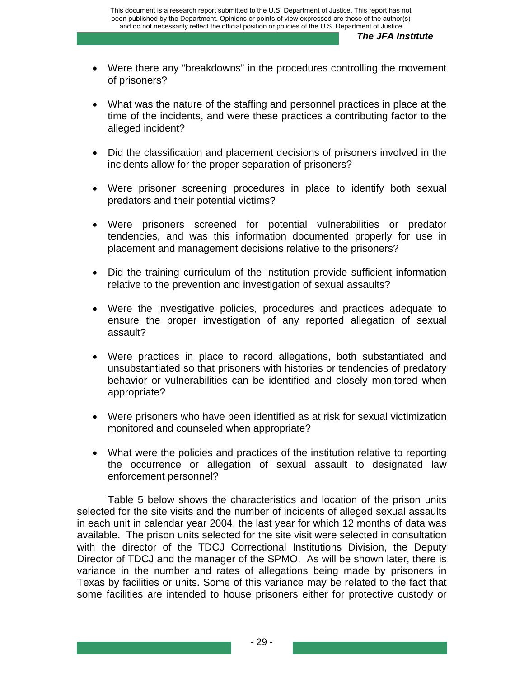- Were there any "breakdowns" in the procedures controlling the movement of prisoners?
- What was the nature of the staffing and personnel practices in place at the time of the incidents, and were these practices a contributing factor to the alleged incident?
- Did the classification and placement decisions of prisoners involved in the incidents allow for the proper separation of prisoners?
- Were prisoner screening procedures in place to identify both sexual predators and their potential victims?
- Were prisoners screened for potential vulnerabilities or predator tendencies, and was this information documented properly for use in placement and management decisions relative to the prisoners?
- Did the training curriculum of the institution provide sufficient information relative to the prevention and investigation of sexual assaults?
- Were the investigative policies, procedures and practices adequate to ensure the proper investigation of any reported allegation of sexual assault?
- Were practices in place to record allegations, both substantiated and unsubstantiated so that prisoners with histories or tendencies of predatory behavior or vulnerabilities can be identified and closely monitored when appropriate?
- Were prisoners who have been identified as at risk for sexual victimization monitored and counseled when appropriate?
- What were the policies and practices of the institution relative to reporting the occurrence or allegation of sexual assault to designated law enforcement personnel?

Table 5 below shows the characteristics and location of the prison units selected for the site visits and the number of incidents of alleged sexual assaults in each unit in calendar year 2004, the last year for which 12 months of data was available. The prison units selected for the site visit were selected in consultation with the director of the TDCJ Correctional Institutions Division, the Deputy Director of TDCJ and the manager of the SPMO. As will be shown later, there is variance in the number and rates of allegations being made by prisoners in Texas by facilities or units. Some of this variance may be related to the fact that some facilities are intended to house prisoners either for protective custody or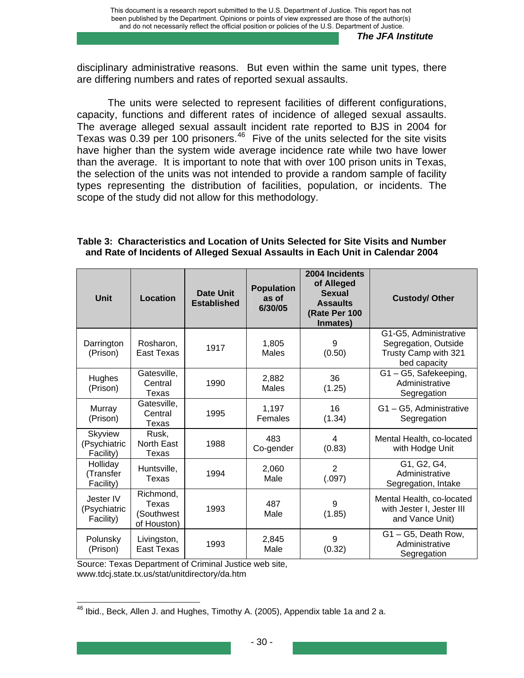disciplinary administrative reasons. But even within the same unit types, there are differing numbers and rates of reported sexual assaults.

The units were selected to represent facilities of different configurations, capacity, functions and different rates of incidence of alleged sexual assaults. The average alleged sexual assault incident rate reported to BJS in 2004 for Texas was  $0.39$  per 100 prisoners.<sup>[46](#page-38-0)</sup> Five of the units selected for the site visits have higher than the system wide average incidence rate while two have lower than the average. It is important to note that with over 100 prison units in Texas, the selection of the units was not intended to provide a random sample of facility types representing the distribution of facilities, population, or incidents. The scope of the study did not allow for this methodology.

| Table 3:  Characteristics and Location of Units Selected for Site Visits and Number |  |  |
|-------------------------------------------------------------------------------------|--|--|
| and Rate of Incidents of Alleged Sexual Assaults in Each Unit in Calendar 2004      |  |  |

| <b>Unit</b>                            | <b>Location</b>                                 | <b>Date Unit</b><br><b>Established</b> | <b>Population</b><br>as of<br>6/30/05 | 2004 Incidents<br>of Alleged<br><b>Sexual</b><br><b>Assaults</b><br>(Rate Per 100<br>Inmates) | <b>Custody/ Other</b>                                                                 |
|----------------------------------------|-------------------------------------------------|----------------------------------------|---------------------------------------|-----------------------------------------------------------------------------------------------|---------------------------------------------------------------------------------------|
| Darrington<br>(Prison)                 | Rosharon,<br>East Texas                         | 1917                                   | 1,805<br>Males                        | 9<br>(0.50)                                                                                   | G1-G5, Administrative<br>Segregation, Outside<br>Trusty Camp with 321<br>bed capacity |
| Hughes<br>(Prison)                     | Gatesville,<br>Central<br>Texas                 | 1990                                   | 2,882<br>Males                        | 36<br>(1.25)                                                                                  | G1-G5, Safekeeping,<br>Administrative<br>Segregation                                  |
| Murray<br>(Prison)                     | Gatesville,<br>Central<br>Texas                 | 1995                                   | 1,197<br>Females                      | 16<br>(1.34)                                                                                  | G1-G5, Administrative<br>Segregation                                                  |
| Skyview<br>(Psychiatric<br>Facility)   | Rusk,<br>North East<br>Texas                    | 1988                                   | 483<br>Co-gender                      | 4<br>(0.83)                                                                                   | Mental Health, co-located<br>with Hodge Unit                                          |
| Holliday<br>(Transfer<br>Facility)     | Huntsville,<br>Texas                            | 1994                                   | 2,060<br>Male                         | $\overline{2}$<br>(.097)                                                                      | G1, G2, G4,<br>Administrative<br>Segregation, Intake                                  |
| Jester IV<br>(Psychiatric<br>Facility) | Richmond,<br>Texas<br>(Southwest<br>of Houston) | 1993                                   | 487<br>Male                           | 9<br>(1.85)                                                                                   | Mental Health, co-located<br>with Jester I, Jester III<br>and Vance Unit)             |
| Polunsky<br>(Prison)                   | Livingston,<br>East Texas                       | 1993                                   | 2,845<br>Male                         | 9<br>(0.32)                                                                                   | $G1 - G5$ , Death Row,<br>Administrative<br>Segregation                               |

Source: Texas Department of Criminal Justice web site, www.tdcj.state.tx.us/stat/unitdirectory/da.htm

<span id="page-38-0"></span>  $^{46}$  Ibid., Beck, Allen J. and Hughes, Timothy A. (2005), Appendix table 1a and 2 a.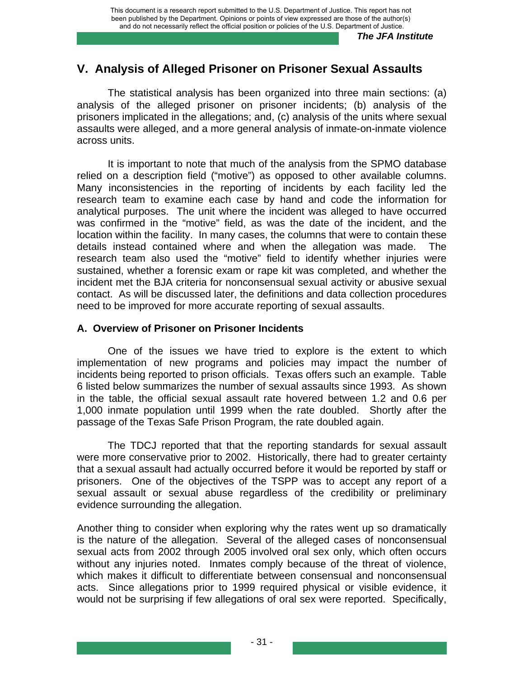# **V. Analysis of Alleged Prisoner on Prisoner Sexual Assaults**

The statistical analysis has been organized into three main sections: (a) analysis of the alleged prisoner on prisoner incidents; (b) analysis of the prisoners implicated in the allegations; and, (c) analysis of the units where sexual assaults were alleged, and a more general analysis of inmate-on-inmate violence across units.

It is important to note that much of the analysis from the SPMO database relied on a description field ("motive") as opposed to other available columns. Many inconsistencies in the reporting of incidents by each facility led the research team to examine each case by hand and code the information for analytical purposes. The unit where the incident was alleged to have occurred was confirmed in the "motive" field, as was the date of the incident, and the location within the facility. In many cases, the columns that were to contain these details instead contained where and when the allegation was made. The research team also used the "motive" field to identify whether injuries were sustained, whether a forensic exam or rape kit was completed, and whether the incident met the BJA criteria for nonconsensual sexual activity or abusive sexual contact. As will be discussed later, the definitions and data collection procedures need to be improved for more accurate reporting of sexual assaults.

## **A. Overview of Prisoner on Prisoner Incidents**

One of the issues we have tried to explore is the extent to which implementation of new programs and policies may impact the number of incidents being reported to prison officials. Texas offers such an example. Table 6 listed below summarizes the number of sexual assaults since 1993. As shown in the table, the official sexual assault rate hovered between 1.2 and 0.6 per 1,000 inmate population until 1999 when the rate doubled. Shortly after the passage of the Texas Safe Prison Program, the rate doubled again.

The TDCJ reported that that the reporting standards for sexual assault were more conservative prior to 2002. Historically, there had to greater certainty that a sexual assault had actually occurred before it would be reported by staff or prisoners. One of the objectives of the TSPP was to accept any report of a sexual assault or sexual abuse regardless of the credibility or preliminary evidence surrounding the allegation.

Another thing to consider when exploring why the rates went up so dramatically is the nature of the allegation. Several of the alleged cases of nonconsensual sexual acts from 2002 through 2005 involved oral sex only, which often occurs without any injuries noted. Inmates comply because of the threat of violence, which makes it difficult to differentiate between consensual and nonconsensual acts. Since allegations prior to 1999 required physical or visible evidence, it would not be surprising if few allegations of oral sex were reported. Specifically,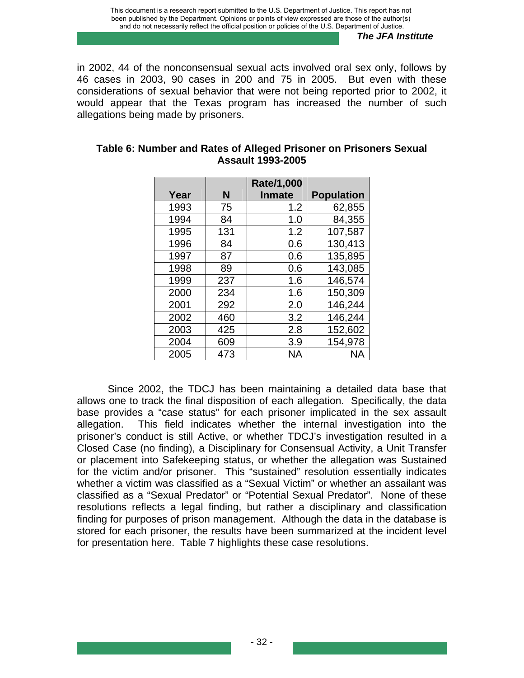in 2002, 44 of the nonconsensual sexual acts involved oral sex only, follows by 46 cases in 2003, 90 cases in 200 and 75 in 2005. But even with these considerations of sexual behavior that were not being reported prior to 2002, it would appear that the Texas program has increased the number of such allegations being made by prisoners.

|      |     | Rate/1,000    |                   |
|------|-----|---------------|-------------------|
| Year | N   | <b>Inmate</b> | <b>Population</b> |
| 1993 | 75  | 1.2           | 62,855            |
| 1994 | 84  | 1.0           | 84,355            |
| 1995 | 131 | 1.2           | 107,587           |
| 1996 | 84  | 0.6           | 130,413           |
| 1997 | 87  | 0.6           | 135,895           |
| 1998 | 89  | 0.6           | 143,085           |
| 1999 | 237 | 1.6           | 146,574           |
| 2000 | 234 | 1.6           | 150,309           |
| 2001 | 292 | 2.0           | 146,244           |
| 2002 | 460 | 3.2           | 146,244           |
| 2003 | 425 | 2.8           | 152,602           |
| 2004 | 609 | 3.9           | 154,978           |
| 2005 | 473 | <b>NA</b>     | ΝA                |

### **Table 6: Number and Rates of Alleged Prisoner on Prisoners Sexual Assault 1993-2005**

Since 2002, the TDCJ has been maintaining a detailed data base that allows one to track the final disposition of each allegation. Specifically, the data base provides a "case status" for each prisoner implicated in the sex assault allegation. This field indicates whether the internal investigation into the prisoner's conduct is still Active, or whether TDCJ's investigation resulted in a Closed Case (no finding), a Disciplinary for Consensual Activity, a Unit Transfer or placement into Safekeeping status, or whether the allegation was Sustained for the victim and/or prisoner. This "sustained" resolution essentially indicates whether a victim was classified as a "Sexual Victim" or whether an assailant was classified as a "Sexual Predator" or "Potential Sexual Predator". None of these resolutions reflects a legal finding, but rather a disciplinary and classification finding for purposes of prison management. Although the data in the database is stored for each prisoner, the results have been summarized at the incident level for presentation here. Table 7 highlights these case resolutions.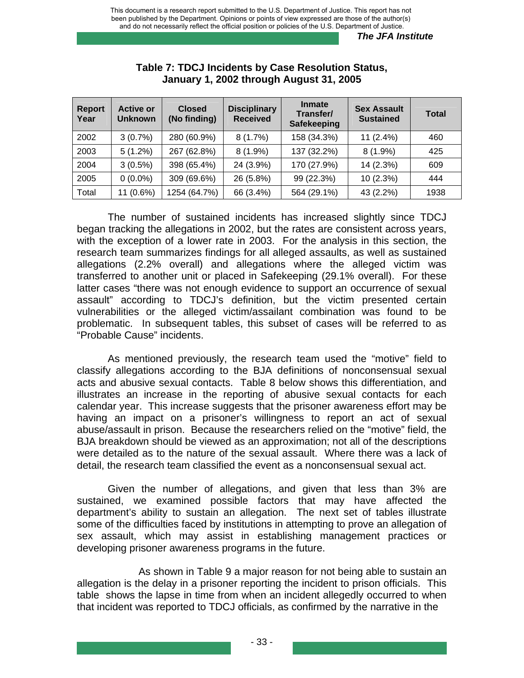| <b>Report</b><br>Year | <b>Active or</b><br><b>Unknown</b> | <b>Closed</b><br>(No finding) | <b>Disciplinary</b><br><b>Received</b> | <b>Inmate</b><br>Transfer/<br><b>Safekeeping</b> | <b>Sex Assault</b><br><b>Sustained</b> | <b>Total</b> |
|-----------------------|------------------------------------|-------------------------------|----------------------------------------|--------------------------------------------------|----------------------------------------|--------------|
| 2002                  | 3(0.7%)                            | 280 (60.9%)                   | 8(1.7%)                                | 158 (34.3%)                                      | $11(2.4\%)$                            | 460          |
| 2003                  | $5(1.2\%)$                         | 267 (62.8%)                   | $8(1.9\%)$                             | 137 (32.2%)                                      | $8(1.9\%)$                             | 425          |
| 2004                  | $3(0.5\%)$                         | 398 (65.4%)                   | 24 (3.9%)                              | 170 (27.9%)                                      | 14 (2.3%)                              | 609          |
| 2005                  | $0(0.0\%)$                         | 309 (69.6%)                   | 26 (5.8%)                              | 99 (22.3%)                                       | 10(2.3%)                               | 444          |
| Total                 | $11(0.6\%)$                        | 1254 (64.7%)                  | 66 (3.4%)                              | 564 (29.1%)                                      | 43 (2.2%)                              | 1938         |

#### **Table 7: TDCJ Incidents by Case Resolution Status, January 1, 2002 through August 31, 2005**

The number of sustained incidents has increased slightly since TDCJ began tracking the allegations in 2002, but the rates are consistent across years, with the exception of a lower rate in 2003. For the analysis in this section, the research team summarizes findings for all alleged assaults, as well as sustained allegations (2.2% overall) and allegations where the alleged victim was transferred to another unit or placed in Safekeeping (29.1% overall). For these latter cases "there was not enough evidence to support an occurrence of sexual assault" according to TDCJ's definition, but the victim presented certain vulnerabilities or the alleged victim/assailant combination was found to be problematic. In subsequent tables, this subset of cases will be referred to as "Probable Cause" incidents.

As mentioned previously, the research team used the "motive" field to classify allegations according to the BJA definitions of nonconsensual sexual acts and abusive sexual contacts. Table 8 below shows this differentiation, and illustrates an increase in the reporting of abusive sexual contacts for each calendar year. This increase suggests that the prisoner awareness effort may be having an impact on a prisoner's willingness to report an act of sexual abuse/assault in prison. Because the researchers relied on the "motive" field, the BJA breakdown should be viewed as an approximation; not all of the descriptions were detailed as to the nature of the sexual assault. Where there was a lack of detail, the research team classified the event as a nonconsensual sexual act.

Given the number of allegations, and given that less than 3% are sustained, we examined possible factors that may have affected the department's ability to sustain an allegation. The next set of tables illustrate some of the difficulties faced by institutions in attempting to prove an allegation of sex assault, which may assist in establishing management practices or developing prisoner awareness programs in the future.

 As shown in Table 9 a major reason for not being able to sustain an allegation is the delay in a prisoner reporting the incident to prison officials. This table shows the lapse in time from when an incident allegedly occurred to when that incident was reported to TDCJ officials, as confirmed by the narrative in the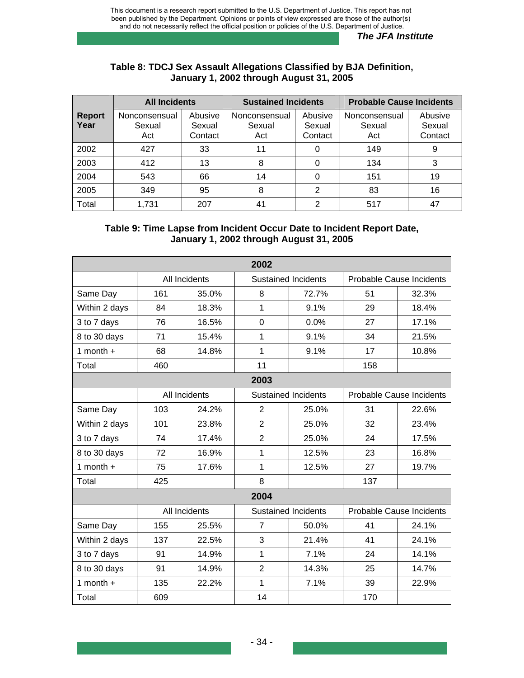#### **Table 8: TDCJ Sex Assault Allegations Classified by BJA Definition, January 1, 2002 through August 31, 2005**

|                       | <b>All Incidents</b>           |                              | <b>Sustained Incidents</b>     |                              | <b>Probable Cause Incidents</b> |                              |
|-----------------------|--------------------------------|------------------------------|--------------------------------|------------------------------|---------------------------------|------------------------------|
| <b>Report</b><br>Year | Nonconsensual<br>Sexual<br>Act | Abusive<br>Sexual<br>Contact | Nonconsensual<br>Sexual<br>Act | Abusive<br>Sexual<br>Contact | Nonconsensual<br>Sexual<br>Act  | Abusive<br>Sexual<br>Contact |
| 2002                  | 427                            | 33                           | 11                             |                              | 149                             | 9                            |
| 2003                  | 412                            | 13                           | 8                              |                              | 134                             | 3                            |
| 2004                  | 543                            | 66                           | 14                             |                              | 151                             | 19                           |
| 2005                  | 349                            | 95                           | 8                              | 2                            | 83                              | 16                           |
| Total                 | 1,731                          | 207                          | 41                             | ⌒                            | 517                             | 47                           |

### **Table 9: Time Lapse from Incident Occur Date to Incident Report Date, January 1, 2002 through August 31, 2005**

|               | 2002 |               |                |                            |                          |                          |  |  |  |
|---------------|------|---------------|----------------|----------------------------|--------------------------|--------------------------|--|--|--|
|               |      | All Incidents |                | <b>Sustained Incidents</b> | Probable Cause Incidents |                          |  |  |  |
| Same Day      | 161  | 35.0%         | 8              | 72.7%                      | 51                       | 32.3%                    |  |  |  |
| Within 2 days | 84   | 18.3%         | 1              | 9.1%                       | 29                       | 18.4%                    |  |  |  |
| 3 to 7 days   | 76   | 16.5%         | $\overline{0}$ | 0.0%                       | 27                       | 17.1%                    |  |  |  |
| 8 to 30 days  | 71   | 15.4%         | 1              | 9.1%                       | 34                       | 21.5%                    |  |  |  |
| 1 month $+$   | 68   | 14.8%         | 1              | 9.1%                       | 17                       | 10.8%                    |  |  |  |
| Total         | 460  |               | 11             |                            | 158                      |                          |  |  |  |
|               |      |               | 2003           |                            |                          |                          |  |  |  |
|               |      | All Incidents |                | <b>Sustained Incidents</b> |                          | Probable Cause Incidents |  |  |  |
| Same Day      | 103  | 24.2%         | $\overline{2}$ | 25.0%                      | 31                       | 22.6%                    |  |  |  |
| Within 2 days | 101  | 23.8%         | $\overline{2}$ | 25.0%                      | 32                       | 23.4%                    |  |  |  |
| 3 to 7 days   | 74   | 17.4%         | $\overline{2}$ | 25.0%                      | 24                       | 17.5%                    |  |  |  |
| 8 to 30 days  | 72   | 16.9%         | 1              | 12.5%                      | 23                       | 16.8%                    |  |  |  |
| 1 month $+$   | 75   | 17.6%         | $\mathbf 1$    | 12.5%                      | 27                       | 19.7%                    |  |  |  |
| Total         | 425  |               | 8              |                            | 137                      |                          |  |  |  |
|               |      |               | 2004           |                            |                          |                          |  |  |  |
|               |      | All Incidents |                | <b>Sustained Incidents</b> | Probable Cause Incidents |                          |  |  |  |
| Same Day      | 155  | 25.5%         | $\overline{7}$ | 50.0%                      | 41                       | 24.1%                    |  |  |  |
| Within 2 days | 137  | 22.5%         | 3              | 21.4%                      | 41                       | 24.1%                    |  |  |  |
| 3 to 7 days   | 91   | 14.9%         | 1              | 7.1%                       | 24                       | 14.1%                    |  |  |  |
| 8 to 30 days  | 91   | 14.9%         | $\overline{2}$ | 14.3%                      | 25                       | 14.7%                    |  |  |  |
| 1 month $+$   | 135  | 22.2%         | $\mathbf 1$    | 7.1%                       | 39                       | 22.9%                    |  |  |  |
| Total         | 609  |               | 14             |                            | 170                      |                          |  |  |  |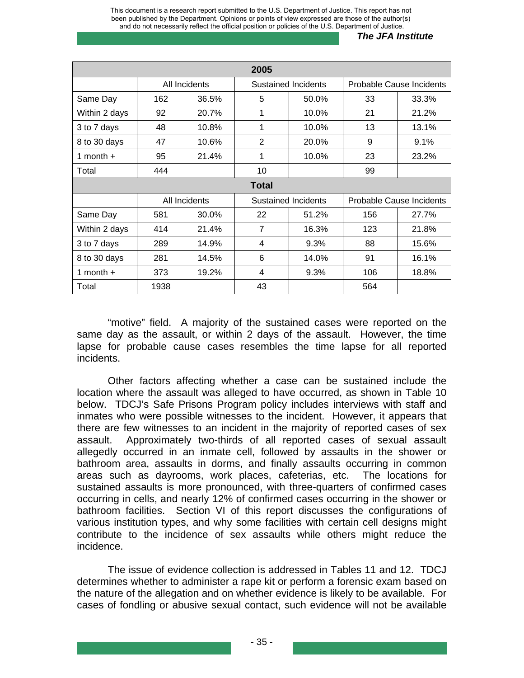This document is a research report submitted to the U.S. Department of Justice. This report has not been published by the Department. Opinions or points of view expressed are those of the author(s) and do not necessarily reflect the official position or policies of the U.S. Department of Justice.

#### *The JFA Institute*

| 2005          |      |               |                |                            |     |                                 |  |  |
|---------------|------|---------------|----------------|----------------------------|-----|---------------------------------|--|--|
|               |      | All Incidents |                | Sustained Incidents        |     | Probable Cause Incidents        |  |  |
| Same Day      | 162  | 36.5%         | 5              | 50.0%                      | 33  | 33.3%                           |  |  |
| Within 2 days | 92   | 20.7%         | 1              | 10.0%                      | 21  | 21.2%                           |  |  |
| 3 to 7 days   | 48   | 10.8%         | 1              | 10.0%                      | 13  | 13.1%                           |  |  |
| 8 to 30 days  | 47   | 10.6%         | $\overline{2}$ | 20.0%                      | 9   | 9.1%                            |  |  |
| 1 month $+$   | 95   | 21.4%         | 1              | 10.0%                      | 23  | 23.2%                           |  |  |
| Total         | 444  |               | 10             |                            | 99  |                                 |  |  |
|               |      |               | <b>Total</b>   |                            |     |                                 |  |  |
|               |      | All Incidents |                | <b>Sustained Incidents</b> |     | <b>Probable Cause Incidents</b> |  |  |
| Same Day      | 581  | 30.0%         | 22             | 51.2%                      | 156 | 27.7%                           |  |  |
| Within 2 days | 414  | 21.4%         | $\overline{7}$ | 16.3%                      | 123 | 21.8%                           |  |  |
| 3 to 7 days   | 289  | 14.9%         | 4              | 9.3%                       | 88  | 15.6%                           |  |  |
| 8 to 30 days  | 281  | 14.5%         | 6              | 14.0%                      | 91  | 16.1%                           |  |  |
| 1 month $+$   | 373  | 19.2%         | 4              | 9.3%                       | 106 | 18.8%                           |  |  |
| Total         | 1938 |               | 43             |                            | 564 |                                 |  |  |

"motive" field. A majority of the sustained cases were reported on the same day as the assault, or within 2 days of the assault. However, the time lapse for probable cause cases resembles the time lapse for all reported incidents.

Other factors affecting whether a case can be sustained include the location where the assault was alleged to have occurred, as shown in Table 10 below. TDCJ's Safe Prisons Program policy includes interviews with staff and inmates who were possible witnesses to the incident. However, it appears that there are few witnesses to an incident in the majority of reported cases of sex assault. Approximately two-thirds of all reported cases of sexual assault allegedly occurred in an inmate cell, followed by assaults in the shower or bathroom area, assaults in dorms, and finally assaults occurring in common areas such as dayrooms, work places, cafeterias, etc. The locations for sustained assaults is more pronounced, with three-quarters of confirmed cases occurring in cells, and nearly 12% of confirmed cases occurring in the shower or bathroom facilities. Section VI of this report discusses the configurations of various institution types, and why some facilities with certain cell designs might contribute to the incidence of sex assaults while others might reduce the incidence.

The issue of evidence collection is addressed in Tables 11 and 12. TDCJ determines whether to administer a rape kit or perform a forensic exam based on the nature of the allegation and on whether evidence is likely to be available. For cases of fondling or abusive sexual contact, such evidence will not be available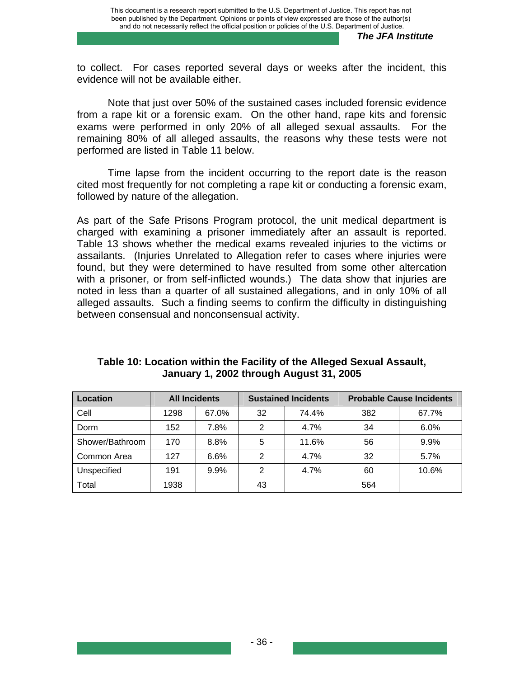to collect. For cases reported several days or weeks after the incident, this evidence will not be available either.

Note that just over 50% of the sustained cases included forensic evidence from a rape kit or a forensic exam. On the other hand, rape kits and forensic exams were performed in only 20% of all alleged sexual assaults. For the remaining 80% of all alleged assaults, the reasons why these tests were not performed are listed in Table 11 below.

Time lapse from the incident occurring to the report date is the reason cited most frequently for not completing a rape kit or conducting a forensic exam, followed by nature of the allegation.

As part of the Safe Prisons Program protocol, the unit medical department is charged with examining a prisoner immediately after an assault is reported. Table 13 shows whether the medical exams revealed injuries to the victims or assailants. (Injuries Unrelated to Allegation refer to cases where injuries were found, but they were determined to have resulted from some other altercation with a prisoner, or from self-inflicted wounds.) The data show that injuries are noted in less than a quarter of all sustained allegations, and in only 10% of all alleged assaults. Such a finding seems to confirm the difficulty in distinguishing between consensual and nonconsensual activity.

| Location        | <b>All Incidents</b> |       | <b>Sustained Incidents</b> |       | <b>Probable Cause Incidents</b> |       |
|-----------------|----------------------|-------|----------------------------|-------|---------------------------------|-------|
| Cell            | 1298                 | 67.0% | 32                         | 74.4% | 382                             | 67.7% |
| Dorm            | 152                  | 7.8%  | 2                          | 4.7%  | 34                              | 6.0%  |
| Shower/Bathroom | 170                  | 8.8%  | 5                          | 11.6% | 56                              | 9.9%  |
| Common Area     | 127                  | 6.6%  | 2                          | 4.7%  | 32                              | 5.7%  |
| Unspecified     | 191                  | 9.9%  | 2                          | 4.7%  | 60                              | 10.6% |
| Total           | 1938                 |       | 43                         |       | 564                             |       |

## **Table 10: Location within the Facility of the Alleged Sexual Assault, January 1, 2002 through August 31, 2005**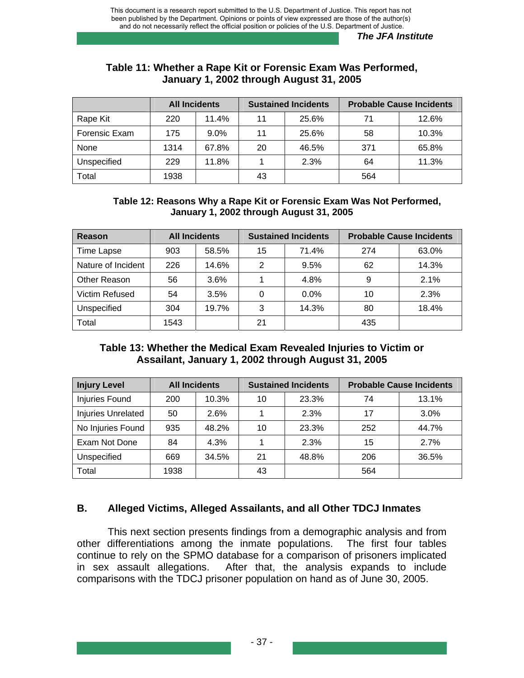## **Table 11: Whether a Rape Kit or Forensic Exam Was Performed, January 1, 2002 through August 31, 2005**

|               | <b>All Incidents</b> |         |    | <b>Sustained Incidents</b> | <b>Probable Cause Incidents</b> |       |
|---------------|----------------------|---------|----|----------------------------|---------------------------------|-------|
| Rape Kit      | 220                  | 11.4%   | 11 | 25.6%                      | 71                              | 12.6% |
| Forensic Exam | 175                  | $9.0\%$ | 11 | 25.6%                      | 58                              | 10.3% |
| None          | 1314                 | 67.8%   | 20 | 46.5%                      | 371                             | 65.8% |
| Unspecified   | 229                  | 11.8%   |    | 2.3%                       | 64                              | 11.3% |
| Total         | 1938                 |         | 43 |                            | 564                             |       |

### **Table 12: Reasons Why a Rape Kit or Forensic Exam Was Not Performed, January 1, 2002 through August 31, 2005**

| Reason             | <b>All Incidents</b> |       | <b>Sustained Incidents</b> |       | <b>Probable Cause Incidents</b> |       |
|--------------------|----------------------|-------|----------------------------|-------|---------------------------------|-------|
| <b>Time Lapse</b>  | 903                  | 58.5% | 15                         | 71.4% | 274                             | 63.0% |
| Nature of Incident | 226                  | 14.6% | 2                          | 9.5%  | 62                              | 14.3% |
| Other Reason       | 56                   | 3.6%  |                            | 4.8%  | 9                               | 2.1%  |
| Victim Refused     | 54                   | 3.5%  | 0                          | 0.0%  | 10                              | 2.3%  |
| Unspecified        | 304                  | 19.7% | 3                          | 14.3% | 80                              | 18.4% |
| Total              | 1543                 |       | 21                         |       | 435                             |       |

# **Table 13: Whether the Medical Exam Revealed Injuries to Victim or Assailant, January 1, 2002 through August 31, 2005**

| <b>Injury Level</b> | <b>All Incidents</b> |       |    | <b>Sustained Incidents</b> |     | <b>Probable Cause Incidents</b> |
|---------------------|----------------------|-------|----|----------------------------|-----|---------------------------------|
| Injuries Found      | 200                  | 10.3% | 10 | 23.3%                      | 74  | 13.1%                           |
| Injuries Unrelated  | 50                   | 2.6%  |    | 2.3%                       | 17  | 3.0%                            |
| No Injuries Found   | 935                  | 48.2% | 10 | 23.3%                      | 252 | 44.7%                           |
| Exam Not Done       | 84                   | 4.3%  |    | 2.3%                       | 15  | 2.7%                            |
| Unspecified         | 669                  | 34.5% | 21 | 48.8%                      | 206 | 36.5%                           |
| Total               | 1938                 |       | 43 |                            | 564 |                                 |

# **B. Alleged Victims, Alleged Assailants, and all Other TDCJ Inmates**

 This next section presents findings from a demographic analysis and from other differentiations among the inmate populations. The first four tables continue to rely on the SPMO database for a comparison of prisoners implicated in sex assault allegations. After that, the analysis expands to include comparisons with the TDCJ prisoner population on hand as of June 30, 2005.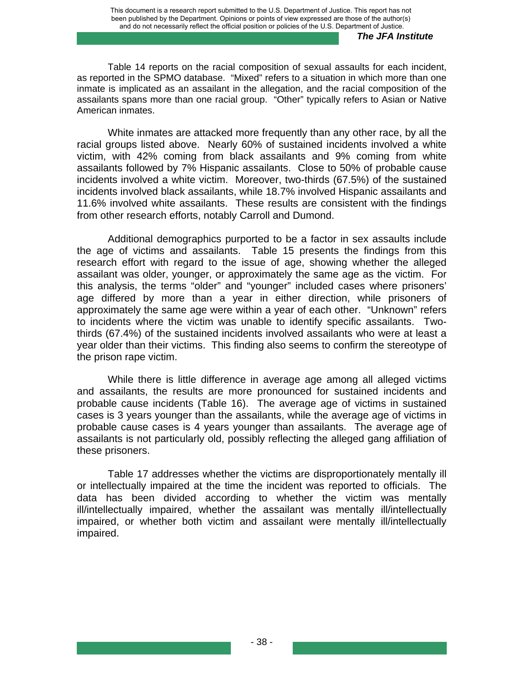Table 14 reports on the racial composition of sexual assaults for each incident, as reported in the SPMO database. "Mixed" refers to a situation in which more than one inmate is implicated as an assailant in the allegation, and the racial composition of the assailants spans more than one racial group. "Other" typically refers to Asian or Native American inmates.

White inmates are attacked more frequently than any other race, by all the racial groups listed above. Nearly 60% of sustained incidents involved a white victim, with 42% coming from black assailants and 9% coming from white assailants followed by 7% Hispanic assailants. Close to 50% of probable cause incidents involved a white victim. Moreover, two-thirds (67.5%) of the sustained incidents involved black assailants, while 18.7% involved Hispanic assailants and 11.6% involved white assailants. These results are consistent with the findings from other research efforts, notably Carroll and Dumond.

Additional demographics purported to be a factor in sex assaults include the age of victims and assailants. Table 15 presents the findings from this research effort with regard to the issue of age, showing whether the alleged assailant was older, younger, or approximately the same age as the victim. For this analysis, the terms "older" and "younger" included cases where prisoners' age differed by more than a year in either direction, while prisoners of approximately the same age were within a year of each other. "Unknown" refers to incidents where the victim was unable to identify specific assailants. Twothirds (67.4%) of the sustained incidents involved assailants who were at least a year older than their victims. This finding also seems to confirm the stereotype of the prison rape victim.

While there is little difference in average age among all alleged victims and assailants, the results are more pronounced for sustained incidents and probable cause incidents (Table 16). The average age of victims in sustained cases is 3 years younger than the assailants, while the average age of victims in probable cause cases is 4 years younger than assailants. The average age of assailants is not particularly old, possibly reflecting the alleged gang affiliation of these prisoners.

Table 17 addresses whether the victims are disproportionately mentally ill or intellectually impaired at the time the incident was reported to officials. The data has been divided according to whether the victim was mentally ill/intellectually impaired, whether the assailant was mentally ill/intellectually impaired, or whether both victim and assailant were mentally ill/intellectually impaired.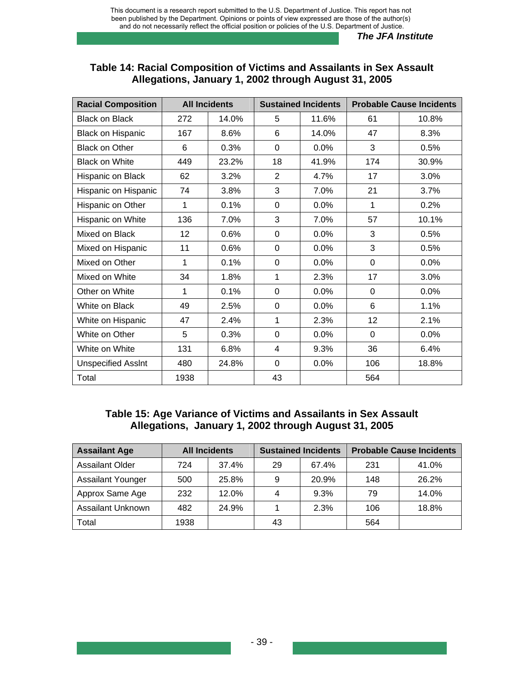## **Table 14: Racial Composition of Victims and Assailants in Sex Assault Allegations, January 1, 2002 through August 31, 2005**

| <b>Racial Composition</b> |      | <b>All Incidents</b> |                | <b>Sustained Incidents</b> |             | <b>Probable Cause Incidents</b> |  |
|---------------------------|------|----------------------|----------------|----------------------------|-------------|---------------------------------|--|
| <b>Black on Black</b>     | 272  | 14.0%                | 5              | 11.6%                      | 61          | 10.8%                           |  |
| <b>Black on Hispanic</b>  | 167  | 8.6%                 | 6              | 14.0%                      | 47          | 8.3%                            |  |
| <b>Black on Other</b>     | 6    | 0.3%                 | $\Omega$       | 0.0%                       | 3           | 0.5%                            |  |
| <b>Black on White</b>     | 449  | 23.2%                | 18             | 41.9%                      | 174         | 30.9%                           |  |
| Hispanic on Black         | 62   | 3.2%                 | $\overline{2}$ | 4.7%                       | 17          | 3.0%                            |  |
| Hispanic on Hispanic      | 74   | 3.8%                 | 3              | 7.0%                       | 21          | 3.7%                            |  |
| Hispanic on Other         | 1    | 0.1%                 | $\overline{0}$ | 0.0%                       | 1           | 0.2%                            |  |
| Hispanic on White         | 136  | 7.0%                 | 3              | 7.0%                       | 57          | 10.1%                           |  |
| Mixed on Black            | 12   | 0.6%                 | $\Omega$       | 0.0%                       | 3           | 0.5%                            |  |
| Mixed on Hispanic         | 11   | 0.6%                 | $\overline{0}$ | 0.0%                       | 3           | 0.5%                            |  |
| Mixed on Other            | 1    | 0.1%                 | 0              | 0.0%                       | $\mathbf 0$ | 0.0%                            |  |
| Mixed on White            | 34   | 1.8%                 | 1              | 2.3%                       | 17          | 3.0%                            |  |
| Other on White            | 1    | 0.1%                 | $\overline{0}$ | 0.0%                       | $\Omega$    | 0.0%                            |  |
| White on Black            | 49   | 2.5%                 | $\overline{0}$ | 0.0%                       | 6           | 1.1%                            |  |
| White on Hispanic         | 47   | 2.4%                 | 1              | 2.3%                       | 12          | 2.1%                            |  |
| White on Other            | 5    | 0.3%                 | 0              | 0.0%                       | $\Omega$    | 0.0%                            |  |
| White on White            | 131  | 6.8%                 | 4              | 9.3%                       | 36          | 6.4%                            |  |
| <b>Unspecified Assint</b> | 480  | 24.8%                | 0              | 0.0%                       | 106         | 18.8%                           |  |
| Total                     | 1938 |                      | 43             |                            | 564         |                                 |  |

## **Table 15: Age Variance of Victims and Assailants in Sex Assault Allegations, January 1, 2002 through August 31, 2005**

| <b>Assailant Age</b>     |      | <b>All Incidents</b> |    | <b>Probable Cause Incidents</b><br><b>Sustained Incidents</b> |     |       |
|--------------------------|------|----------------------|----|---------------------------------------------------------------|-----|-------|
| <b>Assailant Older</b>   | 724  | 37.4%                | 29 | 67.4%                                                         | 231 | 41.0% |
| <b>Assailant Younger</b> | 500  | 25.8%                |    | 20.9%                                                         | 148 | 26.2% |
| Approx Same Age          | 232  | 12.0%                |    | 9.3%                                                          | 79  | 14.0% |
| Assailant Unknown        | 482  | 24.9%                |    | 2.3%                                                          | 106 | 18.8% |
| Total                    | 1938 |                      | 43 |                                                               | 564 |       |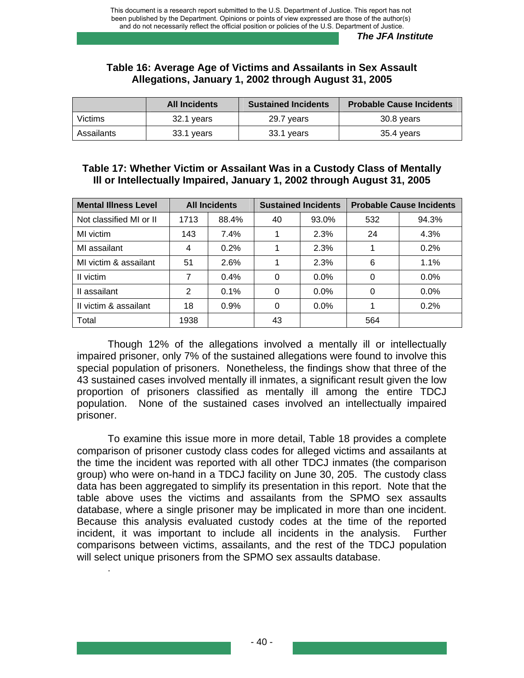### **Table 16: Average Age of Victims and Assailants in Sex Assault Allegations, January 1, 2002 through August 31, 2005**

|            | <b>All Incidents</b> | <b>Sustained Incidents</b> | <b>Probable Cause Incidents</b> |
|------------|----------------------|----------------------------|---------------------------------|
| Victims    | 32.1 years           | 29.7 years                 | 30.8 years                      |
| Assailants | 33.1 years           | 33.1 years                 | 35.4 years                      |

# **Table 17: Whether Victim or Assailant Was in a Custody Class of Mentally Ill or Intellectually Impaired, January 1, 2002 through August 31, 2005**

| <b>Mental Illness Level</b> | <b>All Incidents</b> |         | <b>Sustained Incidents</b> |         |          | <b>Probable Cause Incidents</b> |
|-----------------------------|----------------------|---------|----------------------------|---------|----------|---------------------------------|
| Not classified MI or II     | 1713                 | 88.4%   | 40                         | 93.0%   | 532      | 94.3%                           |
| MI victim                   | 143                  | 7.4%    |                            | 2.3%    | 24       | 4.3%                            |
| MI assailant                | 4                    | 0.2%    |                            | 2.3%    |          | 0.2%                            |
| MI victim & assailant       | 51                   | 2.6%    |                            | 2.3%    | 6        | 1.1%                            |
| II victim                   | 7                    | $0.4\%$ | 0                          | $0.0\%$ | 0        | $0.0\%$                         |
| II assailant                | 2                    | 0.1%    | 0                          | $0.0\%$ | $\Omega$ | 0.0%                            |
| Il victim & assailant       | 18                   | 0.9%    | 0                          | 0.0%    |          | 0.2%                            |
| Total                       | 1938                 |         | 43                         |         | 564      |                                 |

Though 12% of the allegations involved a mentally ill or intellectually impaired prisoner, only 7% of the sustained allegations were found to involve this special population of prisoners. Nonetheless, the findings show that three of the 43 sustained cases involved mentally ill inmates, a significant result given the low proportion of prisoners classified as mentally ill among the entire TDCJ population. None of the sustained cases involved an intellectually impaired prisoner.

To examine this issue more in more detail, Table 18 provides a complete comparison of prisoner custody class codes for alleged victims and assailants at the time the incident was reported with all other TDCJ inmates (the comparison group) who were on-hand in a TDCJ facility on June 30, 205. The custody class data has been aggregated to simplify its presentation in this report. Note that the table above uses the victims and assailants from the SPMO sex assaults database, where a single prisoner may be implicated in more than one incident. Because this analysis evaluated custody codes at the time of the reported incident, it was important to include all incidents in the analysis. Further comparisons between victims, assailants, and the rest of the TDCJ population will select unique prisoners from the SPMO sex assaults database.

.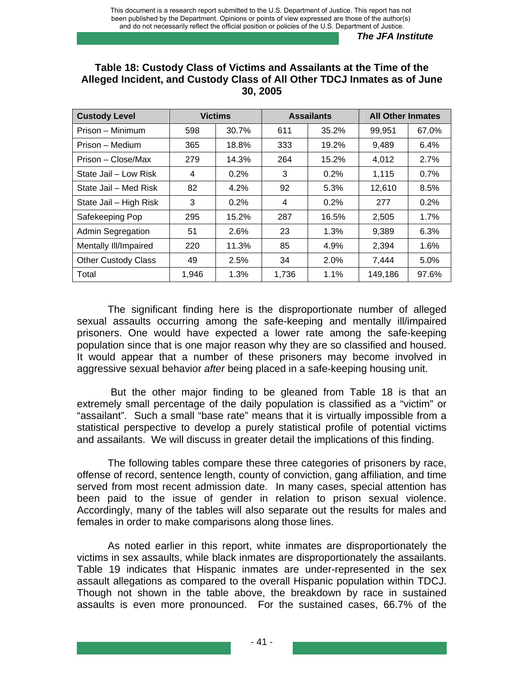| <b>Custody Level</b>       |       | <b>Victims</b> |       | <b>Assailants</b> |         | <b>All Other Inmates</b> |
|----------------------------|-------|----------------|-------|-------------------|---------|--------------------------|
| Prison – Minimum           | 598   | 30.7%          | 611   | 35.2%             | 99,951  | 67.0%                    |
| Prison - Medium            | 365   | 18.8%          | 333   | 19.2%             | 9,489   | 6.4%                     |
| Prison – Close/Max         | 279   | 14.3%          | 264   | 15.2%             | 4,012   | 2.7%                     |
| State Jail - Low Risk      | 4     | 0.2%           | 3     | 0.2%              | 1,115   | 0.7%                     |
| State Jail – Med Risk      | 82    | 4.2%           | 92    | 5.3%              | 12,610  | 8.5%                     |
| State Jail - High Risk     | 3     | 0.2%           | 4     | 0.2%              | 277     | 0.2%                     |
| Safekeeping Pop            | 295   | 15.2%          | 287   | 16.5%             | 2,505   | 1.7%                     |
| Admin Segregation          | 51    | 2.6%           | 23    | 1.3%              | 9,389   | 6.3%                     |
| Mentally III/Impaired      | 220   | 11.3%          | 85    | 4.9%              | 2,394   | 1.6%                     |
| <b>Other Custody Class</b> | 49    | 2.5%           | 34    | 2.0%              | 7,444   | 5.0%                     |
| Total                      | 1,946 | 1.3%           | 1,736 | 1.1%              | 149,186 | 97.6%                    |

### **Table 18: Custody Class of Victims and Assailants at the Time of the Alleged Incident, and Custody Class of All Other TDCJ Inmates as of June 30, 2005**

The significant finding here is the disproportionate number of alleged sexual assaults occurring among the safe-keeping and mentally ill/impaired prisoners. One would have expected a lower rate among the safe-keeping population since that is one major reason why they are so classified and housed. It would appear that a number of these prisoners may become involved in aggressive sexual behavior *after* being placed in a safe-keeping housing unit.

 But the other major finding to be gleaned from Table 18 is that an extremely small percentage of the daily population is classified as a "victim" or "assailant". Such a small "base rate" means that it is virtually impossible from a statistical perspective to develop a purely statistical profile of potential victims and assailants. We will discuss in greater detail the implications of this finding.

The following tables compare these three categories of prisoners by race, offense of record, sentence length, county of conviction, gang affiliation, and time served from most recent admission date. In many cases, special attention has been paid to the issue of gender in relation to prison sexual violence. Accordingly, many of the tables will also separate out the results for males and females in order to make comparisons along those lines.

As noted earlier in this report, white inmates are disproportionately the victims in sex assaults, while black inmates are disproportionately the assailants. Table 19 indicates that Hispanic inmates are under-represented in the sex assault allegations as compared to the overall Hispanic population within TDCJ. Though not shown in the table above, the breakdown by race in sustained assaults is even more pronounced. For the sustained cases, 66.7% of the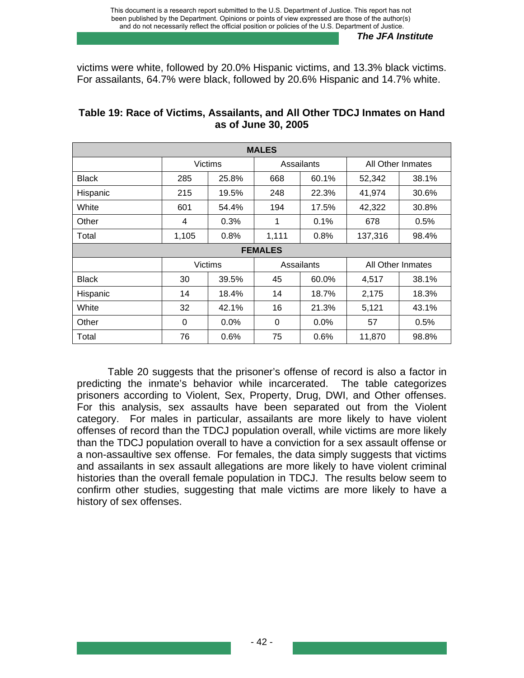victims were white, followed by 20.0% Hispanic victims, and 13.3% black victims. For assailants, 64.7% were black, followed by 20.6% Hispanic and 14.7% white.

| <b>MALES</b> |                |                |            |            |                   |       |  |  |  |  |  |
|--------------|----------------|----------------|------------|------------|-------------------|-------|--|--|--|--|--|
|              |                | <b>Victims</b> | Assailants |            | All Other Inmates |       |  |  |  |  |  |
| <b>Black</b> | 285            | 25.8%          | 668        | 60.1%      | 52,342            | 38.1% |  |  |  |  |  |
| Hispanic     | 215            | 19.5%          | 248        | 22.3%      | 41,974            | 30.6% |  |  |  |  |  |
| White        | 601            | 54.4%          | 194        | 17.5%      | 42,322            | 30.8% |  |  |  |  |  |
| Other        | 4              | 0.3%           | 1          | 0.1%       | 678               | 0.5%  |  |  |  |  |  |
| Total        | 1,105          | 0.8%           | 1,111      | 0.8%       | 137,316           | 98.4% |  |  |  |  |  |
|              | <b>FEMALES</b> |                |            |            |                   |       |  |  |  |  |  |
|              |                | <b>Victims</b> |            | Assailants | All Other Inmates |       |  |  |  |  |  |
| <b>Black</b> | 30             | 39.5%          | 45         | 60.0%      | 4,517             | 38.1% |  |  |  |  |  |
| Hispanic     | 14             | 18.4%          | 14         | 18.7%      | 2,175             | 18.3% |  |  |  |  |  |
| White        | 32             | 42.1%          | 16         | 21.3%      | 5,121             | 43.1% |  |  |  |  |  |
| Other        | 0              | $0.0\%$        | 0          | $0.0\%$    | 57                | 0.5%  |  |  |  |  |  |
| Total        | 76             | 0.6%           | 75         | 0.6%       | 11,870            | 98.8% |  |  |  |  |  |

# **Table 19: Race of Victims, Assailants, and All Other TDCJ Inmates on Hand as of June 30, 2005**

Table 20 suggests that the prisoner's offense of record is also a factor in predicting the inmate's behavior while incarcerated. The table categorizes prisoners according to Violent, Sex, Property, Drug, DWI, and Other offenses. For this analysis, sex assaults have been separated out from the Violent category. For males in particular, assailants are more likely to have violent offenses of record than the TDCJ population overall, while victims are more likely than the TDCJ population overall to have a conviction for a sex assault offense or a non-assaultive sex offense. For females, the data simply suggests that victims and assailants in sex assault allegations are more likely to have violent criminal histories than the overall female population in TDCJ. The results below seem to confirm other studies, suggesting that male victims are more likely to have a history of sex offenses.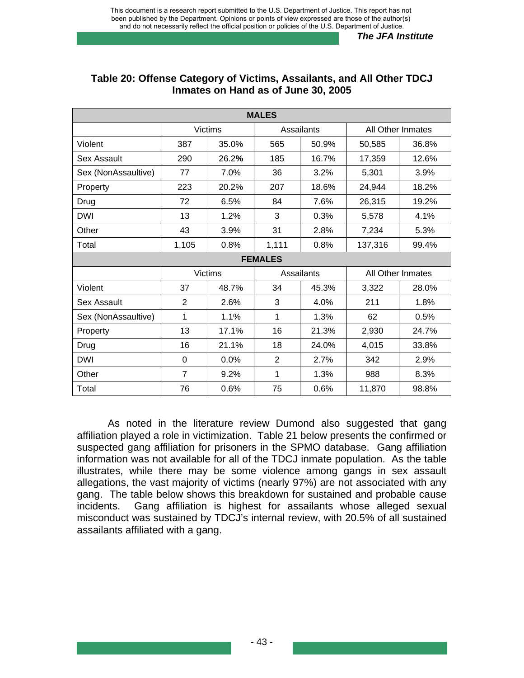| <b>MALES</b>        |                |                |                |            |         |                   |  |  |
|---------------------|----------------|----------------|----------------|------------|---------|-------------------|--|--|
|                     |                | <b>Victims</b> |                | Assailants |         | All Other Inmates |  |  |
| Violent             | 387            | 35.0%          | 565            | 50.9%      | 50,585  | 36.8%             |  |  |
| Sex Assault         | 290            | 26.2%          | 185            | 16.7%      | 17,359  | 12.6%             |  |  |
| Sex (NonAssaultive) | 77             | 7.0%           | 36             | 3.2%       | 5,301   | 3.9%              |  |  |
| Property            | 223            | 20.2%          | 207            | 18.6%      | 24,944  | 18.2%             |  |  |
| Drug                | 72             | 6.5%           | 84             | 7.6%       | 26,315  | 19.2%             |  |  |
| <b>DWI</b>          | 13             | 1.2%           | 3              | 0.3%       | 5,578   | 4.1%              |  |  |
| Other               | 43             | 3.9%           | 31             | 2.8%       | 7,234   | 5.3%              |  |  |
| Total               | 1,105          | 0.8%           | 1,111          | 0.8%       | 137,316 | 99.4%             |  |  |
|                     |                |                | <b>FEMALES</b> |            |         |                   |  |  |
|                     |                | <b>Victims</b> |                | Assailants |         | All Other Inmates |  |  |
| Violent             | 37             | 48.7%          | 34             | 45.3%      | 3,322   | 28.0%             |  |  |
| Sex Assault         | $\overline{2}$ | 2.6%           | 3              | 4.0%       | 211     | 1.8%              |  |  |
| Sex (NonAssaultive) | 1              | 1.1%           | 1              | 1.3%       | 62      | 0.5%              |  |  |
| Property            | 13             | 17.1%          | 16             | 21.3%      | 2,930   | 24.7%             |  |  |
| Drug                | 16             | 21.1%          | 18             | 24.0%      | 4,015   | 33.8%             |  |  |
| <b>DWI</b>          | 0              | 0.0%           | 2              | 2.7%       | 342     | 2.9%              |  |  |
| Other               | $\overline{7}$ | 9.2%           | 1              | 1.3%       | 988     | 8.3%              |  |  |
| Total               | 76             | 0.6%           | 75             | 0.6%       | 11,870  | 98.8%             |  |  |

#### **Table 20: Offense Category of Victims, Assailants, and All Other TDCJ Inmates on Hand as of June 30, 2005**

As noted in the literature review Dumond also suggested that gang affiliation played a role in victimization. Table 21 below presents the confirmed or suspected gang affiliation for prisoners in the SPMO database. Gang affiliation information was not available for all of the TDCJ inmate population. As the table illustrates, while there may be some violence among gangs in sex assault allegations, the vast majority of victims (nearly 97%) are not associated with any gang. The table below shows this breakdown for sustained and probable cause incidents. Gang affiliation is highest for assailants whose alleged sexual misconduct was sustained by TDCJ's internal review, with 20.5% of all sustained assailants affiliated with a gang.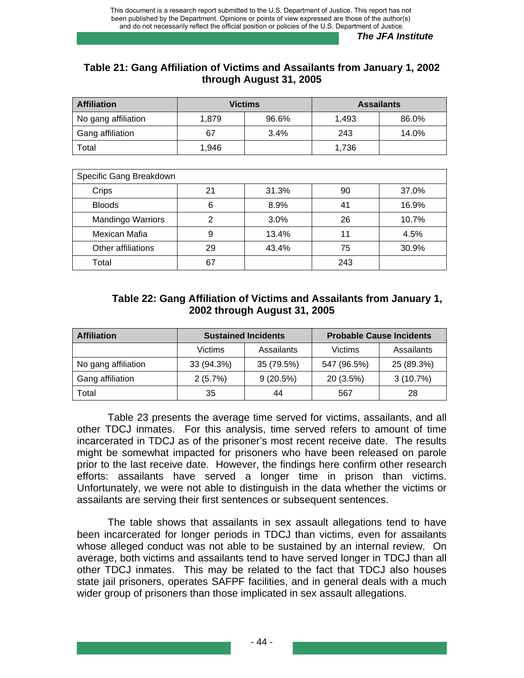# **Table 21: Gang Affiliation of Victims and Assailants from January 1, 2002 through August 31, 2005**

| <b>Affiliation</b>  | <b>Victims</b> |       | <b>Assailants</b> |       |
|---------------------|----------------|-------|-------------------|-------|
| No gang affiliation | 1.879          | 96.6% | 1.493             | 86.0% |
| Gang affiliation    | 67             | 3.4%  | 243               | 14.0% |
| Total               | 1.946          |       | 1.736             |       |

| Specific Gang Breakdown  |    |       |     |       |  |  |  |  |
|--------------------------|----|-------|-----|-------|--|--|--|--|
| Crips                    | 21 | 31.3% | 90  | 37.0% |  |  |  |  |
| <b>Bloods</b>            | 6  | 8.9%  | 41  | 16.9% |  |  |  |  |
| <b>Mandingo Warriors</b> | ⌒  | 3.0%  | 26  | 10.7% |  |  |  |  |
| Mexican Mafia            | 9  | 13.4% | 11  | 4.5%  |  |  |  |  |
| Other affiliations       | 29 | 43.4% | 75  | 30.9% |  |  |  |  |
| Total                    | 67 |       | 243 |       |  |  |  |  |

# **Table 22: Gang Affiliation of Victims and Assailants from January 1, 2002 through August 31, 2005**

| <b>Affiliation</b>  |            | <b>Sustained Incidents</b> | <b>Probable Cause Incidents</b> |            |  |
|---------------------|------------|----------------------------|---------------------------------|------------|--|
|                     | Victims    | Assailants<br>Victims      |                                 | Assailants |  |
| No gang affiliation | 33 (94.3%) | 35 (79.5%)                 | 547 (96.5%)                     | 25 (89.3%) |  |
| Gang affiliation    | 2(5.7%)    | 9(20.5%)                   | 20 (3.5%)                       | 3(10.7%)   |  |
| Total               | 35         | 44                         | 567                             | 28         |  |

 Table 23 presents the average time served for victims, assailants, and all other TDCJ inmates. For this analysis, time served refers to amount of time incarcerated in TDCJ as of the prisoner's most recent receive date. The results might be somewhat impacted for prisoners who have been released on parole prior to the last receive date. However, the findings here confirm other research efforts: assailants have served a longer time in prison than victims. Unfortunately, we were not able to distinguish in the data whether the victims or assailants are serving their first sentences or subsequent sentences.

The table shows that assailants in sex assault allegations tend to have been incarcerated for longer periods in TDCJ than victims, even for assailants whose alleged conduct was not able to be sustained by an internal review. On average, both victims and assailants tend to have served longer in TDCJ than all other TDCJ inmates. This may be related to the fact that TDCJ also houses state jail prisoners, operates SAFPF facilities, and in general deals with a much wider group of prisoners than those implicated in sex assault allegations.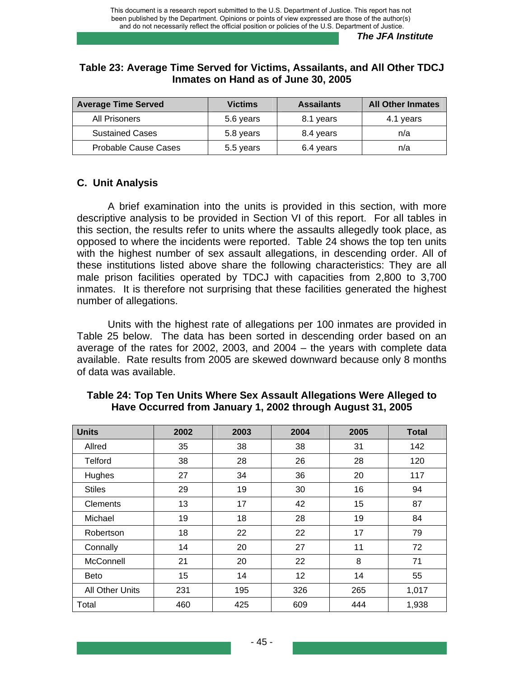### **Table 23: Average Time Served for Victims, Assailants, and All Other TDCJ Inmates on Hand as of June 30, 2005**

| <b>Average Time Served</b>  | <b>Victims</b> | <b>Assailants</b> | <b>All Other Inmates</b> |
|-----------------------------|----------------|-------------------|--------------------------|
| All Prisoners               | 5.6 years      | 8.1 years         | 4.1 years                |
| <b>Sustained Cases</b>      | 5.8 years      | 8.4 years         | n/a                      |
| <b>Probable Cause Cases</b> | 5.5 years      | 6.4 years         | n/a                      |

# **C. Unit Analysis**

A brief examination into the units is provided in this section, with more descriptive analysis to be provided in Section VI of this report. For all tables in this section, the results refer to units where the assaults allegedly took place, as opposed to where the incidents were reported. Table 24 shows the top ten units with the highest number of sex assault allegations, in descending order. All of these institutions listed above share the following characteristics: They are all male prison facilities operated by TDCJ with capacities from 2,800 to 3,700 inmates. It is therefore not surprising that these facilities generated the highest number of allegations.

Units with the highest rate of allegations per 100 inmates are provided in Table 25 below. The data has been sorted in descending order based on an average of the rates for 2002, 2003, and 2004 – the years with complete data available. Rate results from 2005 are skewed downward because only 8 months of data was available.

| <b>Units</b>           | 2002 | 2003 | 2004 | 2005 | <b>Total</b> |
|------------------------|------|------|------|------|--------------|
| Allred                 | 35   | 38   | 38   | 31   | 142          |
| <b>Telford</b>         | 38   | 28   | 26   | 28   | 120          |
| Hughes                 | 27   | 34   | 36   | 20   | 117          |
| <b>Stiles</b>          | 29   | 19   | 30   | 16   | 94           |
| <b>Clements</b>        | 13   | 17   | 42   | 15   | 87           |
| Michael                | 19   | 18   | 28   | 19   | 84           |
| Robertson              | 18   | 22   | 22   | 17   | 79           |
| Connally               | 14   | 20   | 27   | 11   | 72           |
| McConnell              | 21   | 20   | 22   | 8    | 71           |
| <b>Beto</b>            | 15   | 14   | 12   | 14   | 55           |
| <b>All Other Units</b> | 231  | 195  | 326  | 265  | 1,017        |
| Total                  | 460  | 425  | 609  | 444  | 1,938        |

# **Table 24: Top Ten Units Where Sex Assault Allegations Were Alleged to Have Occurred from January 1, 2002 through August 31, 2005**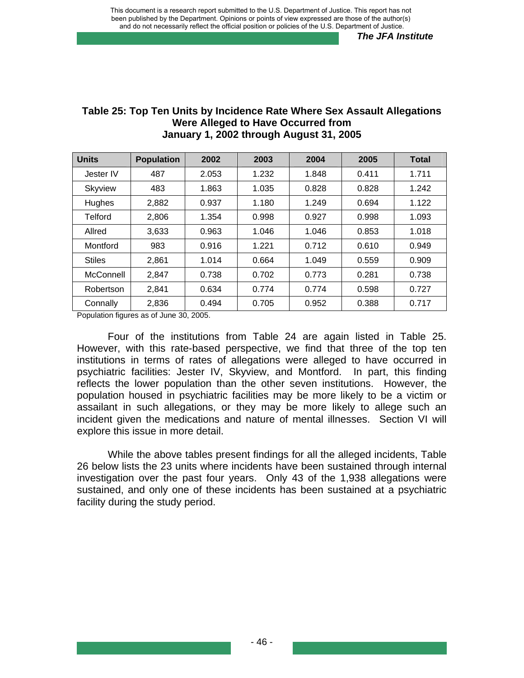| <b>Units</b>   | <b>Population</b> | 2002  | 2003  | 2004  | 2005  | <b>Total</b> |
|----------------|-------------------|-------|-------|-------|-------|--------------|
| Jester IV      | 487               | 2.053 | 1.232 | 1.848 | 0.411 | 1.711        |
| <b>Skyview</b> | 483               | 1.863 | 1.035 | 0.828 | 0.828 | 1.242        |
| Hughes         | 2,882             | 0.937 | 1.180 | 1.249 | 0.694 | 1.122        |
| Telford        | 2,806             | 1.354 | 0.998 | 0.927 | 0.998 | 1.093        |
| Allred         | 3,633             | 0.963 | 1.046 | 1.046 | 0.853 | 1.018        |
| Montford       | 983               | 0.916 | 1.221 | 0.712 | 0.610 | 0.949        |
| <b>Stiles</b>  | 2.861             | 1.014 | 0.664 | 1.049 | 0.559 | 0.909        |
| McConnell      | 2,847             | 0.738 | 0.702 | 0.773 | 0.281 | 0.738        |
| Robertson      | 2,841             | 0.634 | 0.774 | 0.774 | 0.598 | 0.727        |
| Connally       | 2,836             | 0.494 | 0.705 | 0.952 | 0.388 | 0.717        |

#### **Table 25: Top Ten Units by Incidence Rate Where Sex Assault Allegations Were Alleged to Have Occurred from January 1, 2002 through August 31, 2005**

Population figures as of June 30, 2005.

Four of the institutions from Table 24 are again listed in Table 25. However, with this rate-based perspective, we find that three of the top ten institutions in terms of rates of allegations were alleged to have occurred in psychiatric facilities: Jester IV, Skyview, and Montford. In part, this finding reflects the lower population than the other seven institutions. However, the population housed in psychiatric facilities may be more likely to be a victim or assailant in such allegations, or they may be more likely to allege such an incident given the medications and nature of mental illnesses. Section VI will explore this issue in more detail.

While the above tables present findings for all the alleged incidents, Table 26 below lists the 23 units where incidents have been sustained through internal investigation over the past four years. Only 43 of the 1,938 allegations were sustained, and only one of these incidents has been sustained at a psychiatric facility during the study period.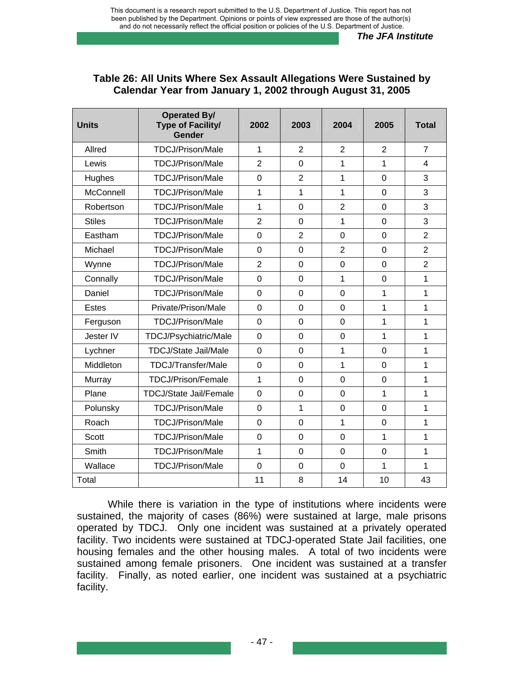| Table 26: All Units Where Sex Assault Allegations Were Sustained by |
|---------------------------------------------------------------------|
| Calendar Year from January 1, 2002 through August 31, 2005          |

| <b>Units</b>  | <b>Operated By/</b><br><b>Type of Facility/</b><br>Gender | 2002           | 2003           | 2004           | 2005           | <b>Total</b>   |
|---------------|-----------------------------------------------------------|----------------|----------------|----------------|----------------|----------------|
| Allred        | <b>TDCJ/Prison/Male</b>                                   | $\mathbf{1}$   | $\overline{2}$ | $\overline{2}$ | 2              | $\overline{7}$ |
| Lewis         | <b>TDCJ/Prison/Male</b>                                   | $\overline{2}$ | $\overline{0}$ | 1              | 1              | 4              |
| Hughes        | <b>TDCJ/Prison/Male</b>                                   | 0              | $\overline{2}$ | 1              | $\overline{0}$ | 3              |
| McConnell     | <b>TDCJ/Prison/Male</b>                                   | 1              | 1              | $\mathbf{1}$   | $\overline{0}$ | 3              |
| Robertson     | TDCJ/Prison/Male                                          | 1              | $\overline{0}$ | $\overline{2}$ | $\mathbf 0$    | 3              |
| <b>Stiles</b> | <b>TDCJ/Prison/Male</b>                                   | $\overline{2}$ | $\overline{0}$ | $\mathbf{1}$   | $\overline{0}$ | 3              |
| Eastham       | TDCJ/Prison/Male                                          | $\overline{0}$ | $\overline{2}$ | $\mathbf 0$    | $\overline{0}$ | $\overline{2}$ |
| Michael       | TDCJ/Prison/Male                                          | $\overline{0}$ | 0              | $\overline{2}$ | $\overline{0}$ | $\overline{2}$ |
| Wynne         | <b>TDCJ/Prison/Male</b>                                   | $\overline{2}$ | $\overline{0}$ | $\overline{0}$ | $\overline{0}$ | $\overline{2}$ |
| Connally      | TDCJ/Prison/Male                                          | $\Omega$       | $\Omega$       | $\mathbf{1}$   | $\Omega$       | 1              |
| Daniel        | TDCJ/Prison/Male                                          | $\overline{0}$ | $\mathbf 0$    | $\overline{0}$ | $\mathbf{1}$   | 1              |
| <b>Estes</b>  | Private/Prison/Male                                       | 0              | $\mathbf 0$    | 0              | 1              | 1              |
| Ferguson      | <b>TDCJ/Prison/Male</b>                                   | 0              | 0              | 0              | $\mathbf{1}$   | 1              |
| Jester IV     | TDCJ/Psychiatric/Male                                     | 0              | $\mathbf 0$    | $\mathbf 0$    | 1              | 1              |
| Lychner       | <b>TDCJ/State Jail/Male</b>                               | 0              | $\overline{0}$ | $\mathbf{1}$   | $\overline{0}$ | 1              |
| Middleton     | <b>TDCJ/Transfer/Male</b>                                 | 0              | 0              | $\mathbf{1}$   | $\overline{0}$ | 1              |
| Murray        | TDCJ/Prison/Female                                        | 1              | $\overline{0}$ | $\overline{0}$ | $\overline{0}$ | 1              |
| Plane         | <b>TDCJ/State Jail/Female</b>                             | 0              | $\mathbf 0$    | 0              | $\mathbf{1}$   | 1              |
| Polunsky      | <b>TDCJ/Prison/Male</b>                                   | $\overline{0}$ | 1              | $\overline{0}$ | $\overline{0}$ | 1              |
| Roach         | TDCJ/Prison/Male                                          | $\overline{0}$ | $\overline{0}$ | $\mathbf{1}$   | $\overline{0}$ | 1              |
| <b>Scott</b>  | TDCJ/Prison/Male                                          | $\overline{0}$ | $\overline{0}$ | $\overline{0}$ | 1              | 1              |
| Smith         | TDCJ/Prison/Male                                          | 1              | $\overline{0}$ | $\overline{0}$ | $\overline{0}$ | 1              |
| Wallace       | <b>TDCJ/Prison/Male</b>                                   | 0              | $\overline{0}$ | 0              | 1              | 1              |
| Total         |                                                           | 11             | 8              | 14             | 10             | 43             |

While there is variation in the type of institutions where incidents were sustained, the majority of cases (86%) were sustained at large, male prisons operated by TDCJ. Only one incident was sustained at a privately operated facility. Two incidents were sustained at TDCJ-operated State Jail facilities, one housing females and the other housing males. A total of two incidents were sustained among female prisoners. One incident was sustained at a transfer facility. Finally, as noted earlier, one incident was sustained at a psychiatric facility.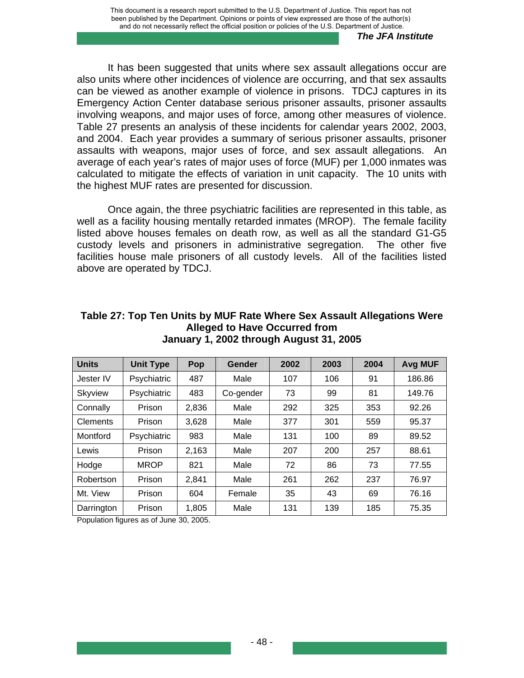It has been suggested that units where sex assault allegations occur are also units where other incidences of violence are occurring, and that sex assaults can be viewed as another example of violence in prisons. TDCJ captures in its Emergency Action Center database serious prisoner assaults, prisoner assaults involving weapons, and major uses of force, among other measures of violence. Table 27 presents an analysis of these incidents for calendar years 2002, 2003, and 2004. Each year provides a summary of serious prisoner assaults, prisoner assaults with weapons, major uses of force, and sex assault allegations. An average of each year's rates of major uses of force (MUF) per 1,000 inmates was calculated to mitigate the effects of variation in unit capacity. The 10 units with the highest MUF rates are presented for discussion.

Once again, the three psychiatric facilities are represented in this table, as well as a facility housing mentally retarded inmates (MROP). The female facility listed above houses females on death row, as well as all the standard G1-G5 custody levels and prisoners in administrative segregation. The other five facilities house male prisoners of all custody levels. All of the facilities listed above are operated by TDCJ.

| <b>Units</b>    | <b>Unit Type</b> | Pop   | Gender    | 2002 | 2003 | 2004 | <b>Avg MUF</b> |
|-----------------|------------------|-------|-----------|------|------|------|----------------|
| Jester IV       | Psychiatric      | 487   | Male      | 107  | 106  | 91   | 186.86         |
| <b>Skyview</b>  | Psychiatric      | 483   | Co-gender | 73   | 99   | 81   | 149.76         |
| Connally        | Prison           | 2,836 | Male      | 292  | 325  | 353  | 92.26          |
| <b>Clements</b> | Prison           | 3,628 | Male      | 377  | 301  | 559  | 95.37          |
| Montford        | Psychiatric      | 983   | Male      | 131  | 100  | 89   | 89.52          |
| Lewis           | Prison           | 2,163 | Male      | 207  | 200  | 257  | 88.61          |
| Hodge           | <b>MROP</b>      | 821   | Male      | 72   | 86   | 73   | 77.55          |
| Robertson       | Prison           | 2,841 | Male      | 261  | 262  | 237  | 76.97          |
| Mt. View        | Prison           | 604   | Female    | 35   | 43   | 69   | 76.16          |
| Darrington      | Prison           | 1,805 | Male      | 131  | 139  | 185  | 75.35          |

#### **Table 27: Top Ten Units by MUF Rate Where Sex Assault Allegations Were Alleged to Have Occurred from January 1, 2002 through August 31, 2005**

Population figures as of June 30, 2005.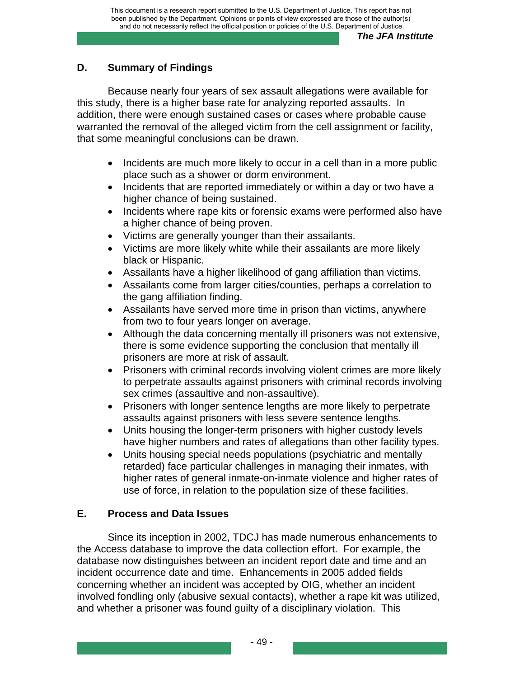# **D. Summary of Findings**

Because nearly four years of sex assault allegations were available for this study, there is a higher base rate for analyzing reported assaults. In addition, there were enough sustained cases or cases where probable cause warranted the removal of the alleged victim from the cell assignment or facility, that some meaningful conclusions can be drawn.

- Incidents are much more likely to occur in a cell than in a more public place such as a shower or dorm environment.
- Incidents that are reported immediately or within a day or two have a higher chance of being sustained.
- Incidents where rape kits or forensic exams were performed also have a higher chance of being proven.
- Victims are generally younger than their assailants.
- Victims are more likely white while their assailants are more likely black or Hispanic.
- Assailants have a higher likelihood of gang affiliation than victims.
- Assailants come from larger cities/counties, perhaps a correlation to the gang affiliation finding.
- Assailants have served more time in prison than victims, anywhere from two to four years longer on average.
- Although the data concerning mentally ill prisoners was not extensive, there is some evidence supporting the conclusion that mentally ill prisoners are more at risk of assault.
- Prisoners with criminal records involving violent crimes are more likely to perpetrate assaults against prisoners with criminal records involving sex crimes (assaultive and non-assaultive).
- Prisoners with longer sentence lengths are more likely to perpetrate assaults against prisoners with less severe sentence lengths.
- Units housing the longer-term prisoners with higher custody levels have higher numbers and rates of allegations than other facility types.
- Units housing special needs populations (psychiatric and mentally retarded) face particular challenges in managing their inmates, with higher rates of general inmate-on-inmate violence and higher rates of use of force, in relation to the population size of these facilities.

# **E. Process and Data Issues**

Since its inception in 2002, TDCJ has made numerous enhancements to the Access database to improve the data collection effort. For example, the database now distinguishes between an incident report date and time and an incident occurrence date and time. Enhancements in 2005 added fields concerning whether an incident was accepted by OIG, whether an incident involved fondling only (abusive sexual contacts), whether a rape kit was utilized, and whether a prisoner was found guilty of a disciplinary violation. This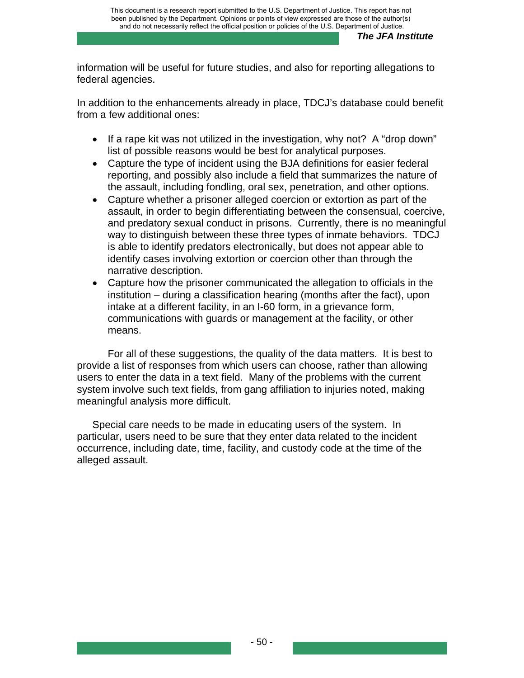information will be useful for future studies, and also for reporting allegations to federal agencies.

In addition to the enhancements already in place, TDCJ's database could benefit from a few additional ones:

- If a rape kit was not utilized in the investigation, why not? A "drop down" list of possible reasons would be best for analytical purposes.
- Capture the type of incident using the BJA definitions for easier federal reporting, and possibly also include a field that summarizes the nature of the assault, including fondling, oral sex, penetration, and other options.
- Capture whether a prisoner alleged coercion or extortion as part of the assault, in order to begin differentiating between the consensual, coercive, and predatory sexual conduct in prisons. Currently, there is no meaningful way to distinguish between these three types of inmate behaviors. TDCJ is able to identify predators electronically, but does not appear able to identify cases involving extortion or coercion other than through the narrative description.
- Capture how the prisoner communicated the allegation to officials in the institution – during a classification hearing (months after the fact), upon intake at a different facility, in an I-60 form, in a grievance form, communications with guards or management at the facility, or other means.

For all of these suggestions, the quality of the data matters. It is best to provide a list of responses from which users can choose, rather than allowing users to enter the data in a text field. Many of the problems with the current system involve such text fields, from gang affiliation to injuries noted, making meaningful analysis more difficult.

Special care needs to be made in educating users of the system. In particular, users need to be sure that they enter data related to the incident occurrence, including date, time, facility, and custody code at the time of the alleged assault.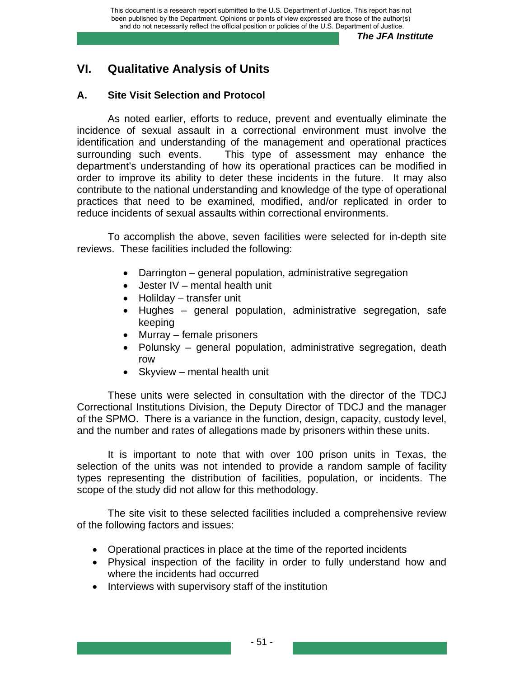# **VI. Qualitative Analysis of Units**

# **A. Site Visit Selection and Protocol**

As noted earlier, efforts to reduce, prevent and eventually eliminate the incidence of sexual assault in a correctional environment must involve the identification and understanding of the management and operational practices surrounding such events. This type of assessment may enhance the department's understanding of how its operational practices can be modified in order to improve its ability to deter these incidents in the future. It may also contribute to the national understanding and knowledge of the type of operational practices that need to be examined, modified, and/or replicated in order to reduce incidents of sexual assaults within correctional environments.

To accomplish the above, seven facilities were selected for in-depth site reviews. These facilities included the following:

- Darrington general population, administrative segregation
- Jester IV mental health unit
- Holilday transfer unit
- Hughes general population, administrative segregation, safe keeping
- Murray female prisoners
- Polunsky general population, administrative segregation, death row
- Skyview mental health unit

These units were selected in consultation with the director of the TDCJ Correctional Institutions Division, the Deputy Director of TDCJ and the manager of the SPMO. There is a variance in the function, design, capacity, custody level, and the number and rates of allegations made by prisoners within these units.

It is important to note that with over 100 prison units in Texas, the selection of the units was not intended to provide a random sample of facility types representing the distribution of facilities, population, or incidents. The scope of the study did not allow for this methodology.

The site visit to these selected facilities included a comprehensive review of the following factors and issues:

- Operational practices in place at the time of the reported incidents
- Physical inspection of the facility in order to fully understand how and where the incidents had occurred
- Interviews with supervisory staff of the institution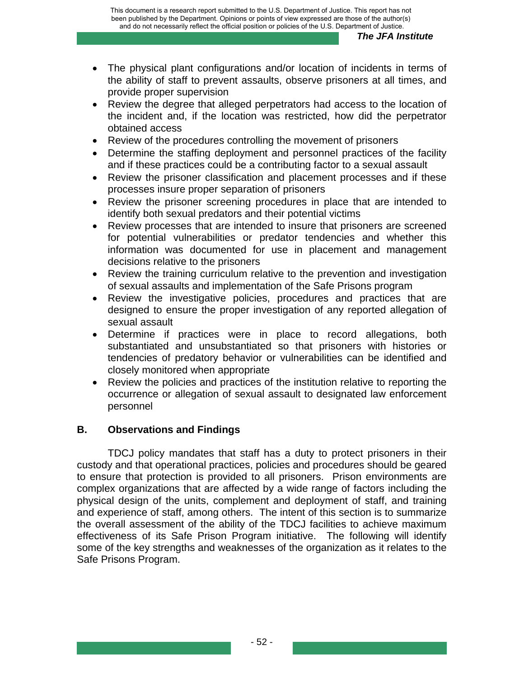- The physical plant configurations and/or location of incidents in terms of the ability of staff to prevent assaults, observe prisoners at all times, and provide proper supervision
- Review the degree that alleged perpetrators had access to the location of the incident and, if the location was restricted, how did the perpetrator obtained access
- Review of the procedures controlling the movement of prisoners
- Determine the staffing deployment and personnel practices of the facility and if these practices could be a contributing factor to a sexual assault
- Review the prisoner classification and placement processes and if these processes insure proper separation of prisoners
- Review the prisoner screening procedures in place that are intended to identify both sexual predators and their potential victims
- Review processes that are intended to insure that prisoners are screened for potential vulnerabilities or predator tendencies and whether this information was documented for use in placement and management decisions relative to the prisoners
- Review the training curriculum relative to the prevention and investigation of sexual assaults and implementation of the Safe Prisons program
- Review the investigative policies, procedures and practices that are designed to ensure the proper investigation of any reported allegation of sexual assault
- Determine if practices were in place to record allegations, both substantiated and unsubstantiated so that prisoners with histories or tendencies of predatory behavior or vulnerabilities can be identified and closely monitored when appropriate
- Review the policies and practices of the institution relative to reporting the occurrence or allegation of sexual assault to designated law enforcement personnel

# **B. Observations and Findings**

TDCJ policy mandates that staff has a duty to protect prisoners in their custody and that operational practices, policies and procedures should be geared to ensure that protection is provided to all prisoners. Prison environments are complex organizations that are affected by a wide range of factors including the physical design of the units, complement and deployment of staff, and training and experience of staff, among others. The intent of this section is to summarize the overall assessment of the ability of the TDCJ facilities to achieve maximum effectiveness of its Safe Prison Program initiative. The following will identify some of the key strengths and weaknesses of the organization as it relates to the Safe Prisons Program.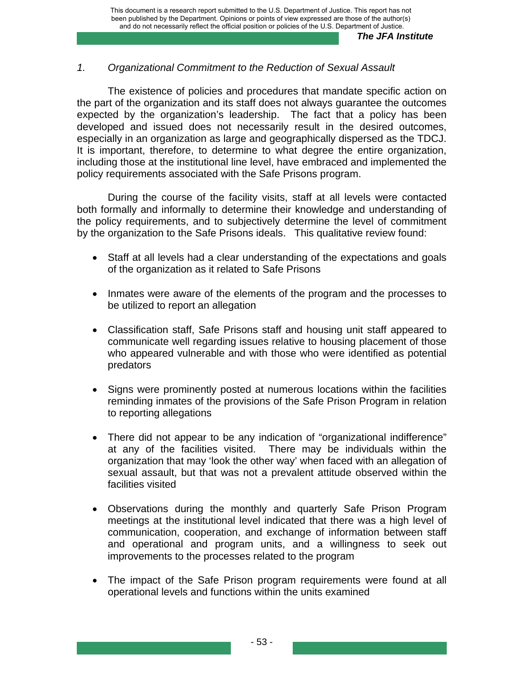### *1. Organizational Commitment to the Reduction of Sexual Assault*

The existence of policies and procedures that mandate specific action on the part of the organization and its staff does not always guarantee the outcomes expected by the organization's leadership. The fact that a policy has been developed and issued does not necessarily result in the desired outcomes, especially in an organization as large and geographically dispersed as the TDCJ. It is important, therefore, to determine to what degree the entire organization, including those at the institutional line level, have embraced and implemented the policy requirements associated with the Safe Prisons program.

During the course of the facility visits, staff at all levels were contacted both formally and informally to determine their knowledge and understanding of the policy requirements, and to subjectively determine the level of commitment by the organization to the Safe Prisons ideals. This qualitative review found:

- Staff at all levels had a clear understanding of the expectations and goals of the organization as it related to Safe Prisons
- Inmates were aware of the elements of the program and the processes to be utilized to report an allegation
- Classification staff, Safe Prisons staff and housing unit staff appeared to communicate well regarding issues relative to housing placement of those who appeared vulnerable and with those who were identified as potential predators
- Signs were prominently posted at numerous locations within the facilities reminding inmates of the provisions of the Safe Prison Program in relation to reporting allegations
- There did not appear to be any indication of "organizational indifference" at any of the facilities visited. There may be individuals within the organization that may 'look the other way' when faced with an allegation of sexual assault, but that was not a prevalent attitude observed within the facilities visited
- Observations during the monthly and quarterly Safe Prison Program meetings at the institutional level indicated that there was a high level of communication, cooperation, and exchange of information between staff and operational and program units, and a willingness to seek out improvements to the processes related to the program
- The impact of the Safe Prison program requirements were found at all operational levels and functions within the units examined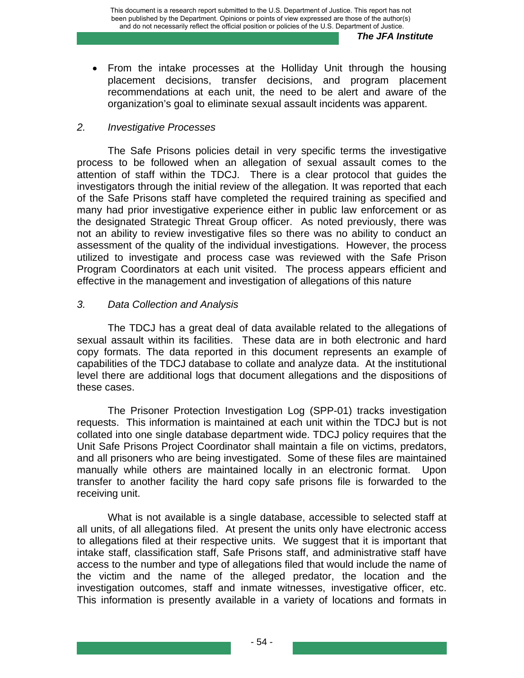• From the intake processes at the Holliday Unit through the housing placement decisions, transfer decisions, and program placement recommendations at each unit, the need to be alert and aware of the organization's goal to eliminate sexual assault incidents was apparent.

### *2. Investigative Processes*

The Safe Prisons policies detail in very specific terms the investigative process to be followed when an allegation of sexual assault comes to the attention of staff within the TDCJ. There is a clear protocol that guides the investigators through the initial review of the allegation. It was reported that each of the Safe Prisons staff have completed the required training as specified and many had prior investigative experience either in public law enforcement or as the designated Strategic Threat Group officer. As noted previously, there was not an ability to review investigative files so there was no ability to conduct an assessment of the quality of the individual investigations. However, the process utilized to investigate and process case was reviewed with the Safe Prison Program Coordinators at each unit visited. The process appears efficient and effective in the management and investigation of allegations of this nature

### *3. Data Collection and Analysis*

The TDCJ has a great deal of data available related to the allegations of sexual assault within its facilities. These data are in both electronic and hard copy formats. The data reported in this document represents an example of capabilities of the TDCJ database to collate and analyze data. At the institutional level there are additional logs that document allegations and the dispositions of these cases.

The Prisoner Protection Investigation Log (SPP-01) tracks investigation requests. This information is maintained at each unit within the TDCJ but is not collated into one single database department wide. TDCJ policy requires that the Unit Safe Prisons Project Coordinator shall maintain a file on victims, predators, and all prisoners who are being investigated. Some of these files are maintained manually while others are maintained locally in an electronic format. Upon transfer to another facility the hard copy safe prisons file is forwarded to the receiving unit.

What is not available is a single database, accessible to selected staff at all units, of all allegations filed. At present the units only have electronic access to allegations filed at their respective units. We suggest that it is important that intake staff, classification staff, Safe Prisons staff, and administrative staff have access to the number and type of allegations filed that would include the name of the victim and the name of the alleged predator, the location and the investigation outcomes, staff and inmate witnesses, investigative officer, etc. This information is presently available in a variety of locations and formats in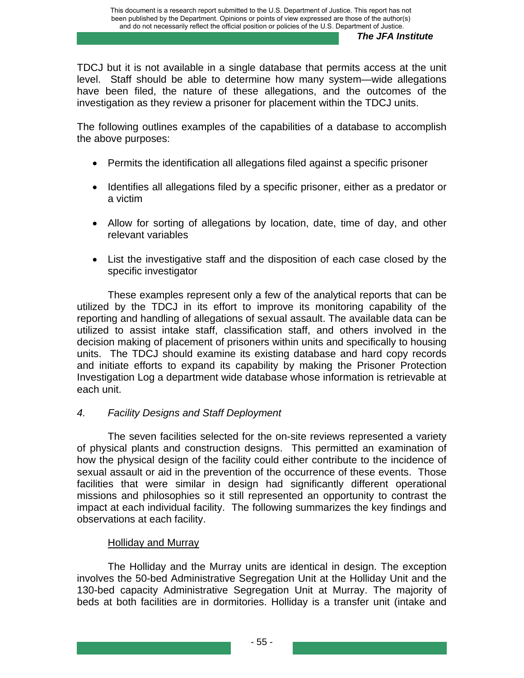TDCJ but it is not available in a single database that permits access at the unit level. Staff should be able to determine how many system—wide allegations have been filed, the nature of these allegations, and the outcomes of the investigation as they review a prisoner for placement within the TDCJ units.

The following outlines examples of the capabilities of a database to accomplish the above purposes:

- Permits the identification all allegations filed against a specific prisoner
- Identifies all allegations filed by a specific prisoner, either as a predator or a victim
- Allow for sorting of allegations by location, date, time of day, and other relevant variables
- List the investigative staff and the disposition of each case closed by the specific investigator

These examples represent only a few of the analytical reports that can be utilized by the TDCJ in its effort to improve its monitoring capability of the reporting and handling of allegations of sexual assault. The available data can be utilized to assist intake staff, classification staff, and others involved in the decision making of placement of prisoners within units and specifically to housing units. The TDCJ should examine its existing database and hard copy records and initiate efforts to expand its capability by making the Prisoner Protection Investigation Log a department wide database whose information is retrievable at each unit.

# *4. Facility Designs and Staff Deployment*

The seven facilities selected for the on-site reviews represented a variety of physical plants and construction designs. This permitted an examination of how the physical design of the facility could either contribute to the incidence of sexual assault or aid in the prevention of the occurrence of these events. Those facilities that were similar in design had significantly different operational missions and philosophies so it still represented an opportunity to contrast the impact at each individual facility. The following summarizes the key findings and observations at each facility.

## Holliday and Murray

The Holliday and the Murray units are identical in design. The exception involves the 50-bed Administrative Segregation Unit at the Holliday Unit and the 130-bed capacity Administrative Segregation Unit at Murray. The majority of beds at both facilities are in dormitories. Holliday is a transfer unit (intake and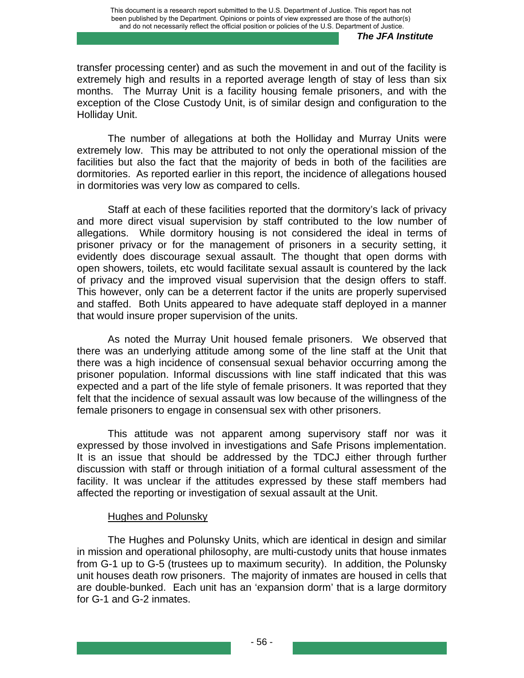transfer processing center) and as such the movement in and out of the facility is extremely high and results in a reported average length of stay of less than six months. The Murray Unit is a facility housing female prisoners, and with the exception of the Close Custody Unit, is of similar design and configuration to the Holliday Unit.

The number of allegations at both the Holliday and Murray Units were extremely low. This may be attributed to not only the operational mission of the facilities but also the fact that the majority of beds in both of the facilities are dormitories. As reported earlier in this report, the incidence of allegations housed in dormitories was very low as compared to cells.

Staff at each of these facilities reported that the dormitory's lack of privacy and more direct visual supervision by staff contributed to the low number of allegations. While dormitory housing is not considered the ideal in terms of prisoner privacy or for the management of prisoners in a security setting, it evidently does discourage sexual assault. The thought that open dorms with open showers, toilets, etc would facilitate sexual assault is countered by the lack of privacy and the improved visual supervision that the design offers to staff. This however, only can be a deterrent factor if the units are properly supervised and staffed. Both Units appeared to have adequate staff deployed in a manner that would insure proper supervision of the units.

As noted the Murray Unit housed female prisoners. We observed that there was an underlying attitude among some of the line staff at the Unit that there was a high incidence of consensual sexual behavior occurring among the prisoner population. Informal discussions with line staff indicated that this was expected and a part of the life style of female prisoners. It was reported that they felt that the incidence of sexual assault was low because of the willingness of the female prisoners to engage in consensual sex with other prisoners.

This attitude was not apparent among supervisory staff nor was it expressed by those involved in investigations and Safe Prisons implementation. It is an issue that should be addressed by the TDCJ either through further discussion with staff or through initiation of a formal cultural assessment of the facility. It was unclear if the attitudes expressed by these staff members had affected the reporting or investigation of sexual assault at the Unit.

#### Hughes and Polunsky

The Hughes and Polunsky Units, which are identical in design and similar in mission and operational philosophy, are multi-custody units that house inmates from G-1 up to G-5 (trustees up to maximum security). In addition, the Polunsky unit houses death row prisoners. The majority of inmates are housed in cells that are double-bunked. Each unit has an 'expansion dorm' that is a large dormitory for G-1 and G-2 inmates.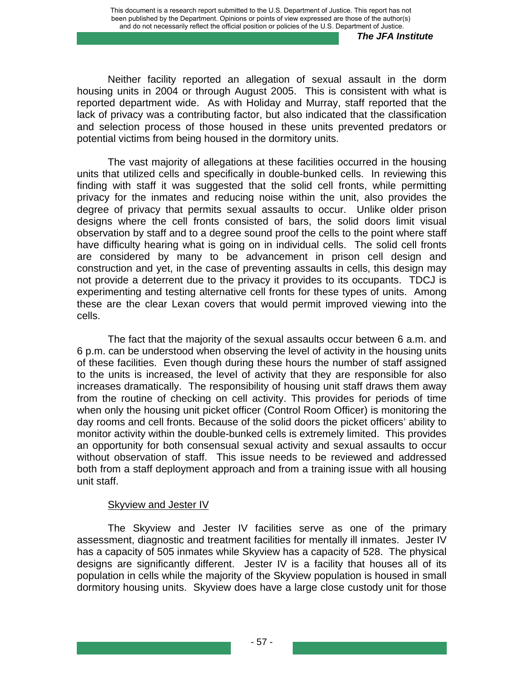Neither facility reported an allegation of sexual assault in the dorm housing units in 2004 or through August 2005. This is consistent with what is reported department wide. As with Holiday and Murray, staff reported that the lack of privacy was a contributing factor, but also indicated that the classification and selection process of those housed in these units prevented predators or potential victims from being housed in the dormitory units.

The vast majority of allegations at these facilities occurred in the housing units that utilized cells and specifically in double-bunked cells. In reviewing this finding with staff it was suggested that the solid cell fronts, while permitting privacy for the inmates and reducing noise within the unit, also provides the degree of privacy that permits sexual assaults to occur. Unlike older prison designs where the cell fronts consisted of bars, the solid doors limit visual observation by staff and to a degree sound proof the cells to the point where staff have difficulty hearing what is going on in individual cells. The solid cell fronts are considered by many to be advancement in prison cell design and construction and yet, in the case of preventing assaults in cells, this design may not provide a deterrent due to the privacy it provides to its occupants. TDCJ is experimenting and testing alternative cell fronts for these types of units. Among these are the clear Lexan covers that would permit improved viewing into the cells.

The fact that the majority of the sexual assaults occur between 6 a.m. and 6 p.m. can be understood when observing the level of activity in the housing units of these facilities. Even though during these hours the number of staff assigned to the units is increased, the level of activity that they are responsible for also increases dramatically. The responsibility of housing unit staff draws them away from the routine of checking on cell activity. This provides for periods of time when only the housing unit picket officer (Control Room Officer) is monitoring the day rooms and cell fronts. Because of the solid doors the picket officers' ability to monitor activity within the double-bunked cells is extremely limited. This provides an opportunity for both consensual sexual activity and sexual assaults to occur without observation of staff. This issue needs to be reviewed and addressed both from a staff deployment approach and from a training issue with all housing unit staff.

## Skyview and Jester IV

The Skyview and Jester IV facilities serve as one of the primary assessment, diagnostic and treatment facilities for mentally ill inmates. Jester IV has a capacity of 505 inmates while Skyview has a capacity of 528. The physical designs are significantly different. Jester IV is a facility that houses all of its population in cells while the majority of the Skyview population is housed in small dormitory housing units. Skyview does have a large close custody unit for those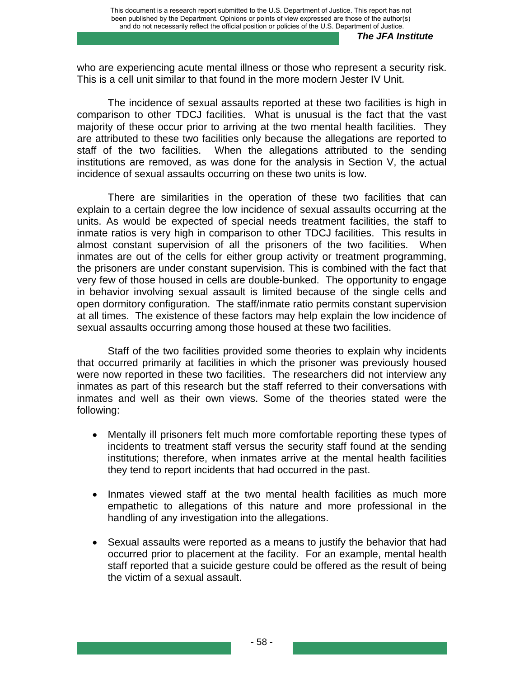who are experiencing acute mental illness or those who represent a security risk. This is a cell unit similar to that found in the more modern Jester IV Unit.

The incidence of sexual assaults reported at these two facilities is high in comparison to other TDCJ facilities. What is unusual is the fact that the vast majority of these occur prior to arriving at the two mental health facilities. They are attributed to these two facilities only because the allegations are reported to staff of the two facilities. When the allegations attributed to the sending institutions are removed, as was done for the analysis in Section V, the actual incidence of sexual assaults occurring on these two units is low.

There are similarities in the operation of these two facilities that can explain to a certain degree the low incidence of sexual assaults occurring at the units. As would be expected of special needs treatment facilities, the staff to inmate ratios is very high in comparison to other TDCJ facilities. This results in almost constant supervision of all the prisoners of the two facilities. When inmates are out of the cells for either group activity or treatment programming, the prisoners are under constant supervision. This is combined with the fact that very few of those housed in cells are double-bunked. The opportunity to engage in behavior involving sexual assault is limited because of the single cells and open dormitory configuration. The staff/inmate ratio permits constant supervision at all times. The existence of these factors may help explain the low incidence of sexual assaults occurring among those housed at these two facilities.

Staff of the two facilities provided some theories to explain why incidents that occurred primarily at facilities in which the prisoner was previously housed were now reported in these two facilities. The researchers did not interview any inmates as part of this research but the staff referred to their conversations with inmates and well as their own views. Some of the theories stated were the following:

- Mentally ill prisoners felt much more comfortable reporting these types of incidents to treatment staff versus the security staff found at the sending institutions; therefore, when inmates arrive at the mental health facilities they tend to report incidents that had occurred in the past.
- Inmates viewed staff at the two mental health facilities as much more empathetic to allegations of this nature and more professional in the handling of any investigation into the allegations.
- Sexual assaults were reported as a means to justify the behavior that had occurred prior to placement at the facility. For an example, mental health staff reported that a suicide gesture could be offered as the result of being the victim of a sexual assault.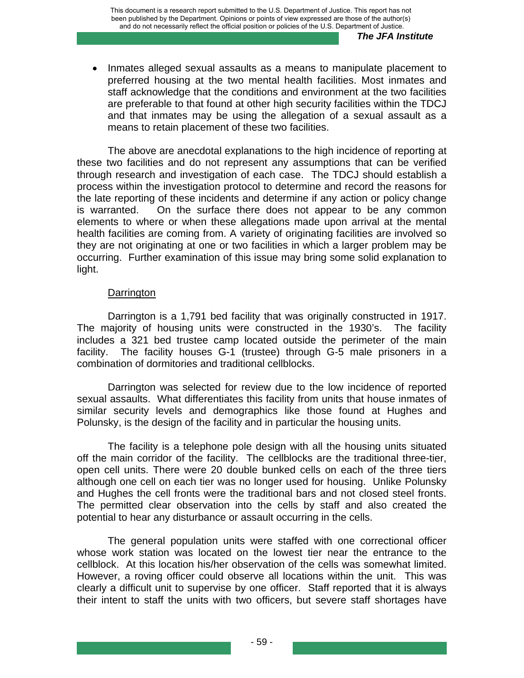• Inmates alleged sexual assaults as a means to manipulate placement to preferred housing at the two mental health facilities. Most inmates and staff acknowledge that the conditions and environment at the two facilities are preferable to that found at other high security facilities within the TDCJ and that inmates may be using the allegation of a sexual assault as a means to retain placement of these two facilities.

The above are anecdotal explanations to the high incidence of reporting at these two facilities and do not represent any assumptions that can be verified through research and investigation of each case. The TDCJ should establish a process within the investigation protocol to determine and record the reasons for the late reporting of these incidents and determine if any action or policy change is warranted. On the surface there does not appear to be any common elements to where or when these allegations made upon arrival at the mental health facilities are coming from. A variety of originating facilities are involved so they are not originating at one or two facilities in which a larger problem may be occurring. Further examination of this issue may bring some solid explanation to light.

#### **Darrington**

Darrington is a 1,791 bed facility that was originally constructed in 1917. The majority of housing units were constructed in the 1930's. The facility includes a 321 bed trustee camp located outside the perimeter of the main facility. The facility houses G-1 (trustee) through G-5 male prisoners in a combination of dormitories and traditional cellblocks.

Darrington was selected for review due to the low incidence of reported sexual assaults. What differentiates this facility from units that house inmates of similar security levels and demographics like those found at Hughes and Polunsky, is the design of the facility and in particular the housing units.

The facility is a telephone pole design with all the housing units situated off the main corridor of the facility. The cellblocks are the traditional three-tier, open cell units. There were 20 double bunked cells on each of the three tiers although one cell on each tier was no longer used for housing. Unlike Polunsky and Hughes the cell fronts were the traditional bars and not closed steel fronts. The permitted clear observation into the cells by staff and also created the potential to hear any disturbance or assault occurring in the cells.

The general population units were staffed with one correctional officer whose work station was located on the lowest tier near the entrance to the cellblock. At this location his/her observation of the cells was somewhat limited. However, a roving officer could observe all locations within the unit. This was clearly a difficult unit to supervise by one officer. Staff reported that it is always their intent to staff the units with two officers, but severe staff shortages have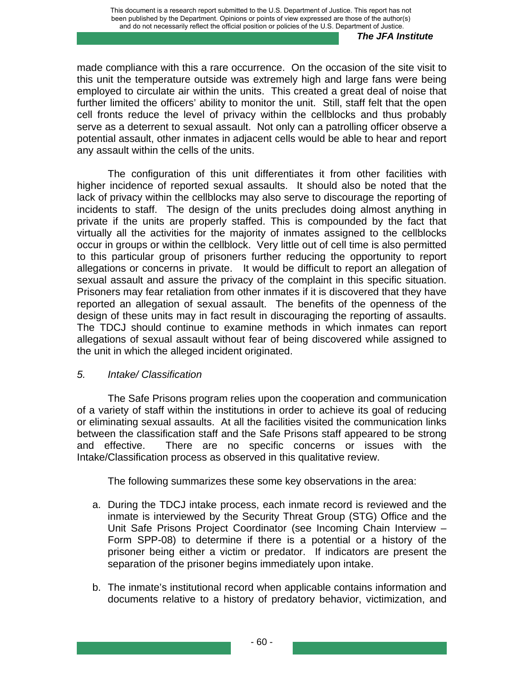made compliance with this a rare occurrence. On the occasion of the site visit to this unit the temperature outside was extremely high and large fans were being employed to circulate air within the units. This created a great deal of noise that further limited the officers' ability to monitor the unit. Still, staff felt that the open cell fronts reduce the level of privacy within the cellblocks and thus probably serve as a deterrent to sexual assault. Not only can a patrolling officer observe a potential assault, other inmates in adjacent cells would be able to hear and report any assault within the cells of the units.

The configuration of this unit differentiates it from other facilities with higher incidence of reported sexual assaults. It should also be noted that the lack of privacy within the cellblocks may also serve to discourage the reporting of incidents to staff. The design of the units precludes doing almost anything in private if the units are properly staffed. This is compounded by the fact that virtually all the activities for the majority of inmates assigned to the cellblocks occur in groups or within the cellblock. Very little out of cell time is also permitted to this particular group of prisoners further reducing the opportunity to report allegations or concerns in private. It would be difficult to report an allegation of sexual assault and assure the privacy of the complaint in this specific situation. Prisoners may fear retaliation from other inmates if it is discovered that they have reported an allegation of sexual assault. The benefits of the openness of the design of these units may in fact result in discouraging the reporting of assaults. The TDCJ should continue to examine methods in which inmates can report allegations of sexual assault without fear of being discovered while assigned to the unit in which the alleged incident originated.

## *5. Intake/ Classification*

The Safe Prisons program relies upon the cooperation and communication of a variety of staff within the institutions in order to achieve its goal of reducing or eliminating sexual assaults. At all the facilities visited the communication links between the classification staff and the Safe Prisons staff appeared to be strong and effective. There are no specific concerns or issues with the Intake/Classification process as observed in this qualitative review.

The following summarizes these some key observations in the area:

- a. During the TDCJ intake process, each inmate record is reviewed and the inmate is interviewed by the Security Threat Group (STG) Office and the Unit Safe Prisons Project Coordinator (see Incoming Chain Interview – Form SPP-08) to determine if there is a potential or a history of the prisoner being either a victim or predator. If indicators are present the separation of the prisoner begins immediately upon intake.
- b. The inmate's institutional record when applicable contains information and documents relative to a history of predatory behavior, victimization, and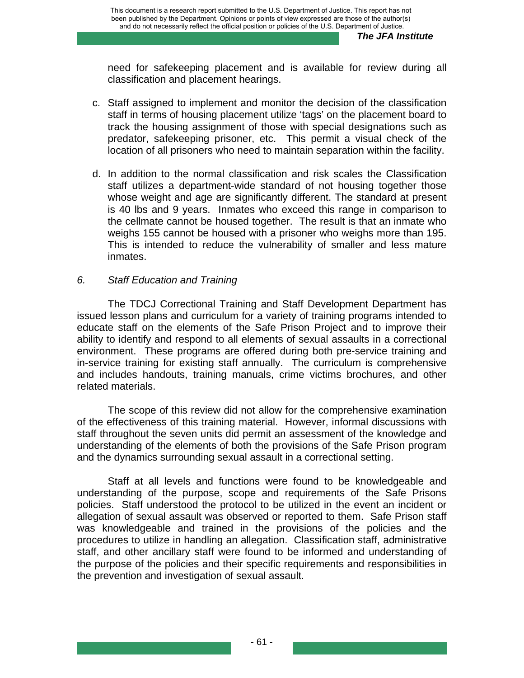need for safekeeping placement and is available for review during all classification and placement hearings.

- c. Staff assigned to implement and monitor the decision of the classification staff in terms of housing placement utilize 'tags' on the placement board to track the housing assignment of those with special designations such as predator, safekeeping prisoner, etc. This permit a visual check of the location of all prisoners who need to maintain separation within the facility.
- d. In addition to the normal classification and risk scales the Classification staff utilizes a department-wide standard of not housing together those whose weight and age are significantly different. The standard at present is 40 lbs and 9 years. Inmates who exceed this range in comparison to the cellmate cannot be housed together. The result is that an inmate who weighs 155 cannot be housed with a prisoner who weighs more than 195. This is intended to reduce the vulnerability of smaller and less mature inmates.

### *6. Staff Education and Training*

The TDCJ Correctional Training and Staff Development Department has issued lesson plans and curriculum for a variety of training programs intended to educate staff on the elements of the Safe Prison Project and to improve their ability to identify and respond to all elements of sexual assaults in a correctional environment. These programs are offered during both pre-service training and in-service training for existing staff annually. The curriculum is comprehensive and includes handouts, training manuals, crime victims brochures, and other related materials.

The scope of this review did not allow for the comprehensive examination of the effectiveness of this training material. However, informal discussions with staff throughout the seven units did permit an assessment of the knowledge and understanding of the elements of both the provisions of the Safe Prison program and the dynamics surrounding sexual assault in a correctional setting.

Staff at all levels and functions were found to be knowledgeable and understanding of the purpose, scope and requirements of the Safe Prisons policies. Staff understood the protocol to be utilized in the event an incident or allegation of sexual assault was observed or reported to them. Safe Prison staff was knowledgeable and trained in the provisions of the policies and the procedures to utilize in handling an allegation. Classification staff, administrative staff, and other ancillary staff were found to be informed and understanding of the purpose of the policies and their specific requirements and responsibilities in the prevention and investigation of sexual assault.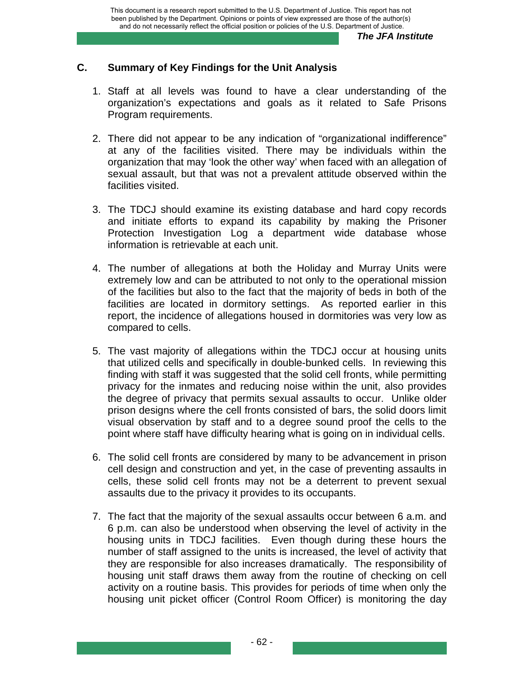## **C. Summary of Key Findings for the Unit Analysis**

- 1. Staff at all levels was found to have a clear understanding of the organization's expectations and goals as it related to Safe Prisons Program requirements.
- 2. There did not appear to be any indication of "organizational indifference" at any of the facilities visited. There may be individuals within the organization that may 'look the other way' when faced with an allegation of sexual assault, but that was not a prevalent attitude observed within the facilities visited.
- 3. The TDCJ should examine its existing database and hard copy records and initiate efforts to expand its capability by making the Prisoner Protection Investigation Log a department wide database whose information is retrievable at each unit.
- 4. The number of allegations at both the Holiday and Murray Units were extremely low and can be attributed to not only to the operational mission of the facilities but also to the fact that the majority of beds in both of the facilities are located in dormitory settings. As reported earlier in this report, the incidence of allegations housed in dormitories was very low as compared to cells.
- 5. The vast majority of allegations within the TDCJ occur at housing units that utilized cells and specifically in double-bunked cells. In reviewing this finding with staff it was suggested that the solid cell fronts, while permitting privacy for the inmates and reducing noise within the unit, also provides the degree of privacy that permits sexual assaults to occur. Unlike older prison designs where the cell fronts consisted of bars, the solid doors limit visual observation by staff and to a degree sound proof the cells to the point where staff have difficulty hearing what is going on in individual cells.
- 6. The solid cell fronts are considered by many to be advancement in prison cell design and construction and yet, in the case of preventing assaults in cells, these solid cell fronts may not be a deterrent to prevent sexual assaults due to the privacy it provides to its occupants.
- 7. The fact that the majority of the sexual assaults occur between 6 a.m. and 6 p.m. can also be understood when observing the level of activity in the housing units in TDCJ facilities. Even though during these hours the number of staff assigned to the units is increased, the level of activity that they are responsible for also increases dramatically. The responsibility of housing unit staff draws them away from the routine of checking on cell activity on a routine basis. This provides for periods of time when only the housing unit picket officer (Control Room Officer) is monitoring the day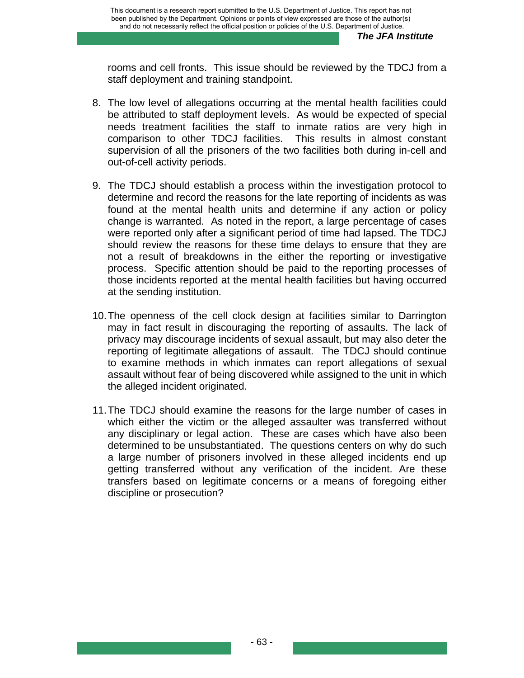rooms and cell fronts. This issue should be reviewed by the TDCJ from a staff deployment and training standpoint.

- 8. The low level of allegations occurring at the mental health facilities could be attributed to staff deployment levels. As would be expected of special needs treatment facilities the staff to inmate ratios are very high in comparison to other TDCJ facilities. This results in almost constant supervision of all the prisoners of the two facilities both during in-cell and out-of-cell activity periods.
- 9. The TDCJ should establish a process within the investigation protocol to determine and record the reasons for the late reporting of incidents as was found at the mental health units and determine if any action or policy change is warranted. As noted in the report, a large percentage of cases were reported only after a significant period of time had lapsed. The TDCJ should review the reasons for these time delays to ensure that they are not a result of breakdowns in the either the reporting or investigative process. Specific attention should be paid to the reporting processes of those incidents reported at the mental health facilities but having occurred at the sending institution.
- 10. The openness of the cell clock design at facilities similar to Darrington may in fact result in discouraging the reporting of assaults. The lack of privacy may discourage incidents of sexual assault, but may also deter the reporting of legitimate allegations of assault. The TDCJ should continue to examine methods in which inmates can report allegations of sexual assault without fear of being discovered while assigned to the unit in which the alleged incident originated.
- 11. The TDCJ should examine the reasons for the large number of cases in which either the victim or the alleged assaulter was transferred without any disciplinary or legal action. These are cases which have also been determined to be unsubstantiated. The questions centers on why do such a large number of prisoners involved in these alleged incidents end up getting transferred without any verification of the incident. Are these transfers based on legitimate concerns or a means of foregoing either discipline or prosecution?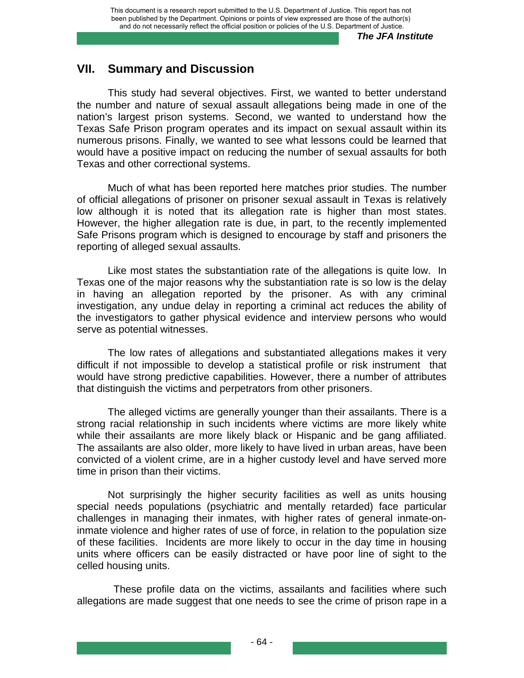## **VII. Summary and Discussion**

This study had several objectives. First, we wanted to better understand the number and nature of sexual assault allegations being made in one of the nation's largest prison systems. Second, we wanted to understand how the Texas Safe Prison program operates and its impact on sexual assault within its numerous prisons. Finally, we wanted to see what lessons could be learned that would have a positive impact on reducing the number of sexual assaults for both Texas and other correctional systems.

Much of what has been reported here matches prior studies. The number of official allegations of prisoner on prisoner sexual assault in Texas is relatively low although it is noted that its allegation rate is higher than most states. However, the higher allegation rate is due, in part, to the recently implemented Safe Prisons program which is designed to encourage by staff and prisoners the reporting of alleged sexual assaults.

 Like most states the substantiation rate of the allegations is quite low. In Texas one of the major reasons why the substantiation rate is so low is the delay in having an allegation reported by the prisoner. As with any criminal investigation, any undue delay in reporting a criminal act reduces the ability of the investigators to gather physical evidence and interview persons who would serve as potential witnesses.

The low rates of allegations and substantiated allegations makes it very difficult if not impossible to develop a statistical profile or risk instrument that would have strong predictive capabilities. However, there a number of attributes that distinguish the victims and perpetrators from other prisoners.

The alleged victims are generally younger than their assailants. There is a strong racial relationship in such incidents where victims are more likely white while their assailants are more likely black or Hispanic and be gang affiliated. The assailants are also older, more likely to have lived in urban areas, have been convicted of a violent crime, are in a higher custody level and have served more time in prison than their victims.

 Not surprisingly the higher security facilities as well as units housing special needs populations (psychiatric and mentally retarded) face particular challenges in managing their inmates, with higher rates of general inmate-oninmate violence and higher rates of use of force, in relation to the population size of these facilities. Incidents are more likely to occur in the day time in housing units where officers can be easily distracted or have poor line of sight to the celled housing units.

 These profile data on the victims, assailants and facilities where such allegations are made suggest that one needs to see the crime of prison rape in a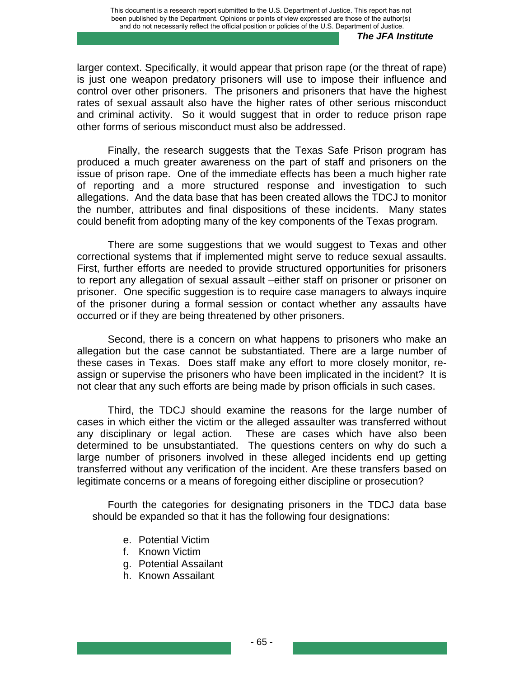larger context. Specifically, it would appear that prison rape (or the threat of rape) is just one weapon predatory prisoners will use to impose their influence and control over other prisoners. The prisoners and prisoners that have the highest rates of sexual assault also have the higher rates of other serious misconduct and criminal activity. So it would suggest that in order to reduce prison rape other forms of serious misconduct must also be addressed.

Finally, the research suggests that the Texas Safe Prison program has produced a much greater awareness on the part of staff and prisoners on the issue of prison rape. One of the immediate effects has been a much higher rate of reporting and a more structured response and investigation to such allegations. And the data base that has been created allows the TDCJ to monitor the number, attributes and final dispositions of these incidents. Many states could benefit from adopting many of the key components of the Texas program.

There are some suggestions that we would suggest to Texas and other correctional systems that if implemented might serve to reduce sexual assaults. First, further efforts are needed to provide structured opportunities for prisoners to report any allegation of sexual assault –either staff on prisoner or prisoner on prisoner. One specific suggestion is to require case managers to always inquire of the prisoner during a formal session or contact whether any assaults have occurred or if they are being threatened by other prisoners.

Second, there is a concern on what happens to prisoners who make an allegation but the case cannot be substantiated. There are a large number of these cases in Texas. Does staff make any effort to more closely monitor, reassign or supervise the prisoners who have been implicated in the incident? It is not clear that any such efforts are being made by prison officials in such cases.

Third, the TDCJ should examine the reasons for the large number of cases in which either the victim or the alleged assaulter was transferred without any disciplinary or legal action. These are cases which have also been determined to be unsubstantiated. The questions centers on why do such a large number of prisoners involved in these alleged incidents end up getting transferred without any verification of the incident. Are these transfers based on legitimate concerns or a means of foregoing either discipline or prosecution?

Fourth the categories for designating prisoners in the TDCJ data base should be expanded so that it has the following four designations:

- e. Potential Victim
- f. Known Victim
- g. Potential Assailant
- h. Known Assailant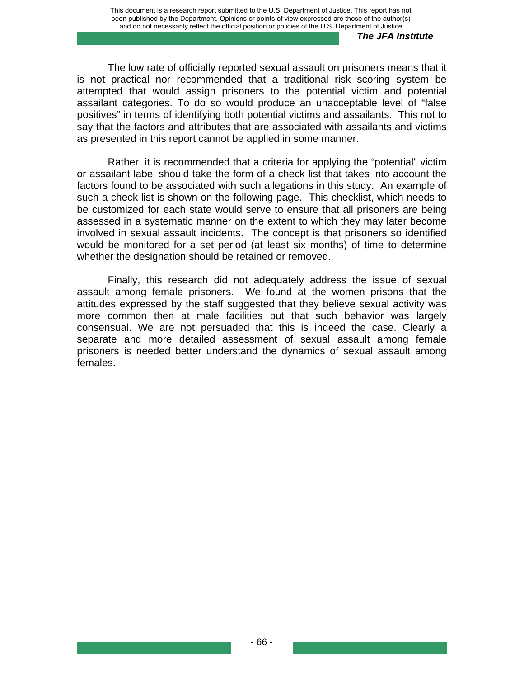The low rate of officially reported sexual assault on prisoners means that it is not practical nor recommended that a traditional risk scoring system be attempted that would assign prisoners to the potential victim and potential assailant categories. To do so would produce an unacceptable level of "false positives" in terms of identifying both potential victims and assailants. This not to say that the factors and attributes that are associated with assailants and victims as presented in this report cannot be applied in some manner.

Rather, it is recommended that a criteria for applying the "potential" victim or assailant label should take the form of a check list that takes into account the factors found to be associated with such allegations in this study. An example of such a check list is shown on the following page. This checklist, which needs to be customized for each state would serve to ensure that all prisoners are being assessed in a systematic manner on the extent to which they may later become involved in sexual assault incidents. The concept is that prisoners so identified would be monitored for a set period (at least six months) of time to determine whether the designation should be retained or removed.

Finally, this research did not adequately address the issue of sexual assault among female prisoners. We found at the women prisons that the attitudes expressed by the staff suggested that they believe sexual activity was more common then at male facilities but that such behavior was largely consensual. We are not persuaded that this is indeed the case. Clearly a separate and more detailed assessment of sexual assault among female prisoners is needed better understand the dynamics of sexual assault among females.